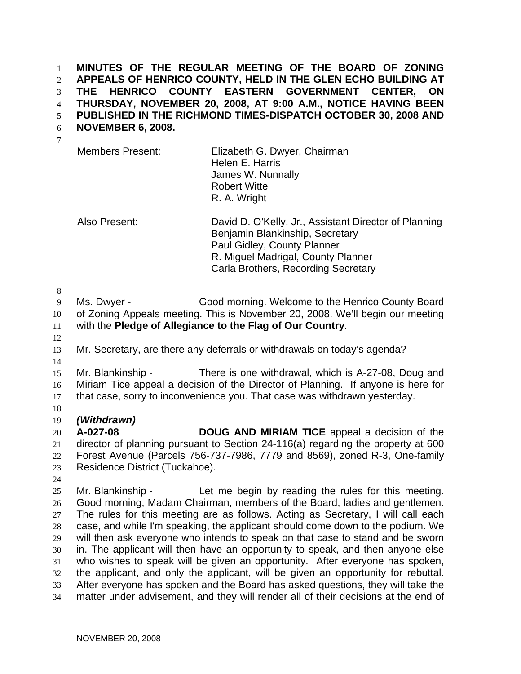**MINUTES OF THE REGULAR MEETING OF THE BOARD OF ZONING APPEALS OF HENRICO COUNTY, HELD IN THE GLEN ECHO BUILDING AT THE HENRICO COUNTY EASTERN GOVERNMENT CENTER, ON THURSDAY, NOVEMBER 20, 2008, AT 9:00 A.M., NOTICE HAVING BEEN PUBLISHED IN THE RICHMOND TIMES-DISPATCH OCTOBER 30, 2008 AND**  1 2 3 4 5

- **NOVEMBER 6, 2008.**  6
	- Members Present: Elizabeth G. Dwyer, Chairman Helen E. Harris James W. Nunnally Robert Witte R. A. Wright

Also Present: David D. O'Kelly, Jr., Assistant Director of Planning Benjamin Blankinship, Secretary Paul Gidley, County Planner R. Miguel Madrigal, County Planner Carla Brothers, Recording Secretary

8

7

- 9 Ms. Dwyer - Good morning. Welcome to the Henrico County Board
- 10 of Zoning Appeals meeting. This is November 20, 2008. We'll begin our meeting
- 11 with the **Pledge of Allegiance to the Flag of Our Country**.
- 12
- 13 Mr. Secretary, are there any deferrals or withdrawals on today's agenda?
- 14

15 16 17 Mr. Blankinship - There is one withdrawal, which is A-27-08, Doug and Miriam Tice appeal a decision of the Director of Planning. If anyone is here for that case, sorry to inconvenience you. That case was withdrawn yesterday.

- 18
- 19 *(Withdrawn)*

20 21 22 23 **A-027-08 DOUG AND MIRIAM TICE** appeal a decision of the director of planning pursuant to Section 24-116(a) regarding the property at 600 Forest Avenue (Parcels 756-737-7986, 7779 and 8569), zoned R-3, One-family Residence District (Tuckahoe).

24

25 26 27 28 29 30 31 32 33 34 Mr. Blankinship - Let me begin by reading the rules for this meeting. Good morning, Madam Chairman, members of the Board, ladies and gentlemen. The rules for this meeting are as follows. Acting as Secretary, I will call each case, and while I'm speaking, the applicant should come down to the podium. We will then ask everyone who intends to speak on that case to stand and be sworn in. The applicant will then have an opportunity to speak, and then anyone else who wishes to speak will be given an opportunity. After everyone has spoken, the applicant, and only the applicant, will be given an opportunity for rebuttal. After everyone has spoken and the Board has asked questions, they will take the matter under advisement, and they will render all of their decisions at the end of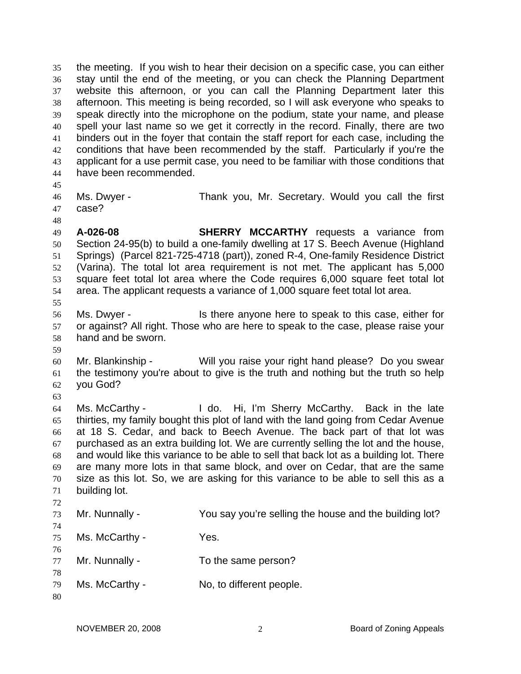the meeting. If you wish to hear their decision on a specific case, you can either stay until the end of the meeting, or you can check the Planning Department website this afternoon, or you can call the Planning Department later this afternoon. This meeting is being recorded, so I will ask everyone who speaks to speak directly into the microphone on the podium, state your name, and please spell your last name so we get it correctly in the record. Finally, there are two binders out in the foyer that contain the staff report for each case, including the conditions that have been recommended by the staff. Particularly if you're the applicant for a use permit case, you need to be familiar with those conditions that have been recommended. 35 36 37 38 39 40 41 42 43 44

45

48

46 47 Ms. Dwyer - Thank you, Mr. Secretary. Would you call the first case?

49 50 51 52 53 54 55 **A-026-08 SHERRY MCCARTHY** requests a variance from Section 24-95(b) to build a one-family dwelling at 17 S. Beech Avenue (Highland Springs) (Parcel 821-725-4718 (part)), zoned R-4, One-family Residence District (Varina). The total lot area requirement is not met. The applicant has 5,000 square feet total lot area where the Code requires 6,000 square feet total lot area. The applicant requests a variance of 1,000 square feet total lot area.

56 57 58 Ms. Dwyer - Is there anyone here to speak to this case, either for or against? All right. Those who are here to speak to the case, please raise your hand and be sworn.

59

60 61 62 Mr. Blankinship - Will you raise your right hand please? Do you swear the testimony you're about to give is the truth and nothing but the truth so help you God?

63

64 65 66 67 68 69 70 71 72 Ms. McCarthy - I do. Hi, I'm Sherry McCarthy. Back in the late thirties, my family bought this plot of land with the land going from Cedar Avenue at 18 S. Cedar, and back to Beech Avenue. The back part of that lot was purchased as an extra building lot. We are currently selling the lot and the house, and would like this variance to be able to sell that back lot as a building lot. There are many more lots in that same block, and over on Cedar, that are the same size as this lot. So, we are asking for this variance to be able to sell this as a building lot.

- 73 Mr. Nunnally - The You say you're selling the house and the building lot?
- 75 Ms. McCarthy - Yes.
- 76 77 Mr. Nunnally - To the same person?
- 78 79 Ms. McCarthy - No, to different people.
- 80

74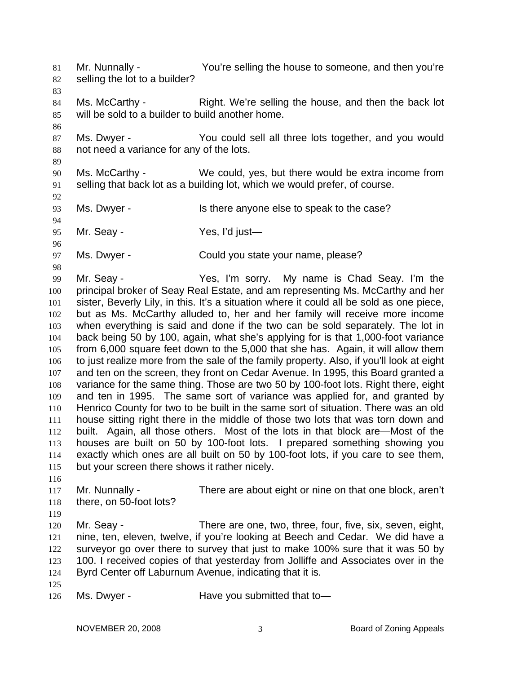Mr. Nunnally - You're selling the house to someone, and then you're selling the lot to a builder? 81 82 83 84 85 86 87 88 89 90 91 92 93 94 95 96 97 98 99 100 101 102 103 104 105 106 107 108 109 110 111 112 113 114 115 116 117 118 119 120 121 122 123 124 125 Ms. McCarthy - Right. We're selling the house, and then the back lot will be sold to a builder to build another home. Ms. Dwyer - You could sell all three lots together, and you would not need a variance for any of the lots. Ms. McCarthy - We could, yes, but there would be extra income from selling that back lot as a building lot, which we would prefer, of course. Ms. Dwyer - Is there anyone else to speak to the case? Mr. Seay - Yes, I'd just— Ms. Dwyer - Could you state your name, please? Mr. Seay - Yes, I'm sorry. My name is Chad Seay. I'm the principal broker of Seay Real Estate, and am representing Ms. McCarthy and her sister, Beverly Lily, in this. It's a situation where it could all be sold as one piece, but as Ms. McCarthy alluded to, her and her family will receive more income when everything is said and done if the two can be sold separately. The lot in back being 50 by 100, again, what she's applying for is that 1,000-foot variance from 6,000 square feet down to the 5,000 that she has. Again, it will allow them to just realize more from the sale of the family property. Also, if you'll look at eight and ten on the screen, they front on Cedar Avenue. In 1995, this Board granted a variance for the same thing. Those are two 50 by 100-foot lots. Right there, eight and ten in 1995. The same sort of variance was applied for, and granted by Henrico County for two to be built in the same sort of situation. There was an old house sitting right there in the middle of those two lots that was torn down and built. Again, all those others. Most of the lots in that block are—Most of the houses are built on 50 by 100-foot lots. I prepared something showing you exactly which ones are all built on 50 by 100-foot lots, if you care to see them, but your screen there shows it rather nicely. Mr. Nunnally - There are about eight or nine on that one block, aren't there, on 50-foot lots? Mr. Seay - There are one, two, three, four, five, six, seven, eight, nine, ten, eleven, twelve, if you're looking at Beech and Cedar. We did have a surveyor go over there to survey that just to make 100% sure that it was 50 by 100. I received copies of that yesterday from Jolliffe and Associates over in the Byrd Center off Laburnum Avenue, indicating that it is.

126 Ms. Dwyer - Have you submitted that to-

NOVEMBER 20, 2008 3 Board of Zoning Appeals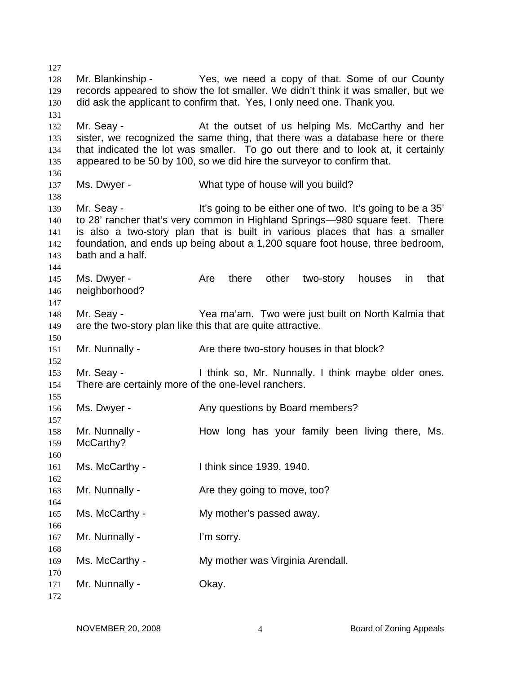Mr. Blankinship - Yes, we need a copy of that. Some of our County records appeared to show the lot smaller. We didn't think it was smaller, but we did ask the applicant to confirm that. Yes, I only need one. Thank you. Mr. Seay - The At the outset of us helping Ms. McCarthy and her sister, we recognized the same thing, that there was a database here or there that indicated the lot was smaller. To go out there and to look at, it certainly appeared to be 50 by 100, so we did hire the surveyor to confirm that. Ms. Dwyer - What type of house will you build? Mr. Seay - It's going to be either one of two. It's going to be a 35' to 28' rancher that's very common in Highland Springs—980 square feet. There is also a two-story plan that is built in various places that has a smaller foundation, and ends up being about a 1,200 square foot house, three bedroom, bath and a half. Ms. Dwyer - Are there other two-story houses in that neighborhood? Mr. Seay - Yea ma'am. Two were just built on North Kalmia that are the two-story plan like this that are quite attractive. Mr. Nunnally - Are there two-story houses in that block? Mr. Seay - Think so, Mr. Nunnally. I think maybe older ones. There are certainly more of the one-level ranchers. Ms. Dwyer - Any questions by Board members? Mr. Nunnally - The How long has your family been living there, Ms. McCarthy? Ms. McCarthy - Ithink since 1939, 1940. Mr. Nunnally - Are they going to move, too? Ms. McCarthy - My mother's passed away. Mr. Nunnally - I'm sorry. Ms. McCarthy - My mother was Virginia Arendall. Mr. Nunnally - Chay.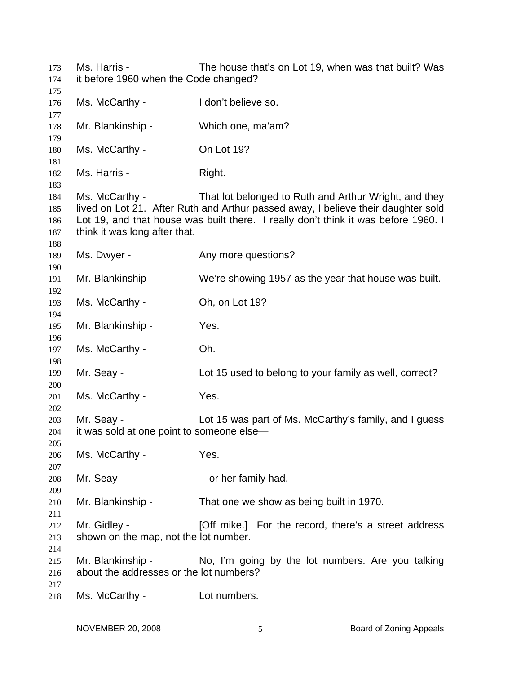Ms. Harris - The house that's on Lot 19, when was that built? Was it before 1960 when the Code changed? Ms. McCarthy - I don't believe so. Mr. Blankinship - Which one, ma'am? Ms. McCarthy - On Lot 19? Ms. Harris - Right. Ms. McCarthy - That lot belonged to Ruth and Arthur Wright, and they lived on Lot 21. After Ruth and Arthur passed away, I believe their daughter sold Lot 19, and that house was built there. I really don't think it was before 1960. I think it was long after that. Ms. Dwyer - The Any more questions? Mr. Blankinship - We're showing 1957 as the year that house was built. Ms. McCarthy - Ch, on Lot 19? Mr. Blankinship - Yes. Ms. McCarthy - Ch. Mr. Seay - Lot 15 used to belong to your family as well, correct? Ms. McCarthy - Yes. Mr. Seay - The Lot 15 was part of Ms. McCarthy's family, and I guess it was sold at one point to someone else— Ms. McCarthy - Yes. Mr. Seay - The Contract Contract - Or her family had. Mr. Blankinship - That one we show as being built in 1970. Mr. Gidley - **[Off mike.]** For the record, there's a street address shown on the map, not the lot number. Mr. Blankinship - No, I'm going by the lot numbers. Are you talking about the addresses or the lot numbers? Ms. McCarthy - Lot numbers.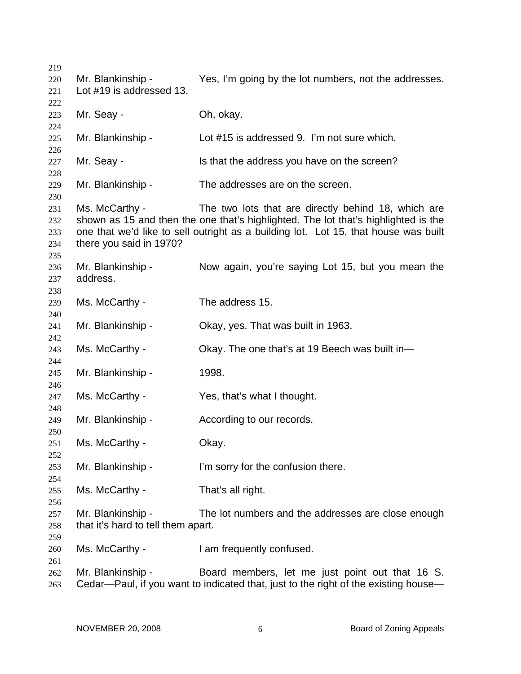Mr. Blankinship - Yes, I'm going by the lot numbers, not the addresses. Lot #19 is addressed 13. Mr. Seay - Ch. okay. Mr. Blankinship - Lot #15 is addressed 9. I'm not sure which. Mr. Seay - The School is that the address you have on the screen? Mr. Blankinship - The addresses are on the screen. Ms. McCarthy - The two lots that are directly behind 18, which are shown as 15 and then the one that's highlighted. The lot that's highlighted is the one that we'd like to sell outright as a building lot. Lot 15, that house was built there you said in 1970? Mr. Blankinship - Now again, you're saying Lot 15, but you mean the address. Ms. McCarthy - The address 15. Mr. Blankinship - Okay, yes. That was built in 1963. Ms. McCarthy - Ckay. The one that's at 19 Beech was built in-Mr. Blankinship - 1998. Ms. McCarthy - Yes, that's what I thought. Mr. Blankinship - The According to our records. Ms. McCarthy - Chay. Mr. Blankinship - I'm sorry for the confusion there. Ms. McCarthy - That's all right. Mr. Blankinship - The lot numbers and the addresses are close enough that it's hard to tell them apart. Ms. McCarthy - I am frequently confused. Mr. Blankinship - Board members, let me just point out that 16 S. Cedar—Paul, if you want to indicated that, just to the right of the existing house—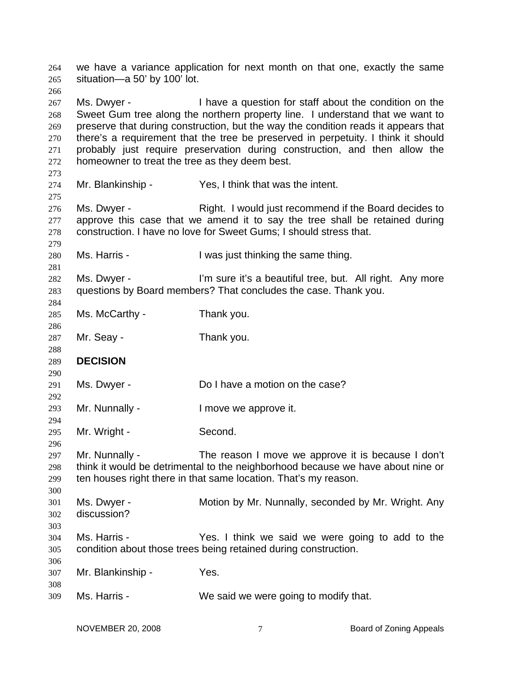we have a variance application for next month on that one, exactly the same situation—a 50' by 100' lot. 264 265 266 267 268 269 270 271 272 273 274 275 276 277 278 279 280 281 282 283 284 285 286 287 288 289 290 291 292 293 294 295 296 297 298 299 300 301 302 303 304 305 306 307 308 309 Ms. Dwyer - Thave a question for staff about the condition on the Sweet Gum tree along the northern property line. I understand that we want to preserve that during construction, but the way the condition reads it appears that there's a requirement that the tree be preserved in perpetuity. I think it should probably just require preservation during construction, and then allow the homeowner to treat the tree as they deem best. Mr. Blankinship - Yes, I think that was the intent. Ms. Dwyer - The Right. I would just recommend if the Board decides to approve this case that we amend it to say the tree shall be retained during construction. I have no love for Sweet Gums; I should stress that. Ms. Harris - The Music Hearth I was just thinking the same thing. Ms. Dwyer - I'm sure it's a beautiful tree, but. All right. Any more questions by Board members? That concludes the case. Thank you. Ms. McCarthy - Thank you. Mr. Seay - Thank you. **DECISION**  Ms. Dwyer - **Do I have a motion on the case?** Mr. Nunnally - The Music Conservation of the Mr. Nunnally - The Music Conservation of the Music Conservation of the Music Conservation of the Music Conservation of the Music Conservation of Music Conservation of Music Cons Mr. Wright - Second. Mr. Nunnally - The reason I move we approve it is because I don't think it would be detrimental to the neighborhood because we have about nine or ten houses right there in that same location. That's my reason. Ms. Dwyer - **Motion by Mr. Nunnally, seconded by Mr. Wright. Any** discussion? Ms. Harris - Think we said we were going to add to the condition about those trees being retained during construction. Mr. Blankinship - Yes. Ms. Harris - We said we were going to modify that.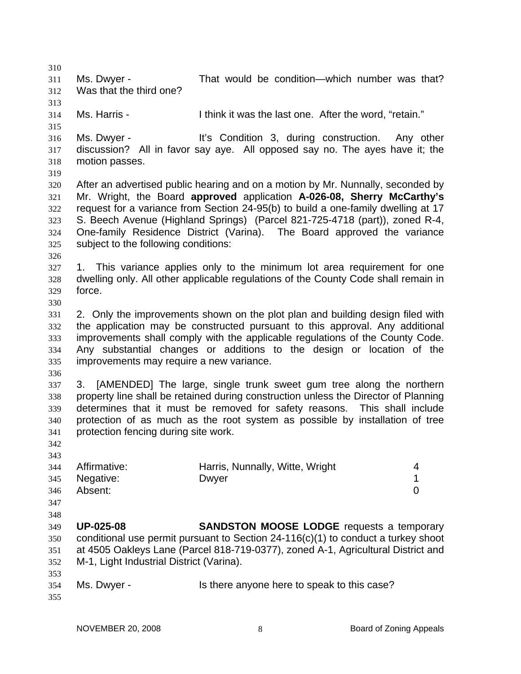310 311 312 313 314 315 316 317 318 319 320 321 322 323 324 325 326 327 328 329 330 331 332 333 334 335 336 337 338 339 340 341 342 343 344 345 346 347 348 349 350 351 352 353 354 355 Ms. Dwyer - That would be condition—which number was that? Was that the third one? Ms. Harris - I think it was the last one. After the word, "retain." Ms. Dwyer - The Music Condition 3, during construction. Any other discussion? All in favor say aye. All opposed say no. The ayes have it; the motion passes. After an advertised public hearing and on a motion by Mr. Nunnally, seconded by Mr. Wright, the Board **approved** application **A-026-08, Sherry McCarthy's** request for a variance from Section 24-95(b) to build a one-family dwelling at 17 S. Beech Avenue (Highland Springs) (Parcel 821-725-4718 (part)), zoned R-4, One-family Residence District (Varina). The Board approved the variance subject to the following conditions: 1. This variance applies only to the minimum lot area requirement for one dwelling only. All other applicable regulations of the County Code shall remain in force. 2. Only the improvements shown on the plot plan and building design filed with the application may be constructed pursuant to this approval. Any additional improvements shall comply with the applicable regulations of the County Code. Any substantial changes or additions to the design or location of the improvements may require a new variance. 3. [AMENDED] The large, single trunk sweet gum tree along the northern property line shall be retained during construction unless the Director of Planning determines that it must be removed for safety reasons. This shall include protection of as much as the root system as possible by installation of tree protection fencing during site work. Affirmative: **Harris, Nunnally, Witte, Wright** 4 Negative: Dwyer 2009 Dwyth Dwyth 2009 Power 2009 Power 2009 Power 2009 Power 2009 Power 2009 Power 2009 Power Absent: 0 **UP-025-08 SANDSTON MOOSE LODGE** requests a temporary conditional use permit pursuant to Section 24-116(c)(1) to conduct a turkey shoot at 4505 Oakleys Lane (Parcel 818-719-0377), zoned A-1, Agricultural District and M-1, Light Industrial District (Varina). Ms. Dwyer - Is there anyone here to speak to this case?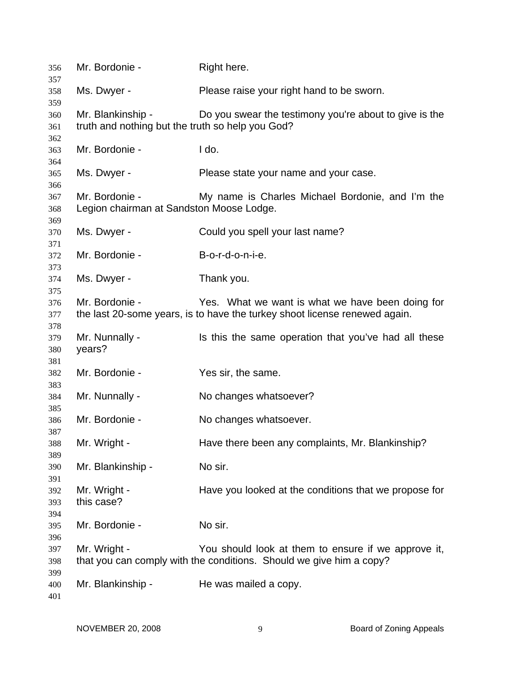| 356        | Mr. Bordonie -                                                        | Right here.                                                                |
|------------|-----------------------------------------------------------------------|----------------------------------------------------------------------------|
| 357<br>358 | Ms. Dwyer -                                                           | Please raise your right hand to be sworn.                                  |
| 359        |                                                                       |                                                                            |
| 360<br>361 | Mr. Blankinship -<br>truth and nothing but the truth so help you God? | Do you swear the testimony you're about to give is the                     |
| 362        |                                                                       |                                                                            |
| 363        | Mr. Bordonie -                                                        | I do.                                                                      |
| 364<br>365 | Ms. Dwyer -                                                           | Please state your name and your case.                                      |
| 366        |                                                                       |                                                                            |
| 367<br>368 | Mr. Bordonie -<br>Legion chairman at Sandston Moose Lodge.            | My name is Charles Michael Bordonie, and I'm the                           |
| 369        |                                                                       |                                                                            |
| 370<br>371 | Ms. Dwyer -                                                           | Could you spell your last name?                                            |
|            | Mr. Bordonie -                                                        |                                                                            |
| 372        |                                                                       | B-o-r-d-o-n-i-e.                                                           |
| 373        |                                                                       |                                                                            |
| 374        | Ms. Dwyer -                                                           | Thank you.                                                                 |
| 375        |                                                                       |                                                                            |
| 376        | Mr. Bordonie -                                                        | Yes. What we want is what we have been doing for                           |
| 377        |                                                                       | the last 20-some years, is to have the turkey shoot license renewed again. |
| 378        |                                                                       |                                                                            |
| 379        | Mr. Nunnally -                                                        | Is this the same operation that you've had all these                       |
| 380        | years?                                                                |                                                                            |
| 381        |                                                                       |                                                                            |
| 382        | Mr. Bordonie -                                                        | Yes sir, the same.                                                         |
|            |                                                                       |                                                                            |
| 383        |                                                                       |                                                                            |
| 384        | Mr. Nunnally -                                                        | No changes whatsoever?                                                     |
| 385        |                                                                       |                                                                            |
| 386        | Mr. Bordonie -                                                        | No changes whatsoever.                                                     |
| 387        |                                                                       |                                                                            |
| 388        | Mr. Wright -                                                          | Have there been any complaints, Mr. Blankinship?                           |
| 389        |                                                                       |                                                                            |
| 390        | Mr. Blankinship -                                                     | No sir.                                                                    |
| 391        |                                                                       |                                                                            |
| 392        | Mr. Wright -                                                          | Have you looked at the conditions that we propose for                      |
| 393        | this case?                                                            |                                                                            |
| 394        |                                                                       |                                                                            |
|            |                                                                       | No sir.                                                                    |
| 395        | Mr. Bordonie -                                                        |                                                                            |
| 396        |                                                                       |                                                                            |
| 397        | Mr. Wright -                                                          | You should look at them to ensure if we approve it,                        |
| 398        |                                                                       | that you can comply with the conditions. Should we give him a copy?        |
| 399        |                                                                       |                                                                            |
| 400        | Mr. Blankinship -                                                     | He was mailed a copy.                                                      |
| 401        |                                                                       |                                                                            |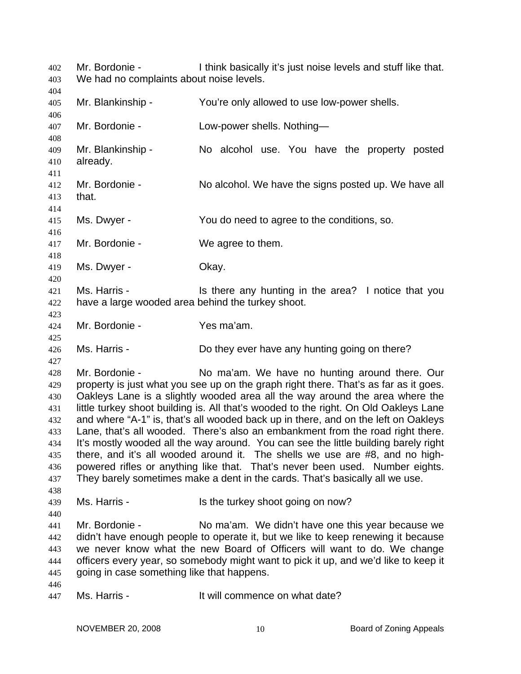Mr. Bordonie - I think basically it's just noise levels and stuff like that. We had no complaints about noise levels. 402 403 404 405 406 407 408 409 410 411 412 413 414 415 416 417 418 419 420 421 422 423 424 425 426 427 428 429 430 431 432 433 434 435 436 437 438 439 440 441 442 443 444 445 446 447 Mr. Blankinship - You're only allowed to use low-power shells. Mr. Bordonie - Low-power shells. Nothing-Mr. Blankinship - No alcohol use. You have the property posted already. Mr. Bordonie - No alcohol. We have the signs posted up. We have all that. Ms. Dwyer - The You do need to agree to the conditions, so. Mr. Bordonie - We agree to them. Ms. Dwyer - Chay. Ms. Harris - Is there any hunting in the area? I notice that you have a large wooded area behind the turkey shoot. Mr. Bordonie - Yes ma'am. Ms. Harris - **Do they ever have any hunting going on there?** Mr. Bordonie - No ma'am. We have no hunting around there. Our property is just what you see up on the graph right there. That's as far as it goes. Oakleys Lane is a slightly wooded area all the way around the area where the little turkey shoot building is. All that's wooded to the right. On Old Oakleys Lane and where "A-1" is, that's all wooded back up in there, and on the left on Oakleys Lane, that's all wooded. There's also an embankment from the road right there. It's mostly wooded all the way around. You can see the little building barely right there, and it's all wooded around it. The shells we use are #8, and no highpowered rifles or anything like that. That's never been used. Number eights. They barely sometimes make a dent in the cards. That's basically all we use. Ms. Harris - Is the turkey shoot going on now? Mr. Bordonie - No ma'am. We didn't have one this year because we didn't have enough people to operate it, but we like to keep renewing it because we never know what the new Board of Officers will want to do. We change officers every year, so somebody might want to pick it up, and we'd like to keep it going in case something like that happens. Ms. Harris - The Music of the Unit will commence on what date?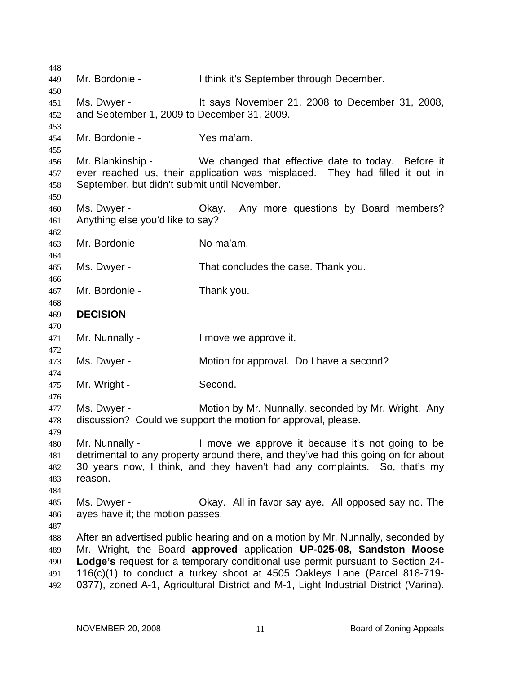448 449 450 451 452 453 454 455 456 457 458 459 460 461 462 463 464 465 466 467 468 469 470 471 472 473 474 475 476 477 478 479 480 481 482 483 484 485 486 487 488 489 490 491 492 Mr. Bordonie - Ithink it's September through December. Ms. Dwyer - It says November 21, 2008 to December 31, 2008, and September 1, 2009 to December 31, 2009. Mr. Bordonie - Yes ma'am. Mr. Blankinship - We changed that effective date to today. Before it ever reached us, their application was misplaced. They had filled it out in September, but didn't submit until November. Ms. Dwyer - Okay. Any more questions by Board members? Anything else you'd like to say? Mr. Bordonie - No ma'am. Ms. Dwyer - That concludes the case. Thank you. Mr. Bordonie - Thank you. **DECISION**  Mr. Nunnally - The Music Contract in the Music Contract Internal Music Contract in Music Contract Internal Music Contract Internal Music Contract Internal Music Contract Internal Music Contract Internal Music Contract Inte Ms. Dwyer - **Motion for approval.** Do I have a second? Mr. Wright - Second. Ms. Dwyer - Motion by Mr. Nunnally, seconded by Mr. Wright. Any discussion? Could we support the motion for approval, please. Mr. Nunnally - I move we approve it because it's not going to be detrimental to any property around there, and they've had this going on for about 30 years now, I think, and they haven't had any complaints. So, that's my reason. Ms. Dwyer - Ckay. All in favor say aye. All opposed say no. The ayes have it; the motion passes. After an advertised public hearing and on a motion by Mr. Nunnally, seconded by Mr. Wright, the Board **approved** application **UP-025-08, Sandston Moose Lodge's** request for a temporary conditional use permit pursuant to Section 24- 116(c)(1) to conduct a turkey shoot at 4505 Oakleys Lane (Parcel 818-719- 0377), zoned A-1, Agricultural District and M-1, Light Industrial District (Varina).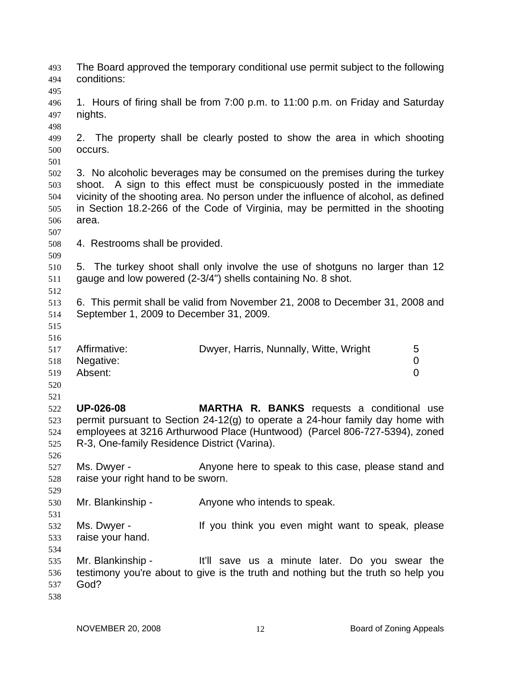| 493<br>494<br>495                      | conditions:                                                      | The Board approved the temporary conditional use permit subject to the following                                                                                                                                                                                                                                                  |     |
|----------------------------------------|------------------------------------------------------------------|-----------------------------------------------------------------------------------------------------------------------------------------------------------------------------------------------------------------------------------------------------------------------------------------------------------------------------------|-----|
| 496<br>497<br>498                      | nights.                                                          | 1. Hours of firing shall be from 7:00 p.m. to 11:00 p.m. on Friday and Saturday                                                                                                                                                                                                                                                   |     |
| 499<br>500<br>501                      | occurs.                                                          | 2. The property shall be clearly posted to show the area in which shooting                                                                                                                                                                                                                                                        |     |
| 502<br>503<br>504<br>505<br>506<br>507 | area.                                                            | 3. No alcoholic beverages may be consumed on the premises during the turkey<br>shoot. A sign to this effect must be conspicuously posted in the immediate<br>vicinity of the shooting area. No person under the influence of alcohol, as defined<br>in Section 18.2-266 of the Code of Virginia, may be permitted in the shooting |     |
| 508                                    | 4. Restrooms shall be provided.                                  |                                                                                                                                                                                                                                                                                                                                   |     |
| 509<br>510<br>511<br>512               |                                                                  | 5. The turkey shoot shall only involve the use of shotguns no larger than 12<br>gauge and low powered (2-3/4") shells containing No. 8 shot.                                                                                                                                                                                      |     |
| 513<br>514<br>515<br>516               | September 1, 2009 to December 31, 2009.                          | 6. This permit shall be valid from November 21, 2008 to December 31, 2008 and                                                                                                                                                                                                                                                     |     |
| 517<br>518<br>519<br>520<br>521        | Affirmative:<br>Negative:<br>Absent:                             | Dwyer, Harris, Nunnally, Witte, Wright<br>5<br>0<br>0                                                                                                                                                                                                                                                                             |     |
| 522<br>523<br>524<br>525<br>526        | <b>UP-026-08</b><br>R-3, One-family Residence District (Varina). | <b>MARTHA R. BANKS</b> requests a conditional<br>permit pursuant to Section 24-12(g) to operate a 24-hour family day home with<br>employees at 3216 Arthurwood Place (Huntwood) (Parcel 806-727-5394), zoned                                                                                                                      | use |
| 527<br>528<br>529                      | Ms. Dwyer -<br>raise your right hand to be sworn.                | Anyone here to speak to this case, please stand and                                                                                                                                                                                                                                                                               |     |
| 530                                    | Mr. Blankinship -                                                | Anyone who intends to speak.                                                                                                                                                                                                                                                                                                      |     |
| 531<br>532<br>533<br>534               | Ms. Dwyer -<br>raise your hand.                                  | If you think you even might want to speak, please                                                                                                                                                                                                                                                                                 |     |
| 535<br>536<br>537<br>538               | Mr. Blankinship -<br>God?                                        | It'll save us a minute later. Do you swear the<br>testimony you're about to give is the truth and nothing but the truth so help you                                                                                                                                                                                               |     |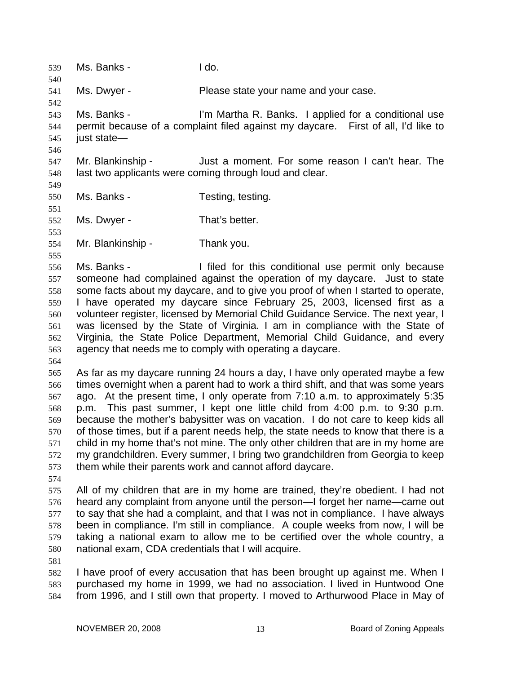539 Ms. Banks - I do. 540 541 542 543 544 545 546 547 548 549 550 551 552 553 554 555 556 557 558 559 560 561 562 563 564 565 566 567 568 569 570 571 572 573 574 575 576 577 578 579 580 581 582 583 584 Ms. Dwyer - Please state your name and your case. Ms. Banks - I'm Martha R. Banks. I applied for a conditional use permit because of a complaint filed against my daycare. First of all, I'd like to just state— Mr. Blankinship - Just a moment. For some reason I can't hear. The last two applicants were coming through loud and clear. Ms. Banks - Testing, testing. Ms. Dwyer - That's better. Mr. Blankinship - Thank you. Ms. Banks - The I filed for this conditional use permit only because someone had complained against the operation of my daycare. Just to state some facts about my daycare, and to give you proof of when I started to operate, I have operated my daycare since February 25, 2003, licensed first as a volunteer register, licensed by Memorial Child Guidance Service. The next year, I was licensed by the State of Virginia. I am in compliance with the State of Virginia, the State Police Department, Memorial Child Guidance, and every agency that needs me to comply with operating a daycare. As far as my daycare running 24 hours a day, I have only operated maybe a few times overnight when a parent had to work a third shift, and that was some years ago. At the present time, I only operate from 7:10 a.m. to approximately 5:35 p.m. This past summer, I kept one little child from 4:00 p.m. to 9:30 p.m. because the mother's babysitter was on vacation. I do not care to keep kids all of those times, but if a parent needs help, the state needs to know that there is a child in my home that's not mine. The only other children that are in my home are my grandchildren. Every summer, I bring two grandchildren from Georgia to keep them while their parents work and cannot afford daycare. All of my children that are in my home are trained, they're obedient. I had not heard any complaint from anyone until the person—I forget her name—came out to say that she had a complaint, and that I was not in compliance. I have always been in compliance. I'm still in compliance. A couple weeks from now, I will be taking a national exam to allow me to be certified over the whole country, a national exam, CDA credentials that I will acquire. I have proof of every accusation that has been brought up against me. When I purchased my home in 1999, we had no association. I lived in Huntwood One from 1996, and I still own that property. I moved to Arthurwood Place in May of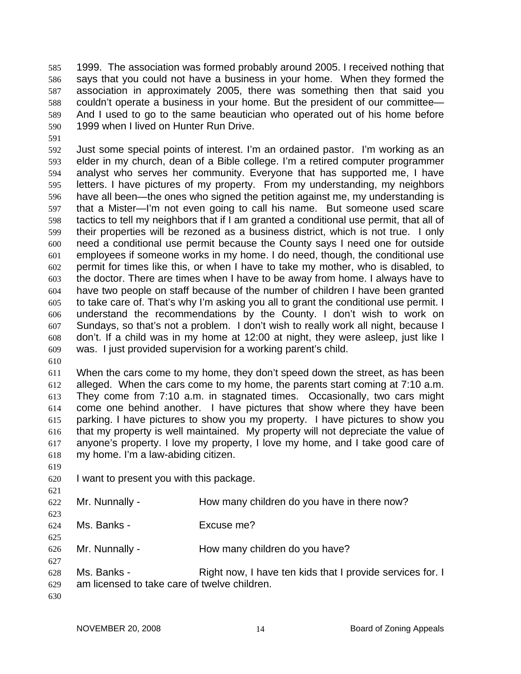1999. The association was formed probably around 2005. I received nothing that says that you could not have a business in your home. When they formed the association in approximately 2005, there was something then that said you couldn't operate a business in your home. But the president of our committee— And I used to go to the same beautician who operated out of his home before 1999 when I lived on Hunter Run Drive. 585 586 587 588 589 590

591

592 593 594 595 596 597 598 599 600 601 602 603 604 605 606 607 608 609 Just some special points of interest. I'm an ordained pastor. I'm working as an elder in my church, dean of a Bible college. I'm a retired computer programmer analyst who serves her community. Everyone that has supported me, I have letters. I have pictures of my property. From my understanding, my neighbors have all been—the ones who signed the petition against me, my understanding is that a Mister—I'm not even going to call his name. But someone used scare tactics to tell my neighbors that if I am granted a conditional use permit, that all of their properties will be rezoned as a business district, which is not true. I only need a conditional use permit because the County says I need one for outside employees if someone works in my home. I do need, though, the conditional use permit for times like this, or when I have to take my mother, who is disabled, to the doctor. There are times when I have to be away from home. I always have to have two people on staff because of the number of children I have been granted to take care of. That's why I'm asking you all to grant the conditional use permit. I understand the recommendations by the County. I don't wish to work on Sundays, so that's not a problem. I don't wish to really work all night, because I don't. If a child was in my home at 12:00 at night, they were asleep, just like I was. I just provided supervision for a working parent's child.

610

611 612 613 614 615 616 617 618 When the cars come to my home, they don't speed down the street, as has been alleged. When the cars come to my home, the parents start coming at 7:10 a.m. They come from 7:10 a.m. in stagnated times. Occasionally, two cars might come one behind another. I have pictures that show where they have been parking. I have pictures to show you my property. I have pictures to show you that my property is well maintained. My property will not depreciate the value of anyone's property. I love my property, I love my home, and I take good care of my home. I'm a law-abiding citizen.

619

621

625

627

620 I want to present you with this package.

- 622 623 Mr. Nunnally - How many children do you have in there now?
- 624 Ms. Banks - Excuse me?

626 Mr. Nunnally - How many children do you have?

- 628 629 Ms. Banks - Right now, I have ten kids that I provide services for. I am licensed to take care of twelve children.
- 630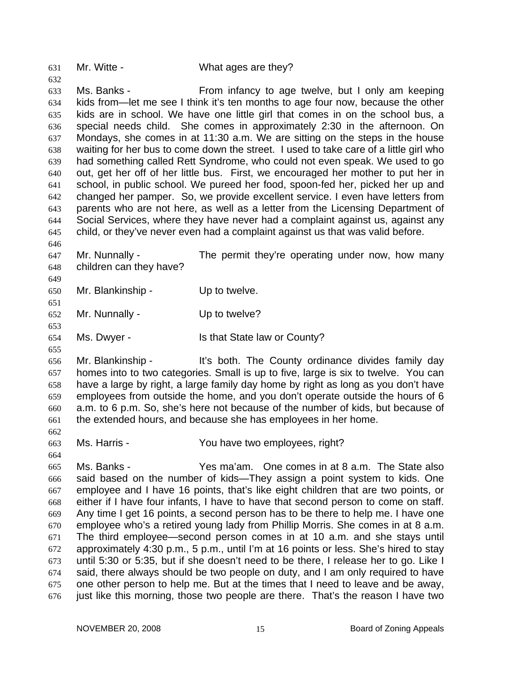631 Mr. Witte - What ages are they?

632

646

649

651

653

655

662

664

633 634 635 636 637 638 639 640 641 642 643 644 645 Ms. Banks - From infancy to age twelve, but I only am keeping kids from—let me see I think it's ten months to age four now, because the other kids are in school. We have one little girl that comes in on the school bus, a special needs child. She comes in approximately 2:30 in the afternoon. On Mondays, she comes in at 11:30 a.m. We are sitting on the steps in the house waiting for her bus to come down the street. I used to take care of a little girl who had something called Rett Syndrome, who could not even speak. We used to go out, get her off of her little bus. First, we encouraged her mother to put her in school, in public school. We pureed her food, spoon-fed her, picked her up and changed her pamper. So, we provide excellent service. I even have letters from parents who are not here, as well as a letter from the Licensing Department of Social Services, where they have never had a complaint against us, against any child, or they've never even had a complaint against us that was valid before.

647 648 Mr. Nunnally - The permit they're operating under now, how many children can they have?

650 Mr. Blankinship - Up to twelve.

652 Mr. Nunnally - Up to twelve?

654 Ms. Dwyer - Is that State law or County?

656 657 658 659 660 661 Mr. Blankinship - It's both. The County ordinance divides family day homes into to two categories. Small is up to five, large is six to twelve. You can have a large by right, a large family day home by right as long as you don't have employees from outside the home, and you don't operate outside the hours of 6 a.m. to 6 p.m. So, she's here not because of the number of kids, but because of the extended hours, and because she has employees in her home.

663 Ms. Harris - The Mou have two employees, right?

665 666 667 668 669 670 671 672 673 674 675 676 Ms. Banks - Yes ma'am. One comes in at 8 a.m. The State also said based on the number of kids—They assign a point system to kids. One employee and I have 16 points, that's like eight children that are two points, or either if I have four infants, I have to have that second person to come on staff. Any time I get 16 points, a second person has to be there to help me. I have one employee who's a retired young lady from Phillip Morris. She comes in at 8 a.m. The third employee—second person comes in at 10 a.m. and she stays until approximately 4:30 p.m., 5 p.m., until I'm at 16 points or less. She's hired to stay until 5:30 or 5:35, but if she doesn't need to be there, I release her to go. Like I said, there always should be two people on duty, and I am only required to have one other person to help me. But at the times that I need to leave and be away, just like this morning, those two people are there. That's the reason I have two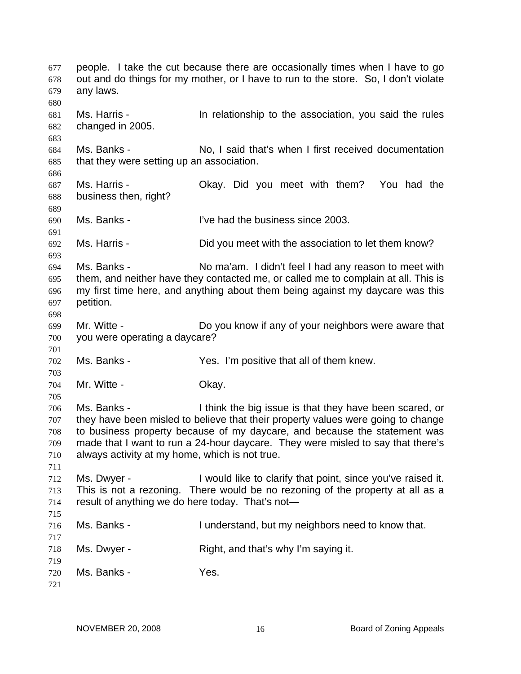people. I take the cut because there are occasionally times when I have to go out and do things for my mother, or I have to run to the store. So, I don't violate any laws. 677 678 679 680 681 682 683 684 685 686 687 688 689 690 691 692 693 694 695 696 697 698 699 700 701 702 703 704 705 706 707 708 709 710 711 712 713 714 715 716 717 718 719 720 721 Ms. Harris - In relationship to the association, you said the rules changed in 2005. Ms. Banks - No, I said that's when I first received documentation that they were setting up an association. Ms. Harris - Okay. Did you meet with them? You had the business then, right? Ms. Banks - I've had the business since 2003. Ms. Harris - Did you meet with the association to let them know? Ms. Banks - No ma'am. I didn't feel I had any reason to meet with them, and neither have they contacted me, or called me to complain at all. This is my first time here, and anything about them being against my daycare was this petition. Mr. Witte - Do you know if any of your neighbors were aware that you were operating a daycare? Ms. Banks - Yes. I'm positive that all of them knew. Mr. Witte - Chay. Ms. Banks - I think the big issue is that they have been scared, or they have been misled to believe that their property values were going to change to business property because of my daycare, and because the statement was made that I want to run a 24-hour daycare. They were misled to say that there's always activity at my home, which is not true. Ms. Dwyer - I would like to clarify that point, since you've raised it. This is not a rezoning. There would be no rezoning of the property at all as a result of anything we do here today. That's not— Ms. Banks - The I understand, but my neighbors need to know that. Ms. Dwyer - Right, and that's why I'm saying it. Ms. Banks - Yes.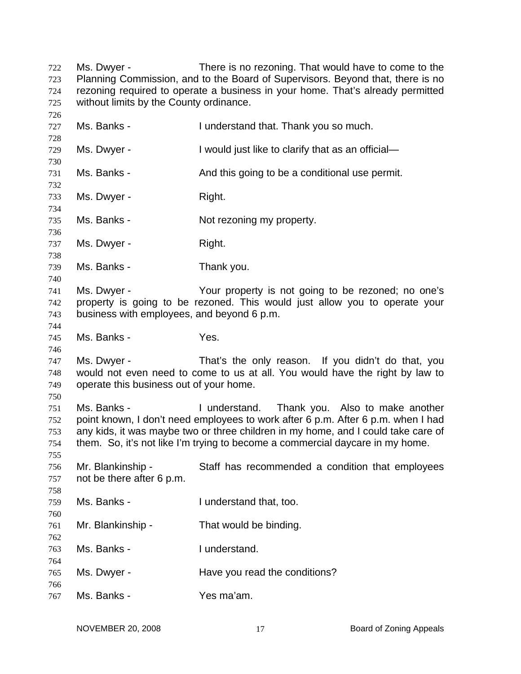| 722 | Ms. Dwyer -                             | There is no rezoning. That would have to come to the                           |
|-----|-----------------------------------------|--------------------------------------------------------------------------------|
| 723 |                                         | Planning Commission, and to the Board of Supervisors. Beyond that, there is no |
| 724 |                                         | rezoning required to operate a business in your home. That's already permitted |
| 725 | without limits by the County ordinance. |                                                                                |
| 726 |                                         |                                                                                |

| 727<br>728                      | Ms. Banks -                                               | I understand that. Thank you so much.                                                                                                                                                                                                                                                                   |
|---------------------------------|-----------------------------------------------------------|---------------------------------------------------------------------------------------------------------------------------------------------------------------------------------------------------------------------------------------------------------------------------------------------------------|
| 729                             | Ms. Dwyer -                                               | I would just like to clarify that as an official-                                                                                                                                                                                                                                                       |
| 730                             |                                                           |                                                                                                                                                                                                                                                                                                         |
| 731<br>732                      | Ms. Banks -                                               | And this going to be a conditional use permit.                                                                                                                                                                                                                                                          |
| 733<br>734                      | Ms. Dwyer -                                               | Right.                                                                                                                                                                                                                                                                                                  |
| 735<br>736                      | Ms. Banks -                                               | Not rezoning my property.                                                                                                                                                                                                                                                                               |
| 737<br>738                      | Ms. Dwyer -                                               | Right.                                                                                                                                                                                                                                                                                                  |
| 739<br>740                      | Ms. Banks -                                               | Thank you.                                                                                                                                                                                                                                                                                              |
| 741<br>742<br>743<br>744        | Ms. Dwyer -<br>business with employees, and beyond 6 p.m. | Your property is not going to be rezoned; no one's<br>property is going to be rezoned. This would just allow you to operate your                                                                                                                                                                        |
| 745<br>746                      | Ms. Banks -                                               | Yes.                                                                                                                                                                                                                                                                                                    |
| 747<br>748<br>749               | Ms. Dwyer -<br>operate this business out of your home.    | That's the only reason. If you didn't do that, you<br>would not even need to come to us at all. You would have the right by law to                                                                                                                                                                      |
| 750<br>751<br>752<br>753<br>754 | Ms. Banks -                                               | I understand. Thank you. Also to make another<br>point known, I don't need employees to work after 6 p.m. After 6 p.m. when I had<br>any kids, it was maybe two or three children in my home, and I could take care of<br>them. So, it's not like I'm trying to become a commercial daycare in my home. |
| 755<br>756<br>757<br>758        | Mr. Blankinship -<br>not be there after 6 p.m.            | Staff has recommended a condition that employees                                                                                                                                                                                                                                                        |
| 759<br>760                      | Ms. Banks -                                               | I understand that, too.                                                                                                                                                                                                                                                                                 |
| 761<br>762                      | Mr. Blankinship -                                         | That would be binding.                                                                                                                                                                                                                                                                                  |
| 763                             | Ms. Banks -                                               | I understand.                                                                                                                                                                                                                                                                                           |
| 764<br>765<br>766               | Ms. Dwyer -                                               | Have you read the conditions?                                                                                                                                                                                                                                                                           |
| 767                             | Ms. Banks -                                               | Yes ma'am.                                                                                                                                                                                                                                                                                              |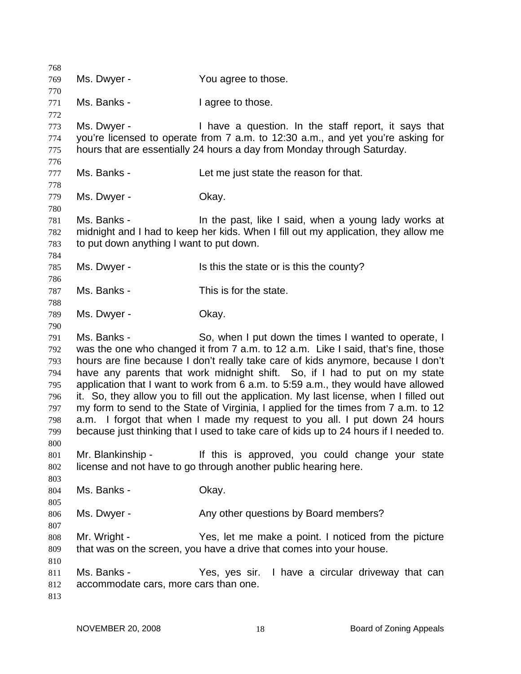| 768 |                                          |                                                                                        |
|-----|------------------------------------------|----------------------------------------------------------------------------------------|
| 769 | Ms. Dwyer -                              | You agree to those.                                                                    |
| 770 |                                          |                                                                                        |
| 771 | Ms. Banks -                              | I agree to those.                                                                      |
| 772 |                                          |                                                                                        |
| 773 | Ms. Dwyer -                              | I have a question. In the staff report, it says that                                   |
| 774 |                                          | you're licensed to operate from 7 a.m. to 12:30 a.m., and yet you're asking for        |
| 775 |                                          | hours that are essentially 24 hours a day from Monday through Saturday.                |
| 776 |                                          |                                                                                        |
| 777 | Ms. Banks -                              | Let me just state the reason for that.                                                 |
| 778 |                                          |                                                                                        |
| 779 | Ms. Dwyer -                              | Okay.                                                                                  |
| 780 |                                          |                                                                                        |
| 781 | Ms. Banks -                              | In the past, like I said, when a young lady works at                                   |
| 782 |                                          | midnight and I had to keep her kids. When I fill out my application, they allow me     |
| 783 | to put down anything I want to put down. |                                                                                        |
| 784 |                                          |                                                                                        |
| 785 | Ms. Dwyer -                              | Is this the state or is this the county?                                               |
| 786 |                                          |                                                                                        |
| 787 | Ms. Banks -                              | This is for the state.                                                                 |
| 788 |                                          |                                                                                        |
| 789 | Ms. Dwyer -                              | Okay.                                                                                  |
| 790 |                                          |                                                                                        |
| 791 | Ms. Banks -                              | So, when I put down the times I wanted to operate, I                                   |
| 792 |                                          | was the one who changed it from 7 a.m. to 12 a.m. Like I said, that's fine, those      |
| 793 |                                          | hours are fine because I don't really take care of kids anymore, because I don't       |
| 794 |                                          | have any parents that work midnight shift. So, if I had to put on my state             |
| 795 |                                          | application that I want to work from 6 a.m. to 5:59 a.m., they would have allowed      |
| 796 |                                          | it. So, they allow you to fill out the application. My last license, when I filled out |
| 797 |                                          | my form to send to the State of Virginia, I applied for the times from 7 a.m. to 12    |
| 798 |                                          | a.m. I forgot that when I made my request to you all. I put down 24 hours              |
| 799 |                                          | because just thinking that I used to take care of kids up to 24 hours if I needed to.  |
| 800 |                                          |                                                                                        |
| 801 | Mr. Blankinship -                        | If this is approved, you could change your state                                       |
| 802 |                                          | license and not have to go through another public hearing here.                        |
| 803 |                                          |                                                                                        |
| 804 | Ms. Banks -                              | Okay.                                                                                  |
| 805 |                                          |                                                                                        |
| 806 | Ms. Dwyer -                              | Any other questions by Board members?                                                  |
| 807 |                                          |                                                                                        |
| 808 | Mr. Wright -                             | Yes, let me make a point. I noticed from the picture                                   |
| 809 |                                          | that was on the screen, you have a drive that comes into your house.                   |
| 810 |                                          |                                                                                        |
| 811 | Ms. Banks -                              | Yes, yes sir. I have a circular driveway that can                                      |
| 812 | accommodate cars, more cars than one.    |                                                                                        |
| 813 |                                          |                                                                                        |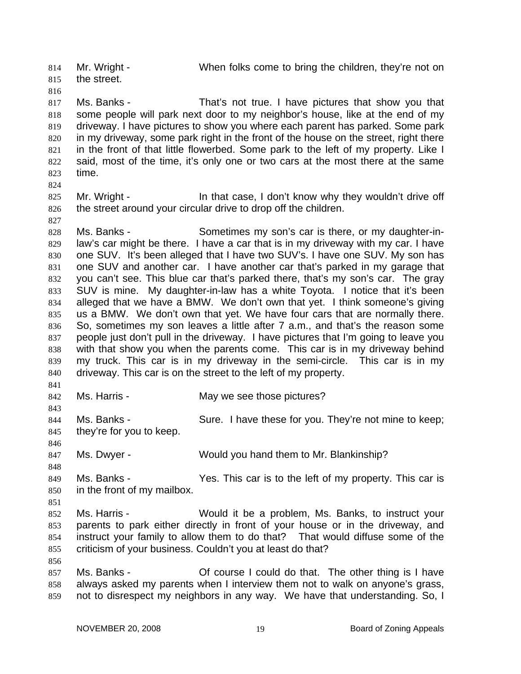Mr. Wright - When folks come to bring the children, they're not on the street. 814 815

817 818 819 820 821 822 823 Ms. Banks - That's not true. I have pictures that show you that some people will park next door to my neighbor's house, like at the end of my driveway. I have pictures to show you where each parent has parked. Some park in my driveway, some park right in the front of the house on the street, right there in the front of that little flowerbed. Some park to the left of my property. Like I said, most of the time, it's only one or two cars at the most there at the same time.

824

827

841

843

846

848

851

856

816

825 826 Mr. Wright - In that case, I don't know why they wouldn't drive off the street around your circular drive to drop off the children.

828 829 830 831 832 833 834 835 836 837 838 839 840 Ms. Banks - Sometimes my son's car is there, or my daughter-inlaw's car might be there. I have a car that is in my driveway with my car. I have one SUV. It's been alleged that I have two SUV's. I have one SUV. My son has one SUV and another car. I have another car that's parked in my garage that you can't see. This blue car that's parked there, that's my son's car. The gray SUV is mine. My daughter-in-law has a white Toyota. I notice that it's been alleged that we have a BMW. We don't own that yet. I think someone's giving us a BMW. We don't own that yet. We have four cars that are normally there. So, sometimes my son leaves a little after 7 a.m., and that's the reason some people just don't pull in the driveway. I have pictures that I'm going to leave you with that show you when the parents come. This car is in my driveway behind my truck. This car is in my driveway in the semi-circle. This car is in my driveway. This car is on the street to the left of my property.

842 Ms. Harris - The May we see those pictures?

844 845 Ms. Banks - Sure. I have these for you. They're not mine to keep; they're for you to keep.

847 Ms. Dwyer - Would you hand them to Mr. Blankinship?

849 850 Ms. Banks - Yes. This car is to the left of my property. This car is in the front of my mailbox.

852 853 854 855 Ms. Harris - Would it be a problem, Ms. Banks, to instruct your parents to park either directly in front of your house or in the driveway, and instruct your family to allow them to do that? That would diffuse some of the criticism of your business. Couldn't you at least do that?

857 858 859 Ms. Banks - Chronic Course I could do that. The other thing is I have always asked my parents when I interview them not to walk on anyone's grass, not to disrespect my neighbors in any way. We have that understanding. So, I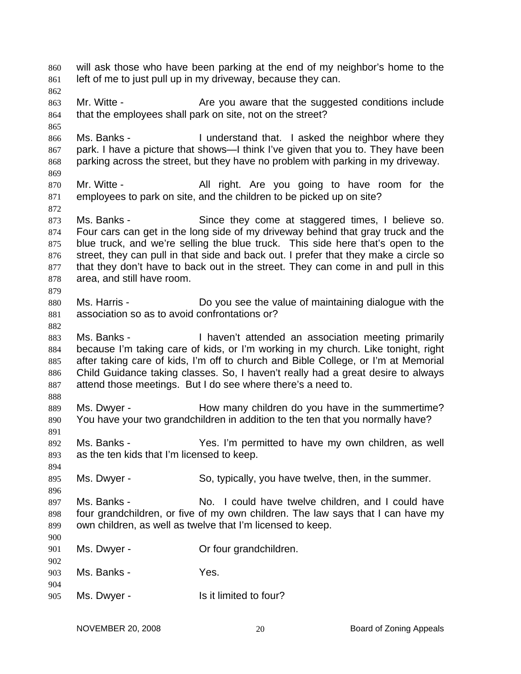will ask those who have been parking at the end of my neighbor's home to the left of me to just pull up in my driveway, because they can. 860 861 862 863 864 865 866 867 868 869 870 871 872 873 874 875 876 877 878 879 880 881 882 883 884 885 886 887 888 889 890 891 892 893 894 895 896 897 898 899 900 901 902 903 904 905 Mr. Witte - Are you aware that the suggested conditions include that the employees shall park on site, not on the street? Ms. Banks - I understand that. I asked the neighbor where they park. I have a picture that shows—I think I've given that you to. They have been parking across the street, but they have no problem with parking in my driveway. Mr. Witte - The All right. Are you going to have room for the employees to park on site, and the children to be picked up on site? Ms. Banks - Since they come at staggered times, I believe so. Four cars can get in the long side of my driveway behind that gray truck and the blue truck, and we're selling the blue truck. This side here that's open to the street, they can pull in that side and back out. I prefer that they make a circle so that they don't have to back out in the street. They can come in and pull in this area, and still have room. Ms. Harris - Do you see the value of maintaining dialogue with the association so as to avoid confrontations or? Ms. Banks - Thaven't attended an association meeting primarily because I'm taking care of kids, or I'm working in my church. Like tonight, right after taking care of kids, I'm off to church and Bible College, or I'm at Memorial Child Guidance taking classes. So, I haven't really had a great desire to always attend those meetings. But I do see where there's a need to. Ms. Dwyer - The Mow many children do you have in the summertime? You have your two grandchildren in addition to the ten that you normally have? Ms. Banks - The Mes. I'm permitted to have my own children, as well as the ten kids that I'm licensed to keep. Ms. Dwyer - So, typically, you have twelve, then, in the summer. Ms. Banks - No. I could have twelve children, and I could have four grandchildren, or five of my own children. The law says that I can have my own children, as well as twelve that I'm licensed to keep. Ms. Dwyer - **Or four grandchildren.** Ms. Banks - Yes. Ms. Dwyer - Is it limited to four?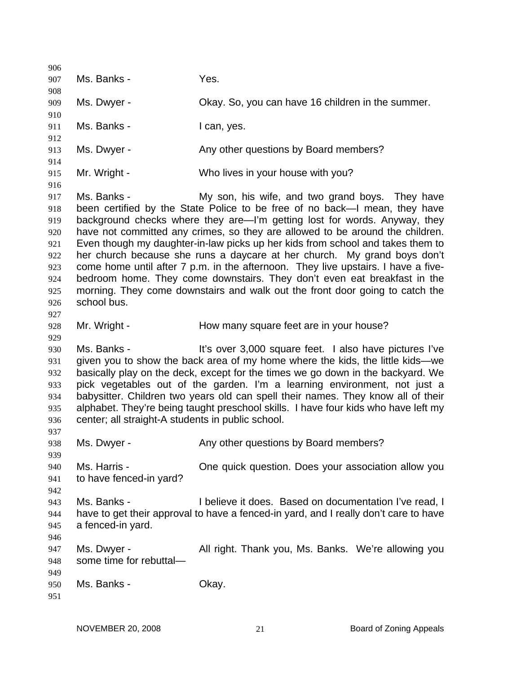906 907 908 909 910 911 912 913 914 915 916 917 918 919 920 921 922 923 924 925 926 927 928 929 930 931 932 933 934 935 936 937 938 939 940 941 942 943 944 945 946 947 948 949 950 951 Ms. Banks - Yes. Ms. Dwyer - Chay. So, you can have 16 children in the summer. Ms. Banks - I can, yes. Ms. Dwyer - Any other questions by Board members? Mr. Wright - Who lives in your house with you? Ms. Banks - The My son, his wife, and two grand boys. They have been certified by the State Police to be free of no back—I mean, they have background checks where they are—I'm getting lost for words. Anyway, they have not committed any crimes, so they are allowed to be around the children. Even though my daughter-in-law picks up her kids from school and takes them to her church because she runs a daycare at her church. My grand boys don't come home until after 7 p.m. in the afternoon. They live upstairs. I have a fivebedroom home. They come downstairs. They don't even eat breakfast in the morning. They come downstairs and walk out the front door going to catch the school bus. Mr. Wright - The How many square feet are in your house? Ms. Banks - The Millium over 3,000 square feet. I also have pictures I've given you to show the back area of my home where the kids, the little kids—we basically play on the deck, except for the times we go down in the backyard. We pick vegetables out of the garden. I'm a learning environment, not just a babysitter. Children two years old can spell their names. They know all of their alphabet. They're being taught preschool skills. I have four kids who have left my center; all straight-A students in public school. Ms. Dwyer - Any other questions by Board members? Ms. Harris - One quick question. Does your association allow you to have fenced-in yard? Ms. Banks - I believe it does. Based on documentation I've read, I have to get their approval to have a fenced-in yard, and I really don't care to have a fenced-in yard. Ms. Dwyer - All right. Thank you, Ms. Banks. We're allowing you some time for rebuttal— Ms. Banks - Chay.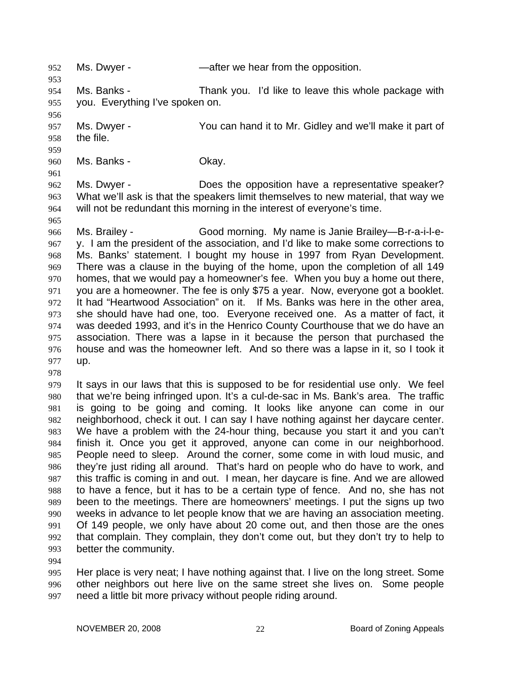952 Ms. Dwyer - — — — — after we hear from the opposition. 953 954 955 956 957 958 959 960 961 962 963 964 965 966 967 968 969 970 971 972 973 974 975 976 977 978 979 980 981 982 983 984 985 986 987 988 989 990 991 992 993 994 995 996 Ms. Banks - Thank you. I'd like to leave this whole package with you. Everything I've spoken on. Ms. Dwyer - You can hand it to Mr. Gidley and we'll make it part of the file. Ms. Banks - Chay. Ms. Dwyer - Does the opposition have a representative speaker? What we'll ask is that the speakers limit themselves to new material, that way we will not be redundant this morning in the interest of everyone's time. Ms. Brailey - Good morning. My name is Janie Brailey-B-r-a-i-l-ey. I am the president of the association, and I'd like to make some corrections to Ms. Banks' statement. I bought my house in 1997 from Ryan Development. There was a clause in the buying of the home, upon the completion of all 149 homes, that we would pay a homeowner's fee. When you buy a home out there, you are a homeowner. The fee is only \$75 a year. Now, everyone got a booklet. It had "Heartwood Association" on it. If Ms. Banks was here in the other area, she should have had one, too. Everyone received one. As a matter of fact, it was deeded 1993, and it's in the Henrico County Courthouse that we do have an association. There was a lapse in it because the person that purchased the house and was the homeowner left. And so there was a lapse in it, so I took it up. It says in our laws that this is supposed to be for residential use only. We feel that we're being infringed upon. It's a cul-de-sac in Ms. Bank's area. The traffic is going to be going and coming. It looks like anyone can come in our neighborhood, check it out. I can say I have nothing against her daycare center. We have a problem with the 24-hour thing, because you start it and you can't finish it. Once you get it approved, anyone can come in our neighborhood. People need to sleep. Around the corner, some come in with loud music, and they're just riding all around. That's hard on people who do have to work, and this traffic is coming in and out. I mean, her daycare is fine. And we are allowed to have a fence, but it has to be a certain type of fence. And no, she has not been to the meetings. There are homeowners' meetings. I put the signs up two weeks in advance to let people know that we are having an association meeting. Of 149 people, we only have about 20 come out, and then those are the ones that complain. They complain, they don't come out, but they don't try to help to better the community. Her place is very neat; I have nothing against that. I live on the long street. Some other neighbors out here live on the same street she lives on. Some people

997 need a little bit more privacy without people riding around.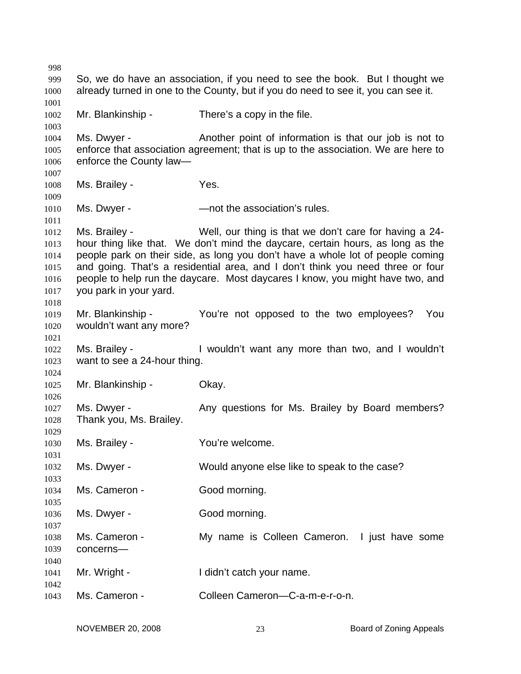So, we do have an association, if you need to see the book. But I thought we already turned in one to the County, but if you do need to see it, you can see it. Mr. Blankinship - There's a copy in the file. Ms. Dwyer - Another point of information is that our job is not to enforce that association agreement; that is up to the association. We are here to enforce the County law— Ms. Brailey - The Yes. Ms. Dwyer - The Sociation's rules. Ms. Brailey - Well, our thing is that we don't care for having a 24 hour thing like that. We don't mind the daycare, certain hours, as long as the people park on their side, as long you don't have a whole lot of people coming and going. That's a residential area, and I don't think you need three or four people to help run the daycare. Most daycares I know, you might have two, and you park in your yard. Mr. Blankinship - You're not opposed to the two employees? You wouldn't want any more? Ms. Brailey - I wouldn't want any more than two, and I wouldn't want to see a 24-hour thing. Mr. Blankinship - Okay. Ms. Dwyer - Any questions for Ms. Brailey by Board members? Thank you, Ms. Brailey. Ms. Brailey - The You're welcome. Ms. Dwyer - Would anyone else like to speak to the case? Ms. Cameron - Good morning. Ms. Dwyer - Good morning. Ms. Cameron - The My name is Colleen Cameron. I just have some concerns— Mr. Wright - The I didn't catch your name. Ms. Cameron - Colleen Cameron—C-a-m-e-r-o-n.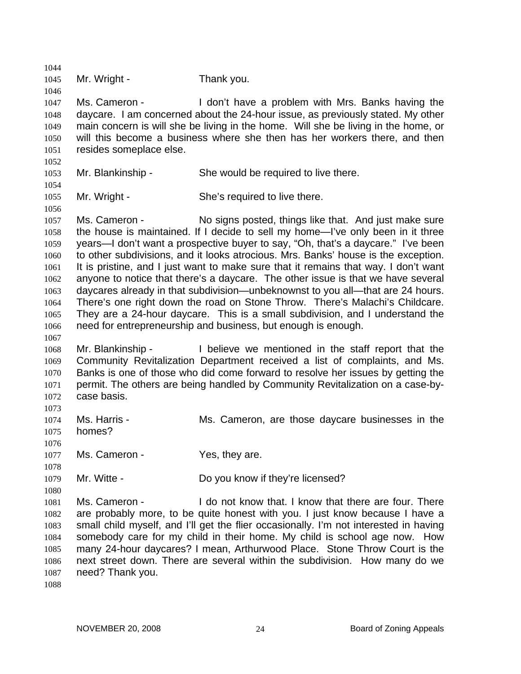1044 1045 1046 1047 1048 1049 1050 1051 1052 1053 1054 1055 1056 1057 1058 1059 1060 1061 1062 1063 1064 1065 1066 1067 1068 1069 1070 1071 1072 1073 1074 1075 1076 1077 1078 1079 1080 1081 1082 1083 1084 1085 1086 1087 1088 Mr. Wright - Thank you. Ms. Cameron - I don't have a problem with Mrs. Banks having the daycare. I am concerned about the 24-hour issue, as previously stated. My other main concern is will she be living in the home. Will she be living in the home, or will this become a business where she then has her workers there, and then resides someplace else. Mr. Blankinship - She would be required to live there. Mr. Wright - She's required to live there. Ms. Cameron - No signs posted, things like that. And just make sure the house is maintained. If I decide to sell my home—I've only been in it three years—I don't want a prospective buyer to say, "Oh, that's a daycare." I've been to other subdivisions, and it looks atrocious. Mrs. Banks' house is the exception. It is pristine, and I just want to make sure that it remains that way. I don't want anyone to notice that there's a daycare. The other issue is that we have several daycares already in that subdivision—unbeknownst to you all—that are 24 hours. There's one right down the road on Stone Throw. There's Malachi's Childcare. They are a 24-hour daycare. This is a small subdivision, and I understand the need for entrepreneurship and business, but enough is enough. Mr. Blankinship - I believe we mentioned in the staff report that the Community Revitalization Department received a list of complaints, and Ms. Banks is one of those who did come forward to resolve her issues by getting the permit. The others are being handled by Community Revitalization on a case-bycase basis. Ms. Harris - Ms. Cameron, are those daycare businesses in the homes? Ms. Cameron - Yes, they are. Mr. Witte - Do you know if they're licensed? Ms. Cameron - There is a lot on the know that. I know that there are four. There are probably more, to be quite honest with you. I just know because I have a small child myself, and I'll get the flier occasionally. I'm not interested in having somebody care for my child in their home. My child is school age now. How many 24-hour daycares? I mean, Arthurwood Place. Stone Throw Court is the next street down. There are several within the subdivision. How many do we need? Thank you.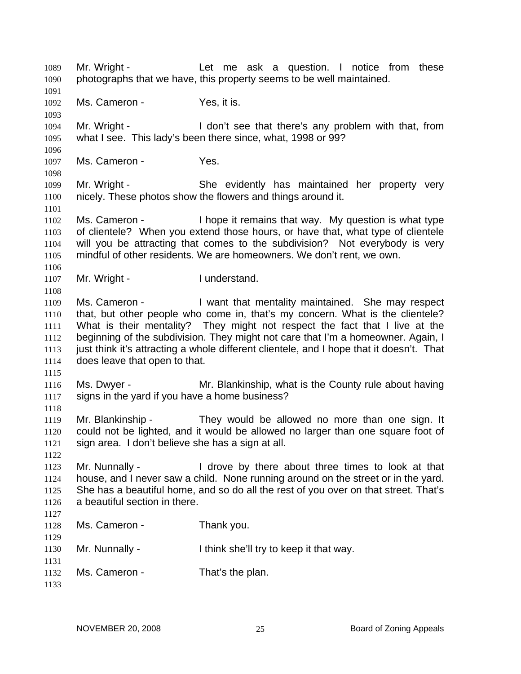Mr. Wright - The Let me ask a question. I notice from these photographs that we have, this property seems to be well maintained. 1089 1090 1091 1092 1093 1094 1095 1096 1097 1098 1099 1100 1101 1102 1103 1104 1105 1106 1107 1108 1109 1110 1111 1112 1113 1114 1115 1116 1117 1118 1119 1120 1121 1122 1123 1124 1125 1126 1127 1128 1129 1130 1131 1132 1133 Ms. Cameron - Yes, it is. Mr. Wright - I don't see that there's any problem with that, from what I see. This lady's been there since, what, 1998 or 99? Ms. Cameron - Yes. Mr. Wright - She evidently has maintained her property very nicely. These photos show the flowers and things around it. Ms. Cameron - **I** hope it remains that way. My question is what type of clientele? When you extend those hours, or have that, what type of clientele will you be attracting that comes to the subdivision? Not everybody is very mindful of other residents. We are homeowners. We don't rent, we own. Mr. Wright - I understand. Ms. Cameron - I want that mentality maintained. She may respect that, but other people who come in, that's my concern. What is the clientele? What is their mentality? They might not respect the fact that I live at the beginning of the subdivision. They might not care that I'm a homeowner. Again, I just think it's attracting a whole different clientele, and I hope that it doesn't. That does leave that open to that. Ms. Dwyer - Mr. Blankinship, what is the County rule about having signs in the yard if you have a home business? Mr. Blankinship - They would be allowed no more than one sign. It could not be lighted, and it would be allowed no larger than one square foot of sign area. I don't believe she has a sign at all. Mr. Nunnally - I drove by there about three times to look at that house, and I never saw a child. None running around on the street or in the yard. She has a beautiful home, and so do all the rest of you over on that street. That's a beautiful section in there. Ms. Cameron - Thank you. Mr. Nunnally - I think she'll try to keep it that way. Ms. Cameron - That's the plan.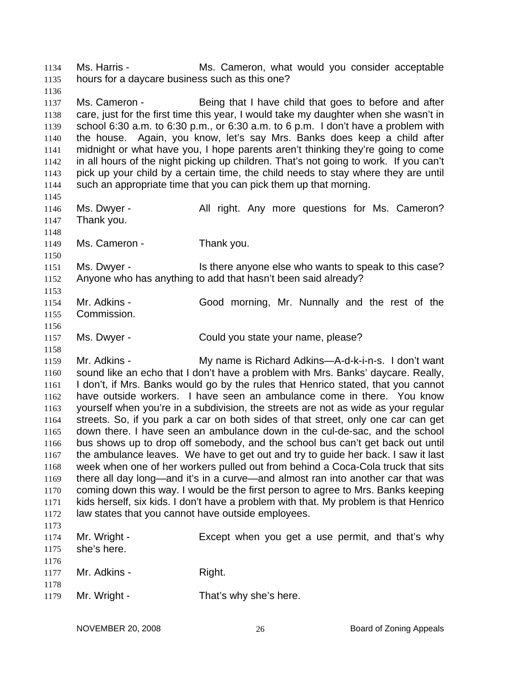Ms. Harris - The Ms. Cameron, what would you consider acceptable hours for a daycare business such as this one? 1134 1135 1136 1137 1138 1139 1140 1141 1142 1143 1144 1145 1146 1147 1148 1149 1150 1151 1152 1153 1154 1155 1156 1157 1158 1159 1160 1161 1162 1163 1164 1165 1166 1167 1168 1169 1170 1171 1172 1173 1174 1175 1176 1177 1178 1179 Ms. Cameron - Being that I have child that goes to before and after care, just for the first time this year, I would take my daughter when she wasn't in school 6:30 a.m. to 6:30 p.m., or 6:30 a.m. to 6 p.m. I don't have a problem with the house. Again, you know, let's say Mrs. Banks does keep a child after midnight or what have you, I hope parents aren't thinking they're going to come in all hours of the night picking up children. That's not going to work. If you can't pick up your child by a certain time, the child needs to stay where they are until such an appropriate time that you can pick them up that morning. Ms. Dwyer - The All right. Any more questions for Ms. Cameron? Thank you. Ms. Cameron - Thank you. Ms. Dwyer - This there anyone else who wants to speak to this case? Anyone who has anything to add that hasn't been said already? Mr. Adkins - Good morning, Mr. Nunnally and the rest of the Commission. Ms. Dwyer - Could you state your name, please? Mr. Adkins - My name is Richard Adkins—A-d-k-i-n-s. I don't want sound like an echo that I don't have a problem with Mrs. Banks' daycare. Really, I don't, if Mrs. Banks would go by the rules that Henrico stated, that you cannot have outside workers. I have seen an ambulance come in there. You know yourself when you're in a subdivision, the streets are not as wide as your regular streets. So, if you park a car on both sides of that street, only one car can get down there. I have seen an ambulance down in the cul-de-sac, and the school bus shows up to drop off somebody, and the school bus can't get back out until the ambulance leaves. We have to get out and try to guide her back. I saw it last week when one of her workers pulled out from behind a Coca-Cola truck that sits there all day long—and it's in a curve—and almost ran into another car that was coming down this way. I would be the first person to agree to Mrs. Banks keeping kids herself, six kids. I don't have a problem with that. My problem is that Henrico law states that you cannot have outside employees. Mr. Wright - Except when you get a use permit, and that's why she's here. Mr. Adkins - Right. Mr. Wright - That's why she's here.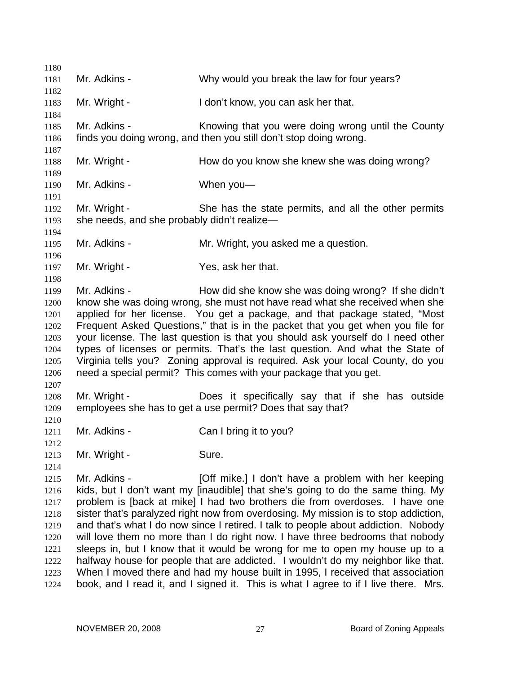1180 1181 1182 1183 1184 1185 1186 1187 1188 1189 1190 1191 1192 1193 1194 1195 1196 1197 1198 1199 1200 1201 1202 1203 1204 1205 1206 1207 1208 1209 1210 1211 1212 1213 1214 1215 1216 1217 1218 1219 1220 1221 1222 1223 1224 Mr. Adkins - Why would you break the law for four years? Mr. Wright - I don't know, you can ask her that. Mr. Adkins - Knowing that you were doing wrong until the County finds you doing wrong, and then you still don't stop doing wrong. Mr. Wright - How do you know she knew she was doing wrong? Mr. Adkins - When you-Mr. Wright - She has the state permits, and all the other permits she needs, and she probably didn't realize— Mr. Adkins - Mr. Wright, you asked me a question. Mr. Wright - Yes, ask her that. Mr. Adkins - How did she know she was doing wrong? If she didn't know she was doing wrong, she must not have read what she received when she applied for her license. You get a package, and that package stated, "Most Frequent Asked Questions," that is in the packet that you get when you file for your license. The last question is that you should ask yourself do I need other types of licenses or permits. That's the last question. And what the State of Virginia tells you? Zoning approval is required. Ask your local County, do you need a special permit? This comes with your package that you get. Mr. Wright - Does it specifically say that if she has outside employees she has to get a use permit? Does that say that? Mr. Adkins - Can I bring it to you? Mr. Wright - Sure. Mr. Adkins - [Off mike.] I don't have a problem with her keeping kids, but I don't want my [inaudible] that she's going to do the same thing. My problem is [back at mike] I had two brothers die from overdoses. I have one sister that's paralyzed right now from overdosing. My mission is to stop addiction, and that's what I do now since I retired. I talk to people about addiction. Nobody will love them no more than I do right now. I have three bedrooms that nobody sleeps in, but I know that it would be wrong for me to open my house up to a halfway house for people that are addicted. I wouldn't do my neighbor like that. When I moved there and had my house built in 1995, I received that association book, and I read it, and I signed it. This is what I agree to if I live there. Mrs.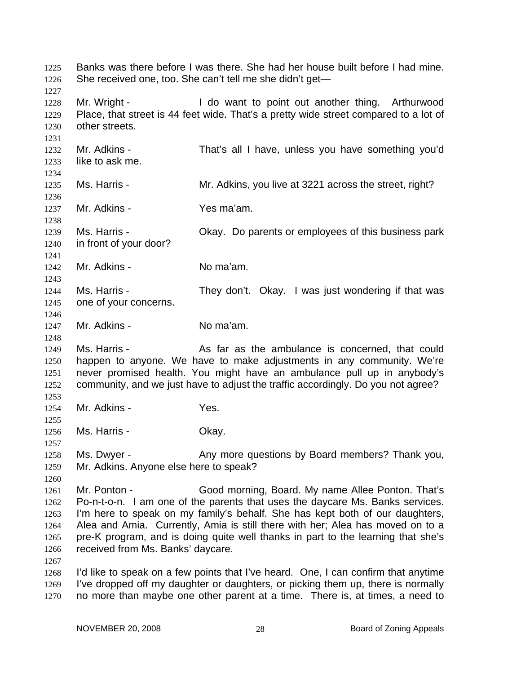Banks was there before I was there. She had her house built before I had mine. She received one, too. She can't tell me she didn't get— 1225 1226 1227 1228 1229 1230 1231 1232 1233 1234 1235 1236 1237 1238 1239 1240 1241 1242 1243 1244 1245 1246 1247 1248 1249 1250 1251 1252 1253 1254 1255 1256 1257 1258 1259 1260 1261 1262 1263 1264 1265 1266 1267 1268 1269 1270 Mr. Wright - I do want to point out another thing. Arthurwood Place, that street is 44 feet wide. That's a pretty wide street compared to a lot of other streets. Mr. Adkins - That's all I have, unless you have something you'd like to ask me. Ms. Harris - **Mr. Adkins, you live at 3221 across the street, right?** Mr. Adkins - Yes ma'am. Ms. Harris - Chay. Do parents or employees of this business park in front of your door? Mr. Adkins - No ma'am. Ms. Harris - They don't. Okay. I was just wondering if that was one of your concerns. Mr. Adkins - No ma'am. Ms. Harris - The As far as the ambulance is concerned, that could happen to anyone. We have to make adjustments in any community. We're never promised health. You might have an ambulance pull up in anybody's community, and we just have to adjust the traffic accordingly. Do you not agree? Mr. Adkins - Yes. Ms. Harris - Chay. Ms. Dwyer - Any more questions by Board members? Thank you, Mr. Adkins. Anyone else here to speak? Mr. Ponton - Good morning, Board. My name Allee Ponton. That's Po-n-t-o-n. I am one of the parents that uses the daycare Ms. Banks services. I'm here to speak on my family's behalf. She has kept both of our daughters, Alea and Amia. Currently, Amia is still there with her; Alea has moved on to a pre-K program, and is doing quite well thanks in part to the learning that she's received from Ms. Banks' daycare. I'd like to speak on a few points that I've heard. One, I can confirm that anytime I've dropped off my daughter or daughters, or picking them up, there is normally no more than maybe one other parent at a time. There is, at times, a need to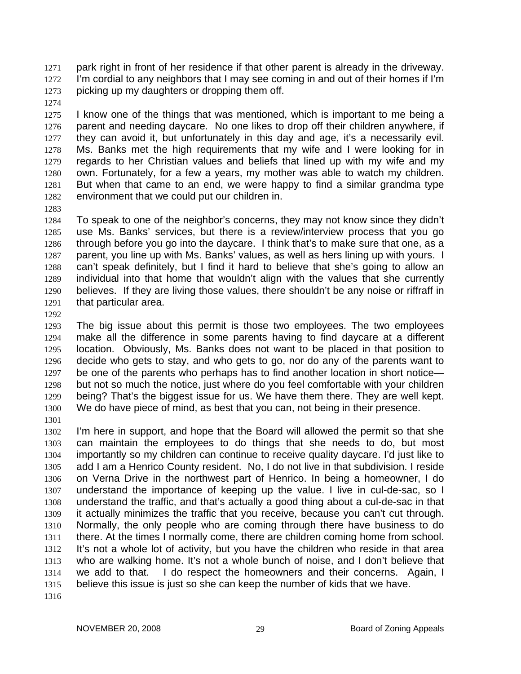park right in front of her residence if that other parent is already in the driveway. I'm cordial to any neighbors that I may see coming in and out of their homes if I'm picking up my daughters or dropping them off. 1271 1272 1273

1274

1275 1276 1277 1278 1279 1280 1281 1282 I know one of the things that was mentioned, which is important to me being a parent and needing daycare. No one likes to drop off their children anywhere, if they can avoid it, but unfortunately in this day and age, it's a necessarily evil. Ms. Banks met the high requirements that my wife and I were looking for in regards to her Christian values and beliefs that lined up with my wife and my own. Fortunately, for a few a years, my mother was able to watch my children. But when that came to an end, we were happy to find a similar grandma type environment that we could put our children in.

1283

1284 1285 1286 1287 1288 1289 1290 1291 To speak to one of the neighbor's concerns, they may not know since they didn't use Ms. Banks' services, but there is a review/interview process that you go through before you go into the daycare. I think that's to make sure that one, as a parent, you line up with Ms. Banks' values, as well as hers lining up with yours. I can't speak definitely, but I find it hard to believe that she's going to allow an individual into that home that wouldn't align with the values that she currently believes. If they are living those values, there shouldn't be any noise or riffraff in that particular area.

1292

1293 1294 1295 1296 1297 1298 1299 1300 The big issue about this permit is those two employees. The two employees make all the difference in some parents having to find daycare at a different location. Obviously, Ms. Banks does not want to be placed in that position to decide who gets to stay, and who gets to go, nor do any of the parents want to be one of the parents who perhaps has to find another location in short notice but not so much the notice, just where do you feel comfortable with your children being? That's the biggest issue for us. We have them there. They are well kept. We do have piece of mind, as best that you can, not being in their presence.

1301

1302 1303 1304 1305 1306 1307 1308 1309 1310 1311 1312 1313 1314 1315 I'm here in support, and hope that the Board will allowed the permit so that she can maintain the employees to do things that she needs to do, but most importantly so my children can continue to receive quality daycare. I'd just like to add I am a Henrico County resident. No, I do not live in that subdivision. I reside on Verna Drive in the northwest part of Henrico. In being a homeowner, I do understand the importance of keeping up the value. I live in cul-de-sac, so I understand the traffic, and that's actually a good thing about a cul-de-sac in that it actually minimizes the traffic that you receive, because you can't cut through. Normally, the only people who are coming through there have business to do there. At the times I normally come, there are children coming home from school. It's not a whole lot of activity, but you have the children who reside in that area who are walking home. It's not a whole bunch of noise, and I don't believe that we add to that. I do respect the homeowners and their concerns. Again, I believe this issue is just so she can keep the number of kids that we have.

1316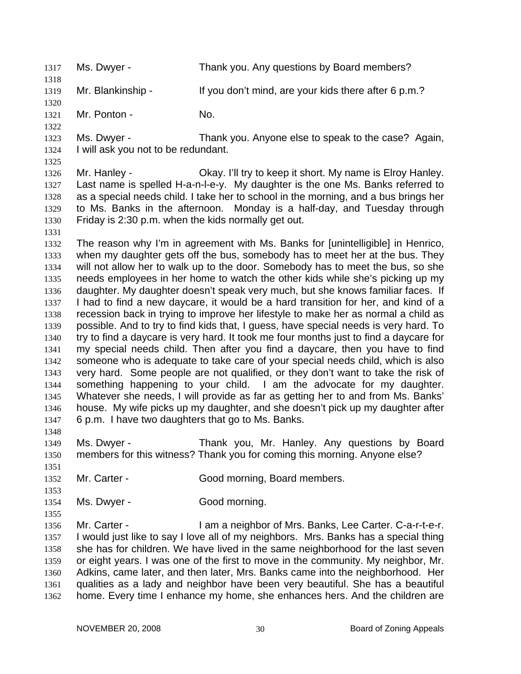1317 Ms. Dwyer - Thank you. Any questions by Board members? 1318 1319 1320 1321 1322 1323 1324 1325 1326 1327 1328 1329 1330 1331 1332 1333 1334 1335 1336 1337 1338 1339 1340 1341 1342 1343 1344 1345 1346 1347 1348 1349 1350 1351 1352 1353 1354 1355 1356 1357 1358 1359 1360 1361 1362 Mr. Blankinship - If you don't mind, are your kids there after 6 p.m.? Mr. Ponton - No. Ms. Dwyer - Thank you. Anyone else to speak to the case? Again, I will ask you not to be redundant. Mr. Hanley - Ckay. I'll try to keep it short. My name is Elroy Hanley. Last name is spelled H-a-n-l-e-y. My daughter is the one Ms. Banks referred to as a special needs child. I take her to school in the morning, and a bus brings her to Ms. Banks in the afternoon. Monday is a half-day, and Tuesday through Friday is 2:30 p.m. when the kids normally get out. The reason why I'm in agreement with Ms. Banks for [unintelligible] in Henrico, when my daughter gets off the bus, somebody has to meet her at the bus. They will not allow her to walk up to the door. Somebody has to meet the bus, so she needs employees in her home to watch the other kids while she's picking up my daughter. My daughter doesn't speak very much, but she knows familiar faces. If I had to find a new daycare, it would be a hard transition for her, and kind of a recession back in trying to improve her lifestyle to make her as normal a child as possible. And to try to find kids that, I guess, have special needs is very hard. To try to find a daycare is very hard. It took me four months just to find a daycare for my special needs child. Then after you find a daycare, then you have to find someone who is adequate to take care of your special needs child, which is also very hard. Some people are not qualified, or they don't want to take the risk of something happening to your child. I am the advocate for my daughter. Whatever she needs, I will provide as far as getting her to and from Ms. Banks' house. My wife picks up my daughter, and she doesn't pick up my daughter after 6 p.m. I have two daughters that go to Ms. Banks. Ms. Dwyer - Thank you, Mr. Hanley. Any questions by Board members for this witness? Thank you for coming this morning. Anyone else? Mr. Carter - Good morning, Board members. Ms. Dwyer - Good morning. Mr. Carter - The Music Carter - I am a neighbor of Mrs. Banks, Lee Carter. C-a-r-t-e-r. I would just like to say I love all of my neighbors. Mrs. Banks has a special thing she has for children. We have lived in the same neighborhood for the last seven or eight years. I was one of the first to move in the community. My neighbor, Mr. Adkins, came later, and then later, Mrs. Banks came into the neighborhood. Her qualities as a lady and neighbor have been very beautiful. She has a beautiful home. Every time I enhance my home, she enhances hers. And the children are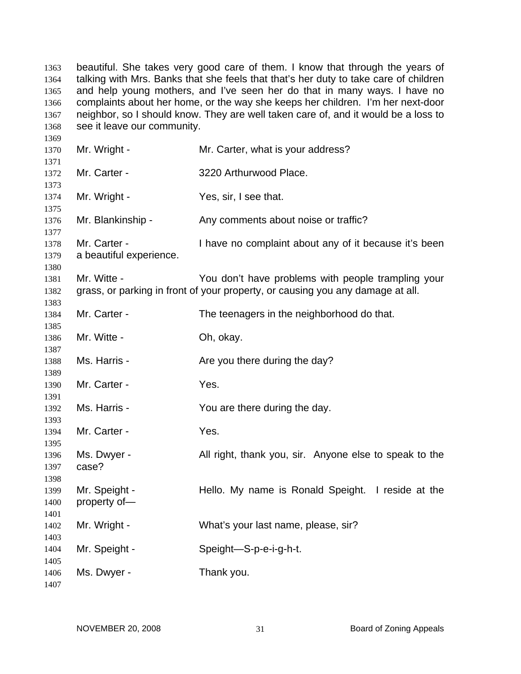beautiful. She takes very good care of them. I know that through the years of talking with Mrs. Banks that she feels that that's her duty to take care of children and help young mothers, and I've seen her do that in many ways. I have no complaints about her home, or the way she keeps her children. I'm her next-door neighbor, so I should know. They are well taken care of, and it would be a loss to see it leave our community. Mr. Wright - Mr. Carter, what is your address? Mr. Carter - 3220 Arthurwood Place. Mr. Wright - The Yes, sir, I see that. Mr. Blankinship - Any comments about noise or traffic? Mr. Carter - Thave no complaint about any of it because it's been a beautiful experience. Mr. Witte - The You don't have problems with people trampling your grass, or parking in front of your property, or causing you any damage at all. Mr. Carter - The teenagers in the neighborhood do that. Mr. Witte - Ch. okay. Ms. Harris - The Are you there during the day? Mr. Carter - The Yes. Ms. Harris - The Mou are there during the day. Mr. Carter - The Yes. Ms. Dwyer - All right, thank you, sir. Anyone else to speak to the case? Mr. Speight - Thello. My name is Ronald Speight. I reside at the property of— Mr. Wright - What's your last name, please, sir? Mr. Speight - Speight-S-p-e-i-g-h-t. Ms. Dwyer - Thank you.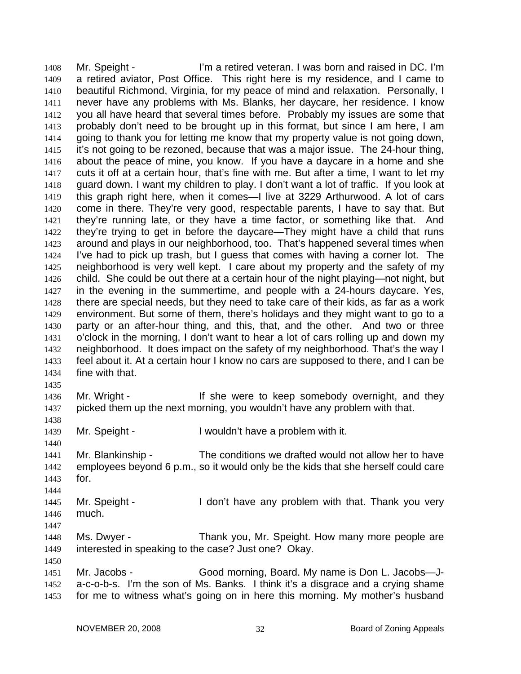Mr. Speight - The I'm a retired veteran. I was born and raised in DC. I'm a retired aviator, Post Office. This right here is my residence, and I came to beautiful Richmond, Virginia, for my peace of mind and relaxation. Personally, I never have any problems with Ms. Blanks, her daycare, her residence. I know you all have heard that several times before. Probably my issues are some that probably don't need to be brought up in this format, but since I am here, I am going to thank you for letting me know that my property value is not going down, it's not going to be rezoned, because that was a major issue. The 24-hour thing, about the peace of mine, you know. If you have a daycare in a home and she cuts it off at a certain hour, that's fine with me. But after a time, I want to let my guard down. I want my children to play. I don't want a lot of traffic. If you look at this graph right here, when it comes—I live at 3229 Arthurwood. A lot of cars come in there. They're very good, respectable parents, I have to say that. But they're running late, or they have a time factor, or something like that. And they're trying to get in before the daycare—They might have a child that runs around and plays in our neighborhood, too. That's happened several times when I've had to pick up trash, but I guess that comes with having a corner lot. The neighborhood is very well kept. I care about my property and the safety of my child. She could be out there at a certain hour of the night playing—not night, but in the evening in the summertime, and people with a 24-hours daycare. Yes, there are special needs, but they need to take care of their kids, as far as a work environment. But some of them, there's holidays and they might want to go to a party or an after-hour thing, and this, that, and the other. And two or three o'clock in the morning, I don't want to hear a lot of cars rolling up and down my neighborhood. It does impact on the safety of my neighborhood. That's the way I feel about it. At a certain hour I know no cars are supposed to there, and I can be fine with that. 1408 1409 1410 1411 1412 1413 1414 1415 1416 1417 1418 1419 1420 1421 1422 1423 1424 1425 1426 1427 1428 1429 1430 1431 1432 1433 1434 1435 1436 1437 1438 1439 1440 1441 1442 Mr. Wright - The State were to keep somebody overnight, and they picked them up the next morning, you wouldn't have any problem with that. Mr. Speight - I wouldn't have a problem with it. Mr. Blankinship - The conditions we drafted would not allow her to have employees beyond 6 p.m., so it would only be the kids that she herself could care

1443

for.

- 1444 1445 1446 Mr. Speight - I don't have any problem with that. Thank you very much.
- 1447

1450

- 1448 1449 Ms. Dwyer - Thank you, Mr. Speight. How many more people are interested in speaking to the case? Just one? Okay.
- 1451 1452 1453 Mr. Jacobs - Good morning, Board. My name is Don L. Jacobs-Ja-c-o-b-s. I'm the son of Ms. Banks. I think it's a disgrace and a crying shame for me to witness what's going on in here this morning. My mother's husband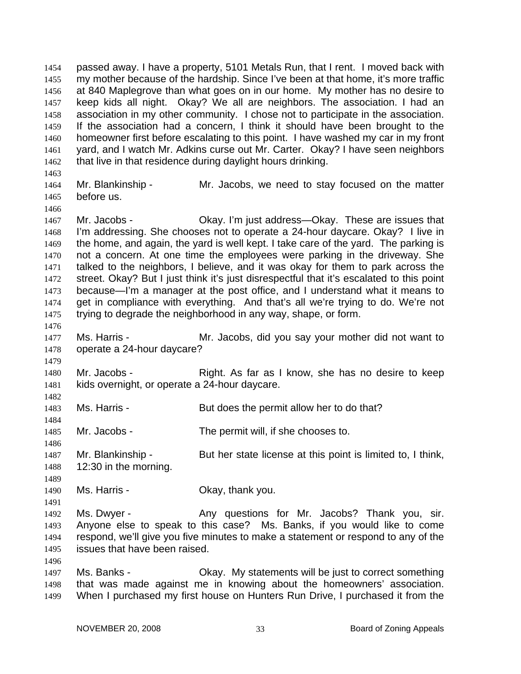passed away. I have a property, 5101 Metals Run, that I rent. I moved back with my mother because of the hardship. Since I've been at that home, it's more traffic at 840 Maplegrove than what goes on in our home. My mother has no desire to keep kids all night. Okay? We all are neighbors. The association. I had an association in my other community. I chose not to participate in the association. If the association had a concern, I think it should have been brought to the homeowner first before escalating to this point. I have washed my car in my front yard, and I watch Mr. Adkins curse out Mr. Carter. Okay? I have seen neighbors that live in that residence during daylight hours drinking. 1454 1455 1456 1457 1458 1459 1460 1461 1462

1463

1466

1476

1479

1482

1484

1486

1489

1496

1464 1465 Mr. Blankinship - Mr. Jacobs, we need to stay focused on the matter before us.

1467 1468 1469 1470 1471 1472 1473 1474 1475 Mr. Jacobs - Chay. I'm just address—Okay. These are issues that I'm addressing. She chooses not to operate a 24-hour daycare. Okay? I live in the home, and again, the yard is well kept. I take care of the yard. The parking is not a concern. At one time the employees were parking in the driveway. She talked to the neighbors, I believe, and it was okay for them to park across the street. Okay? But I just think it's just disrespectful that it's escalated to this point because—I'm a manager at the post office, and I understand what it means to get in compliance with everything. And that's all we're trying to do. We're not trying to degrade the neighborhood in any way, shape, or form.

- 1477 1478 Ms. Harris - Mr. Jacobs, did you say your mother did not want to operate a 24-hour daycare?
- 1480 1481 Mr. Jacobs - Right. As far as I know, she has no desire to keep kids overnight, or operate a 24-hour daycare.
- 1483 Ms. Harris - But does the permit allow her to do that?

1485 Mr. Jacobs - The permit will, if she chooses to.

- 1487 1488 Mr. Blankinship - But her state license at this point is limited to, I think, 12:30 in the morning.
- 1490 Ms. Harris - The Chay, thank you.
- 1491 1492 1493 1494 1495 Ms. Dwyer - The Any questions for Mr. Jacobs? Thank you, sir. Anyone else to speak to this case? Ms. Banks, if you would like to come respond, we'll give you five minutes to make a statement or respond to any of the issues that have been raised.
- 1497 1498 1499 Ms. Banks - Ckay. My statements will be just to correct something that was made against me in knowing about the homeowners' association. When I purchased my first house on Hunters Run Drive, I purchased it from the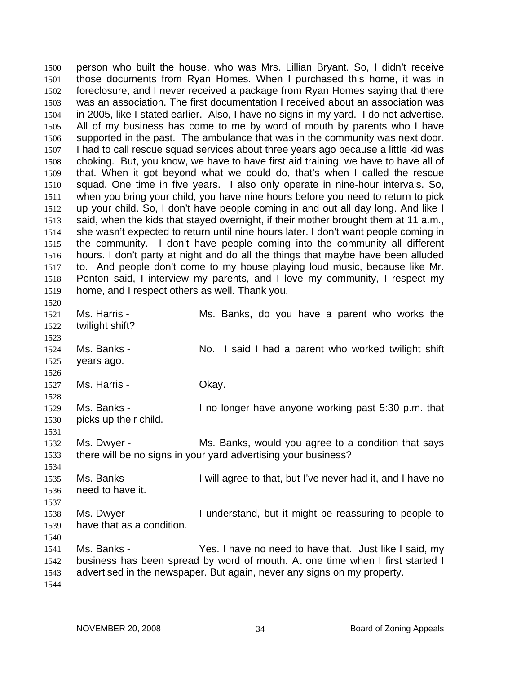person who built the house, who was Mrs. Lillian Bryant. So, I didn't receive those documents from Ryan Homes. When I purchased this home, it was in foreclosure, and I never received a package from Ryan Homes saying that there was an association. The first documentation I received about an association was in 2005, like I stated earlier. Also, I have no signs in my yard. I do not advertise. All of my business has come to me by word of mouth by parents who I have supported in the past. The ambulance that was in the community was next door. I had to call rescue squad services about three years ago because a little kid was choking. But, you know, we have to have first aid training, we have to have all of that. When it got beyond what we could do, that's when I called the rescue squad. One time in five years. I also only operate in nine-hour intervals. So, when you bring your child, you have nine hours before you need to return to pick up your child. So, I don't have people coming in and out all day long. And like I said, when the kids that stayed overnight, if their mother brought them at 11 a.m., she wasn't expected to return until nine hours later. I don't want people coming in the community. I don't have people coming into the community all different hours. I don't party at night and do all the things that maybe have been alluded to. And people don't come to my house playing loud music, because like Mr. Ponton said, I interview my parents, and I love my community, I respect my home, and I respect others as well. Thank you. 1500 1501 1502 1503 1504 1505 1506 1507 1508 1509 1510 1511 1512 1513 1514 1515 1516 1517 1518 1519 1520 1521 1522 1523 1524 1525 1526 1527 1528 1529 1530 1531 1532 1533 1534 1535 1536 1537 1538 1539 1540 1541 1542 1543 1544 Ms. Harris - The Ms. Banks, do you have a parent who works the twilight shift? Ms. Banks - No. I said I had a parent who worked twilight shift years ago. Ms. Harris - Chay. Ms. Banks - The longer have anyone working past 5:30 p.m. that picks up their child. Ms. Dwyer - The Ms. Banks, would you agree to a condition that says there will be no signs in your yard advertising your business? Ms. Banks - I will agree to that, but I've never had it, and I have no need to have it. Ms. Dwyer - The Understand, but it might be reassuring to people to have that as a condition. Ms. Banks - Yes. I have no need to have that. Just like I said, my business has been spread by word of mouth. At one time when I first started I advertised in the newspaper. But again, never any signs on my property.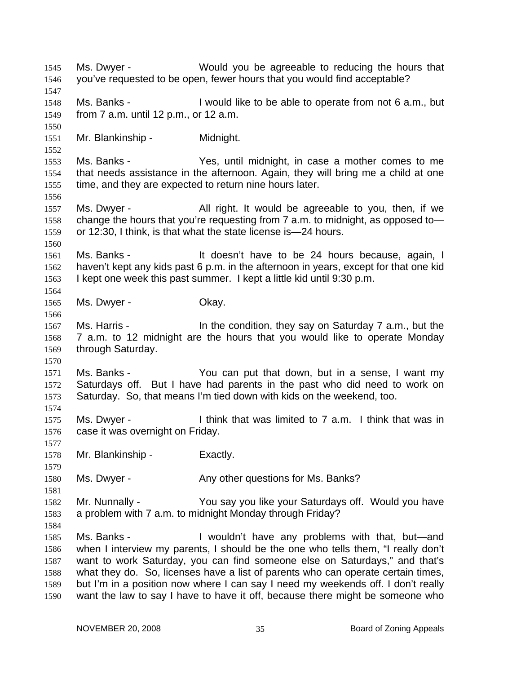Ms. Dwyer - Would you be agreeable to reducing the hours that you've requested to be open, fewer hours that you would find acceptable? 1545 1546 1547 1548 1549 1550 1551 1552 1553 1554 1555 1556 1557 1558 1559 1560 1561 1562 1563 1564 1565 1566 1567 1568 1569 1570 1571 1572 1573 1574 1575 1576 1577 1578 1579 1580 1581 1582 1583 1584 1585 1586 1587 1588 1589 1590 Ms. Banks - I would like to be able to operate from not 6 a.m., but from 7 a.m. until 12 p.m., or 12 a.m. Mr. Blankinship - Midnight. Ms. Banks - The Yes, until midnight, in case a mother comes to me that needs assistance in the afternoon. Again, they will bring me a child at one time, and they are expected to return nine hours later. Ms. Dwyer - The All right. It would be agreeable to you, then, if we change the hours that you're requesting from 7 a.m. to midnight, as opposed to or 12:30, I think, is that what the state license is—24 hours. Ms. Banks - The Mull doesn't have to be 24 hours because, again, I haven't kept any kids past 6 p.m. in the afternoon in years, except for that one kid I kept one week this past summer. I kept a little kid until 9:30 p.m. Ms. Dwyer - Chay. Ms. Harris - **In the condition, they say on Saturday 7** a.m., but the 7 a.m. to 12 midnight are the hours that you would like to operate Monday through Saturday. Ms. Banks - You can put that down, but in a sense, I want my Saturdays off. But I have had parents in the past who did need to work on Saturday. So, that means I'm tied down with kids on the weekend, too. Ms. Dwyer - I think that was limited to 7 a.m. I think that was in case it was overnight on Friday. Mr. Blankinship - Exactly. Ms. Dwyer - The Any other questions for Ms. Banks? Mr. Nunnally - You say you like your Saturdays off. Would you have a problem with 7 a.m. to midnight Monday through Friday? Ms. Banks - The Muldn't have any problems with that, but—and when I interview my parents, I should be the one who tells them, "I really don't want to work Saturday, you can find someone else on Saturdays," and that's what they do. So, licenses have a list of parents who can operate certain times, but I'm in a position now where I can say I need my weekends off. I don't really want the law to say I have to have it off, because there might be someone who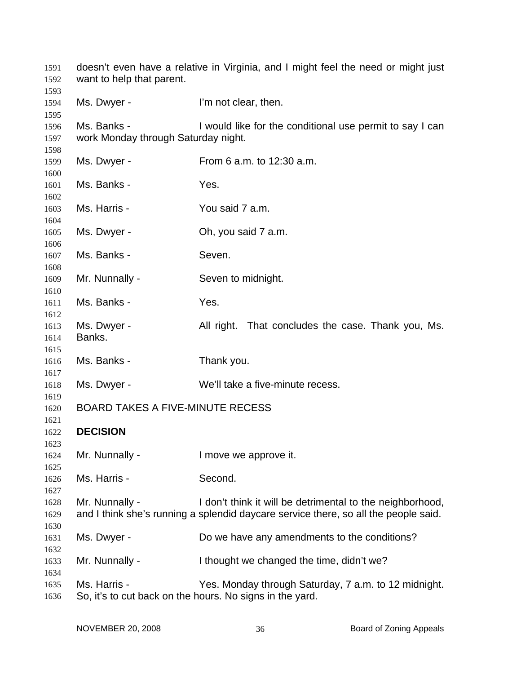| 1591<br>1592         | doesn't even have a relative in Virginia, and I might feel the need or might just<br>want to help that parent. |                                                                                                                                                  |
|----------------------|----------------------------------------------------------------------------------------------------------------|--------------------------------------------------------------------------------------------------------------------------------------------------|
| 1593<br>1594<br>1595 | Ms. Dwyer -                                                                                                    | I'm not clear, then.                                                                                                                             |
| 1596<br>1597<br>1598 | Ms. Banks -<br>work Monday through Saturday night.                                                             | I would like for the conditional use permit to say I can                                                                                         |
| 1599<br>1600         | Ms. Dwyer -                                                                                                    | From 6 a.m. to 12:30 a.m.                                                                                                                        |
| 1601<br>1602         | Ms. Banks -                                                                                                    | Yes.                                                                                                                                             |
| 1603                 | Ms. Harris -                                                                                                   | You said 7 a.m.                                                                                                                                  |
| 1604<br>1605         | Ms. Dwyer -                                                                                                    | Oh, you said 7 a.m.                                                                                                                              |
| 1606<br>1607         | Ms. Banks -                                                                                                    | Seven.                                                                                                                                           |
| 1608<br>1609         | Mr. Nunnally -                                                                                                 | Seven to midnight.                                                                                                                               |
| 1610<br>1611         | Ms. Banks -                                                                                                    | Yes.                                                                                                                                             |
| 1612<br>1613<br>1614 | Ms. Dwyer -<br>Banks.                                                                                          | All right. That concludes the case. Thank you, Ms.                                                                                               |
| 1615<br>1616         | Ms. Banks -                                                                                                    | Thank you.                                                                                                                                       |
| 1617<br>1618         | Ms. Dwyer -                                                                                                    | We'll take a five-minute recess.                                                                                                                 |
| 1619<br>1620         | <b>BOARD TAKES A FIVE-MINUTE RECESS</b>                                                                        |                                                                                                                                                  |
| 1621<br>1622         | <b>DECISION</b>                                                                                                |                                                                                                                                                  |
| 1623<br>1624         | Mr. Nunnally -                                                                                                 | I move we approve it.                                                                                                                            |
| 1625<br>1626         | Ms. Harris -                                                                                                   | Second.                                                                                                                                          |
| 1627<br>1628<br>1629 | Mr. Nunnally -                                                                                                 | I don't think it will be detrimental to the neighborhood,<br>and I think she's running a splendid daycare service there, so all the people said. |
| 1630<br>1631         | Ms. Dwyer -                                                                                                    | Do we have any amendments to the conditions?                                                                                                     |
| 1632<br>1633         | Mr. Nunnally -                                                                                                 | I thought we changed the time, didn't we?                                                                                                        |
| 1634<br>1635<br>1636 | Ms. Harris -                                                                                                   | Yes. Monday through Saturday, 7 a.m. to 12 midnight.<br>So, it's to cut back on the hours. No signs in the yard.                                 |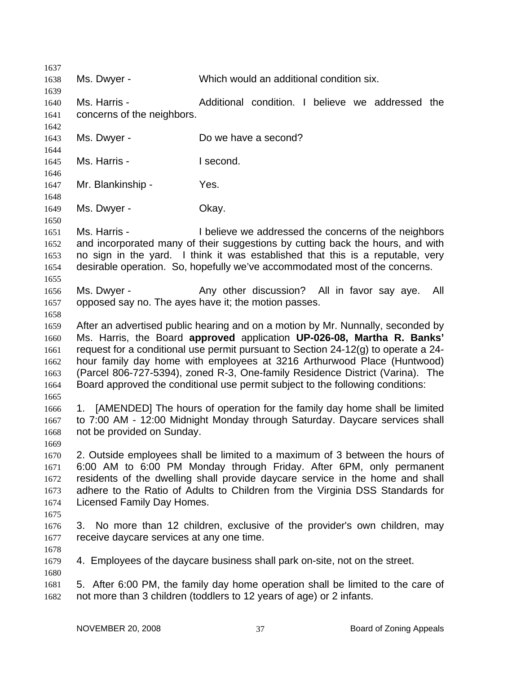1637 1638 1639 1640 1641 1642 1643 1644 1645 1646 1647 1648 1649 1650 1651 1652 1653 1654 1655 1656 1657 1658 1659 1660 1661 1662 1663 1664 1665 1666 1667 1668 1669 1670 1671 1672 1673 1674 1675 1676 1677 1678 1679 1680 1681 1682 Ms. Dwyer - Which would an additional condition six. Ms. Harris - Additional condition. I believe we addressed the concerns of the neighbors. Ms. Dwyer - Do we have a second? Ms. Harris - **I** second. Mr. Blankinship - Yes. Ms. Dwyer - Chay. Ms. Harris - I believe we addressed the concerns of the neighbors and incorporated many of their suggestions by cutting back the hours, and with no sign in the yard. I think it was established that this is a reputable, very desirable operation. So, hopefully we've accommodated most of the concerns. Ms. Dwyer - The Any other discussion? All in favor say aye. All opposed say no. The ayes have it; the motion passes. After an advertised public hearing and on a motion by Mr. Nunnally, seconded by Ms. Harris, the Board **approved** application **UP-026-08, Martha R. Banks'**  request for a conditional use permit pursuant to Section 24-12(g) to operate a 24 hour family day home with employees at 3216 Arthurwood Place (Huntwood) (Parcel 806-727-5394), zoned R-3, One-family Residence District (Varina). The Board approved the conditional use permit subject to the following conditions: 1. [AMENDED] The hours of operation for the family day home shall be limited to 7:00 AM - 12:00 Midnight Monday through Saturday. Daycare services shall not be provided on Sunday. 2. Outside employees shall be limited to a maximum of 3 between the hours of 6:00 AM to 6:00 PM Monday through Friday. After 6PM, only permanent residents of the dwelling shall provide daycare service in the home and shall adhere to the Ratio of Adults to Children from the Virginia DSS Standards for Licensed Family Day Homes. 3. No more than 12 children, exclusive of the provider's own children, may receive daycare services at any one time. 4. Employees of the daycare business shall park on-site, not on the street. 5. After 6:00 PM, the family day home operation shall be limited to the care of not more than 3 children (toddlers to 12 years of age) or 2 infants.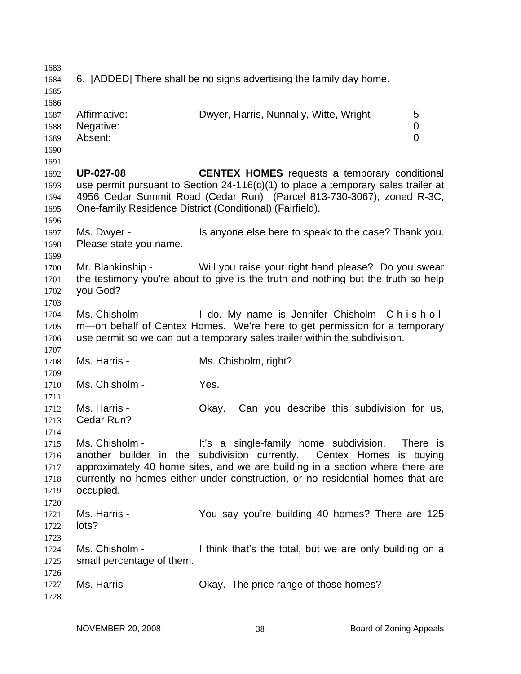| 1683 |                                                                     |                                                                                   |  |
|------|---------------------------------------------------------------------|-----------------------------------------------------------------------------------|--|
| 1684 | 6. [ADDED] There shall be no signs advertising the family day home. |                                                                                   |  |
| 1685 |                                                                     |                                                                                   |  |
| 1686 |                                                                     |                                                                                   |  |
| 1687 | Affirmative:                                                        | Dwyer, Harris, Nunnally, Witte, Wright<br>5                                       |  |
| 1688 | Negative:                                                           | 0                                                                                 |  |
| 1689 | Absent:                                                             | 0                                                                                 |  |
| 1690 |                                                                     |                                                                                   |  |
|      |                                                                     |                                                                                   |  |
| 1691 |                                                                     |                                                                                   |  |
| 1692 | <b>UP-027-08</b>                                                    | <b>CENTEX HOMES</b> requests a temporary conditional                              |  |
| 1693 |                                                                     | use permit pursuant to Section 24-116(c)(1) to place a temporary sales trailer at |  |
| 1694 |                                                                     | 4956 Cedar Summit Road (Cedar Run) (Parcel 813-730-3067), zoned R-3C,             |  |
| 1695 |                                                                     | One-family Residence District (Conditional) (Fairfield).                          |  |
| 1696 |                                                                     |                                                                                   |  |
| 1697 | Ms. Dwyer -                                                         | Is anyone else here to speak to the case? Thank you.                              |  |
| 1698 | Please state you name.                                              |                                                                                   |  |
| 1699 |                                                                     |                                                                                   |  |
| 1700 | Mr. Blankinship -                                                   | Will you raise your right hand please? Do you swear                               |  |
| 1701 |                                                                     | the testimony you're about to give is the truth and nothing but the truth so help |  |
| 1702 | you God?                                                            |                                                                                   |  |
| 1703 |                                                                     |                                                                                   |  |
| 1704 | Ms. Chisholm -                                                      | I do. My name is Jennifer Chisholm-C-h-i-s-h-o-l-                                 |  |
| 1705 |                                                                     | m—on behalf of Centex Homes. We're here to get permission for a temporary         |  |
| 1706 |                                                                     | use permit so we can put a temporary sales trailer within the subdivision.        |  |
| 1707 |                                                                     |                                                                                   |  |
| 1708 | Ms. Harris -                                                        | Ms. Chisholm, right?                                                              |  |
|      |                                                                     |                                                                                   |  |
| 1709 |                                                                     |                                                                                   |  |
| 1710 | Ms. Chisholm -                                                      | Yes.                                                                              |  |
| 1711 |                                                                     |                                                                                   |  |
| 1712 | Ms. Harris -                                                        | Can you describe this subdivision for us,<br>Okay.                                |  |
| 1713 | Cedar Run?                                                          |                                                                                   |  |
| 1714 |                                                                     |                                                                                   |  |
| 1715 | Ms. Chisholm -                                                      | It's a single-family home subdivision.<br>There is                                |  |
| 1716 |                                                                     | another builder in the subdivision currently. Centex Homes is buying              |  |
| 1717 |                                                                     | approximately 40 home sites, and we are building in a section where there are     |  |
| 1718 |                                                                     | currently no homes either under construction, or no residential homes that are    |  |
| 1719 | occupied.                                                           |                                                                                   |  |
| 1720 |                                                                     |                                                                                   |  |
| 1721 | Ms. Harris -                                                        | You say you're building 40 homes? There are 125                                   |  |
| 1722 | lots?                                                               |                                                                                   |  |
| 1723 |                                                                     |                                                                                   |  |
| 1724 | Ms. Chisholm -                                                      | I think that's the total, but we are only building on a                           |  |
| 1725 | small percentage of them.                                           |                                                                                   |  |
|      |                                                                     |                                                                                   |  |
| 1726 |                                                                     |                                                                                   |  |
| 1727 | Ms. Harris -                                                        | Okay. The price range of those homes?                                             |  |
| 1728 |                                                                     |                                                                                   |  |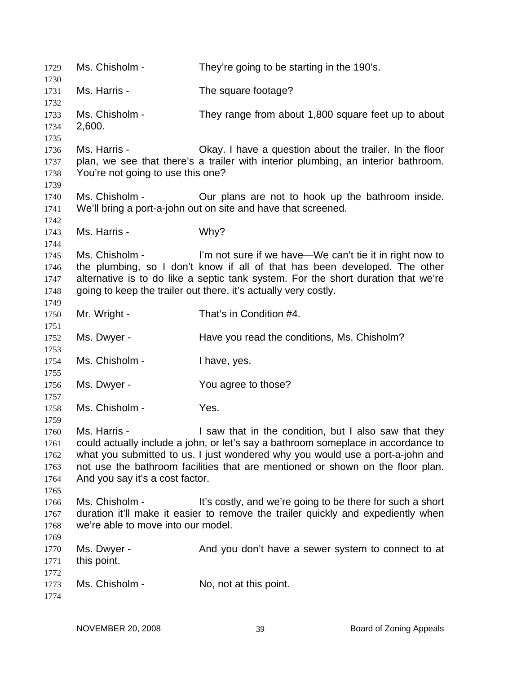Ms. Chisholm - They're going to be starting in the 190's. Ms. Harris - The square footage? Ms. Chisholm - They range from about 1,800 square feet up to about 2,600. Ms. Harris - Chay. I have a question about the trailer. In the floor plan, we see that there's a trailer with interior plumbing, an interior bathroom. You're not going to use this one? Ms. Chisholm - Cur plans are not to hook up the bathroom inside. We'll bring a port-a-john out on site and have that screened. Ms. Harris - Why? Ms. Chisholm - I'm not sure if we have—We can't tie it in right now to the plumbing, so I don't know if all of that has been developed. The other alternative is to do like a septic tank system. For the short duration that we're going to keep the trailer out there, it's actually very costly. Mr. Wright - That's in Condition #4. Ms. Dwyer - Have you read the conditions, Ms. Chisholm? Ms. Chisholm - I have, yes. Ms. Dwyer - The You agree to those? Ms. Chisholm - Yes. Ms. Harris - The Saw that in the condition, but I also saw that they could actually include a john, or let's say a bathroom someplace in accordance to what you submitted to us. I just wondered why you would use a port-a-john and not use the bathroom facilities that are mentioned or shown on the floor plan. And you say it's a cost factor. Ms. Chisholm - It's costly, and we're going to be there for such a short duration it'll make it easier to remove the trailer quickly and expediently when we're able to move into our model. Ms. Dwyer - And you don't have a sewer system to connect to at this point. Ms. Chisholm - No, not at this point.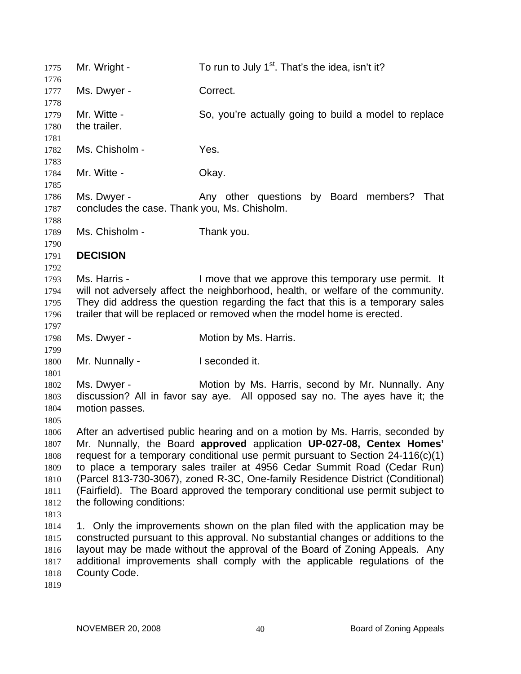1775 Mr. Wright - To run to July  $1<sup>st</sup>$ . That's the idea, isn't it? 1776 1777 1778 1779 1780 1781 1782 1783 1784 1785 1786 1787 1788 1789 1790 1791 1792 1793 1794 1795 1796 1797 1798 1799 1800 1801 1802 1803 1804 1805 1806 1807 1808 1809 1810 1811 1812 1813 1814 1815 1816 1817 1818 1819 Ms. Dwyer - Correct. Mr. Witte - So, you're actually going to build a model to replace the trailer. Ms. Chisholm - Yes. Mr. Witte - Chav. Ms. Dwyer - That Any other questions by Board members? That concludes the case. Thank you, Ms. Chisholm. Ms. Chisholm - Thank you. **DECISION**  Ms. Harris - The Move that we approve this temporary use permit. It will not adversely affect the neighborhood, health, or welfare of the community. They did address the question regarding the fact that this is a temporary sales trailer that will be replaced or removed when the model home is erected. Ms. Dwyer - **Motion by Ms. Harris.** Mr. Nunnally - I seconded it. Ms. Dwyer - **Motion by Ms. Harris, second by Mr. Nunnally. Any** discussion? All in favor say aye. All opposed say no. The ayes have it; the motion passes. After an advertised public hearing and on a motion by Ms. Harris, seconded by Mr. Nunnally, the Board **approved** application **UP-027-08, Centex Homes'** request for a temporary conditional use permit pursuant to Section 24-116(c)(1) to place a temporary sales trailer at 4956 Cedar Summit Road (Cedar Run) (Parcel 813-730-3067), zoned R-3C, One-family Residence District (Conditional) (Fairfield). The Board approved the temporary conditional use permit subject to the following conditions: 1. Only the improvements shown on the plan filed with the application may be constructed pursuant to this approval. No substantial changes or additions to the layout may be made without the approval of the Board of Zoning Appeals. Any additional improvements shall comply with the applicable regulations of the County Code.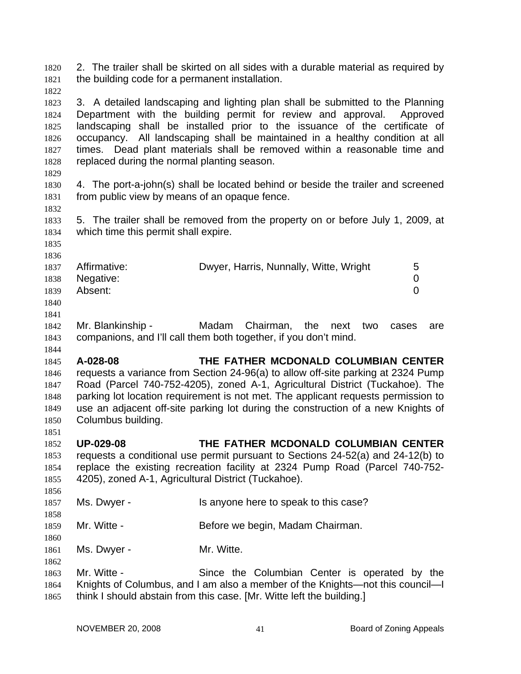2. The trailer shall be skirted on all sides with a durable material as required by the building code for a permanent installation. 1820 1821

1822

1823 1824 1825 1826 1827 1828 3. A detailed landscaping and lighting plan shall be submitted to the Planning Department with the building permit for review and approval. Approved landscaping shall be installed prior to the issuance of the certificate of occupancy. All landscaping shall be maintained in a healthy condition at all times. Dead plant materials shall be removed within a reasonable time and replaced during the normal planting season.

1829

1832

1830 1831 4. The port-a-john(s) shall be located behind or beside the trailer and screened from public view by means of an opaque fence.

1833 1834 5. The trailer shall be removed from the property on or before July 1, 2009, at which time this permit shall expire.

1835 1836

1844

1858

1860

1862

| 1837 | Affirmative: | Dwyer, Harris, Nunnally, Witte, Wright | b |
|------|--------------|----------------------------------------|---|
| 1838 | Negative:    |                                        |   |
| 1839 | Absent:      |                                        |   |
| 1840 |              |                                        |   |
| 1841 |              |                                        |   |

1842 1843 Mr. Blankinship - Madam Chairman, the next two cases are companions, and I'll call them both together, if you don't mind.

1845 1846 1847 1848 1849 1850 1851 **A-028-08 THE FATHER MCDONALD COLUMBIAN CENTER** requests a variance from Section 24-96(a) to allow off-site parking at 2324 Pump Road (Parcel 740-752-4205), zoned A-1, Agricultural District (Tuckahoe). The parking lot location requirement is not met. The applicant requests permission to use an adjacent off-site parking lot during the construction of a new Knights of Columbus building.

1852 1853 1854 1855 1856 **UP-029-08 THE FATHER MCDONALD COLUMBIAN CENTER** requests a conditional use permit pursuant to Sections 24-52(a) and 24-12(b) to replace the existing recreation facility at 2324 Pump Road (Parcel 740-752- 4205), zoned A-1, Agricultural District (Tuckahoe).

- 1857 Ms. Dwyer - Is anyone here to speak to this case?
- 1859 Mr. Witte - **Before we begin, Madam Chairman.**

1861 Ms. Dwyer - Mr. Witte.

1863 1864 1865 Mr. Witte - Since the Columbian Center is operated by the Knights of Columbus, and I am also a member of the Knights—not this council—I think I should abstain from this case. [Mr. Witte left the building.]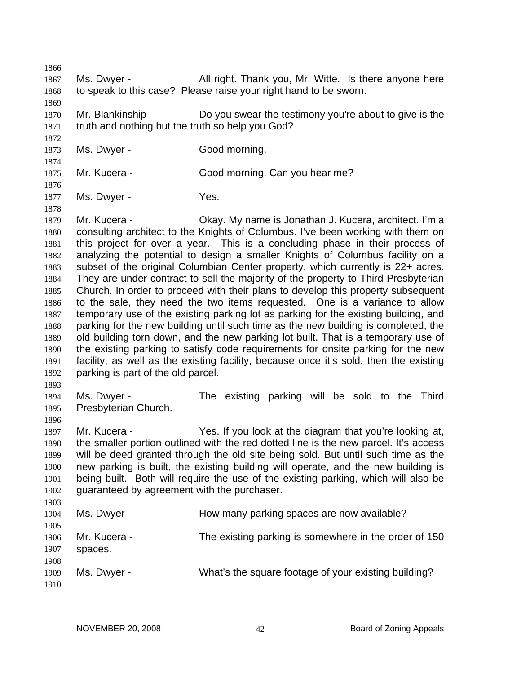1866 1867 1868 1869 1870 1871 1872 1873 1874 1875 1876 1877 1878 1879 1880 1881 1882 1883 1884 1885 1886 1887 1888 1889 1890 1891 1892 1893 1894 1895 1896 1897 1898 1899 1900 1901 1902 1903 1904 1905 1906 1907 1908 Ms. Dwyer - All right. Thank you, Mr. Witte. Is there anyone here to speak to this case? Please raise your right hand to be sworn. Mr. Blankinship - Do you swear the testimony you're about to give is the truth and nothing but the truth so help you God? Ms. Dwyer - Good morning. Mr. Kucera - Good morning. Can you hear me? Ms. Dwyer - Yes. Mr. Kucera - Chay. My name is Jonathan J. Kucera, architect. I'm a consulting architect to the Knights of Columbus. I've been working with them on this project for over a year. This is a concluding phase in their process of analyzing the potential to design a smaller Knights of Columbus facility on a subset of the original Columbian Center property, which currently is 22+ acres. They are under contract to sell the majority of the property to Third Presbyterian Church. In order to proceed with their plans to develop this property subsequent to the sale, they need the two items requested. One is a variance to allow temporary use of the existing parking lot as parking for the existing building, and parking for the new building until such time as the new building is completed, the old building torn down, and the new parking lot built. That is a temporary use of the existing parking to satisfy code requirements for onsite parking for the new facility, as well as the existing facility, because once it's sold, then the existing parking is part of the old parcel. Ms. Dwyer - The existing parking will be sold to the Third Presbyterian Church. Mr. Kucera - Yes. If you look at the diagram that you're looking at, the smaller portion outlined with the red dotted line is the new parcel. It's access will be deed granted through the old site being sold. But until such time as the new parking is built, the existing building will operate, and the new building is being built. Both will require the use of the existing parking, which will also be guaranteed by agreement with the purchaser. Ms. Dwyer - The How many parking spaces are now available? Mr. Kucera - The existing parking is somewhere in the order of 150 spaces.

Ms. Dwyer - What's the square footage of your existing building?

1909 1910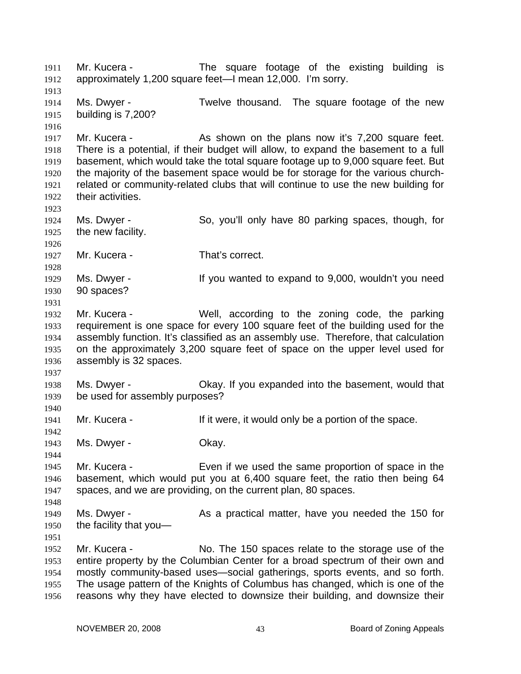Mr. Kucera - The square footage of the existing building is approximately 1,200 square feet—I mean 12,000. I'm sorry. 1911 1912 1913 1914 1915 1916 1917 1918 1919 1920 1921 1922 1923 1924 1925 1926 1927 1928 1929 1930 1931 1932 1933 1934 1935 1936 1937 1938 1939 1940 1941 1942 1943 1944 1945 1946 1947 1948 1949 1950 1951 1952 1953 1954 1955 1956 Ms. Dwyer - Twelve thousand. The square footage of the new building is 7,200? Mr. Kucera - The As shown on the plans now it's 7,200 square feet. There is a potential, if their budget will allow, to expand the basement to a full basement, which would take the total square footage up to 9,000 square feet. But the majority of the basement space would be for storage for the various churchrelated or community-related clubs that will continue to use the new building for their activities. Ms. Dwyer - So, you'll only have 80 parking spaces, though, for the new facility. Mr. Kucera - That's correct. Ms. Dwyer - The Music of the Vou wanted to expand to 9,000, wouldn't you need 90 spaces? Mr. Kucera - Well, according to the zoning code, the parking requirement is one space for every 100 square feet of the building used for the assembly function. It's classified as an assembly use. Therefore, that calculation on the approximately 3,200 square feet of space on the upper level used for assembly is 32 spaces. Ms. Dwyer - Okay. If you expanded into the basement, would that be used for assembly purposes? Mr. Kucera - The Music of the state of the space. Ms. Dwyer - Chay. Mr. Kucera - Even if we used the same proportion of space in the basement, which would put you at 6,400 square feet, the ratio then being 64 spaces, and we are providing, on the current plan, 80 spaces. Ms. Dwyer - The As a practical matter, have you needed the 150 for the facility that you— Mr. Kucera - No. The 150 spaces relate to the storage use of the entire property by the Columbian Center for a broad spectrum of their own and mostly community-based uses—social gatherings, sports events, and so forth. The usage pattern of the Knights of Columbus has changed, which is one of the reasons why they have elected to downsize their building, and downsize their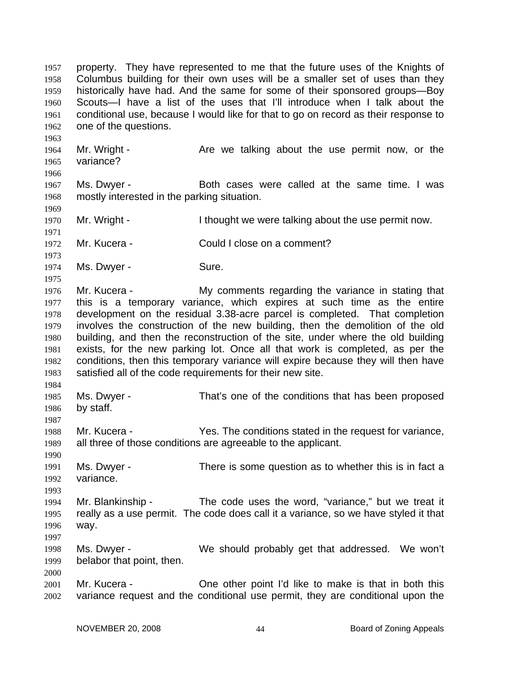property. They have represented to me that the future uses of the Knights of Columbus building for their own uses will be a smaller set of uses than they historically have had. And the same for some of their sponsored groups—Boy Scouts—I have a list of the uses that I'll introduce when I talk about the conditional use, because I would like for that to go on record as their response to one of the questions. 1957 1958 1959 1960 1961 1962

1964 1965 1966 Mr. Wright - The Are we talking about the use permit now, or the variance?

1967 1968 Ms. Dwyer - Both cases were called at the same time. I was mostly interested in the parking situation.

1970 Mr. Wright - Thought we were talking about the use permit now.

1972 Mr. Kucera - Could I close on a comment?

1974 Ms. Dwyer - Sure.

1963

1969

1971

1973

1975

1984

1987

1990

1993

1997

2000

1976 1977 1978 1979 1980 1981 1982 1983 Mr. Kucera - My comments regarding the variance in stating that this is a temporary variance, which expires at such time as the entire development on the residual 3.38-acre parcel is completed. That completion involves the construction of the new building, then the demolition of the old building, and then the reconstruction of the site, under where the old building exists, for the new parking lot. Once all that work is completed, as per the conditions, then this temporary variance will expire because they will then have satisfied all of the code requirements for their new site.

1985 1986 Ms. Dwyer - That's one of the conditions that has been proposed by staff.

1988 1989 Mr. Kucera - Yes. The conditions stated in the request for variance, all three of those conditions are agreeable to the applicant.

1991 1992 Ms. Dwyer - There is some question as to whether this is in fact a variance.

1994 1995 1996 Mr. Blankinship - The code uses the word, "variance," but we treat it really as a use permit. The code does call it a variance, so we have styled it that way.

1998 1999 Ms. Dwyer - We should probably get that addressed. We won't belabor that point, then.

2001 2002 Mr. Kucera - Che other point I'd like to make is that in both this variance request and the conditional use permit, they are conditional upon the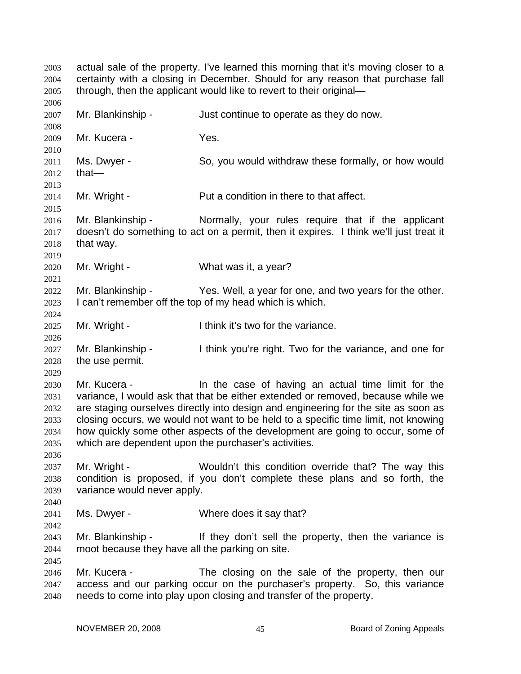actual sale of the property. I've learned this morning that it's moving closer to a certainty with a closing in December. Should for any reason that purchase fall through, then the applicant would like to revert to their original— 2003 2004 2005 2006 2007 2008 2009 2010 2011 2012 2013 2014 2015 2016 2017 2018 2019 2020 2021 2022 2023 2024 2025 2026 2027 2028 2029 2030 2031 2032 2033 2034 2035 2036 2037 2038 2039 2040 2041 2042 2043 2044 2045 2046 2047 2048 Mr. Blankinship - The Just continue to operate as they do now. Mr. Kucera - Yes. Ms. Dwyer - So, you would withdraw these formally, or how would that— Mr. Wright - Put a condition in there to that affect. Mr. Blankinship - Normally, your rules require that if the applicant doesn't do something to act on a permit, then it expires. I think we'll just treat it that way. Mr. Wright - What was it, a year? Mr. Blankinship - Yes. Well, a year for one, and two years for the other. I can't remember off the top of my head which is which. Mr. Wright - I think it's two for the variance. Mr. Blankinship - I think you're right. Two for the variance, and one for the use permit. Mr. Kucera - In the case of having an actual time limit for the variance, I would ask that that be either extended or removed, because while we are staging ourselves directly into design and engineering for the site as soon as closing occurs, we would not want to be held to a specific time limit, not knowing how quickly some other aspects of the development are going to occur, some of which are dependent upon the purchaser's activities. Mr. Wright - Wouldn't this condition override that? The way this condition is proposed, if you don't complete these plans and so forth, the variance would never apply. Ms. Dwyer - Where does it say that? Mr. Blankinship - If they don't sell the property, then the variance is moot because they have all the parking on site. Mr. Kucera - The closing on the sale of the property, then our access and our parking occur on the purchaser's property. So, this variance needs to come into play upon closing and transfer of the property.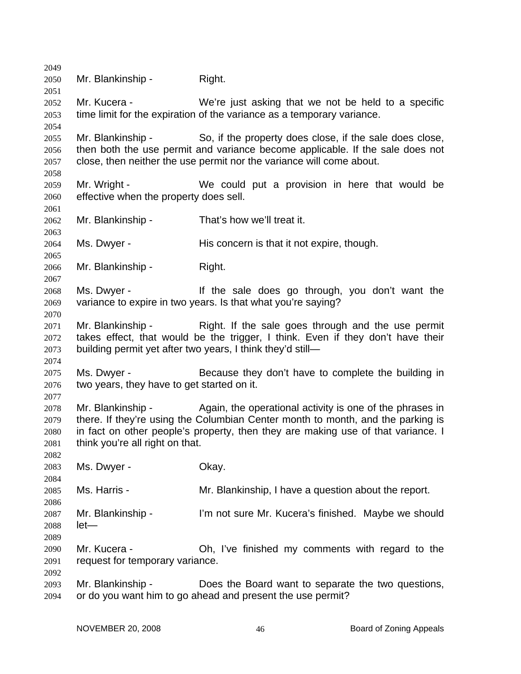2049 2050 2051 2052 2053 2054 2055 2056 2057 2058 2059 2060 2061 2062 2063 2064 2065 2066 2067 2068 2069 2070 2071 2072 2073 2074 2075 2076 2077 2078 2079 2080 2081 2082 2083 2084 2085 2086 2087 2088 2089 2090 2091 2092 2093 2094 Mr. Blankinship - Right. Mr. Kucera - We're just asking that we not be held to a specific time limit for the expiration of the variance as a temporary variance. Mr. Blankinship - So, if the property does close, if the sale does close, then both the use permit and variance become applicable. If the sale does not close, then neither the use permit nor the variance will come about. Mr. Wright - We could put a provision in here that would be effective when the property does sell. Mr. Blankinship - That's how we'll treat it. Ms. Dwyer - His concern is that it not expire, though. Mr. Blankinship - Right. Ms. Dwyer - The sale does go through, you don't want the variance to expire in two years. Is that what you're saying? Mr. Blankinship - Right. If the sale goes through and the use permit takes effect, that would be the trigger, I think. Even if they don't have their building permit yet after two years, I think they'd still— Ms. Dwyer - Because they don't have to complete the building in two years, they have to get started on it. Mr. Blankinship - Again, the operational activity is one of the phrases in there. If they're using the Columbian Center month to month, and the parking is in fact on other people's property, then they are making use of that variance. I think you're all right on that. Ms. Dwyer - Chay. Ms. Harris - The Mr. Blankinship, I have a question about the report. Mr. Blankinship - I'm not sure Mr. Kucera's finished. Maybe we should let— Mr. Kucera - Ch, I've finished my comments with regard to the request for temporary variance. Mr. Blankinship - Does the Board want to separate the two questions, or do you want him to go ahead and present the use permit?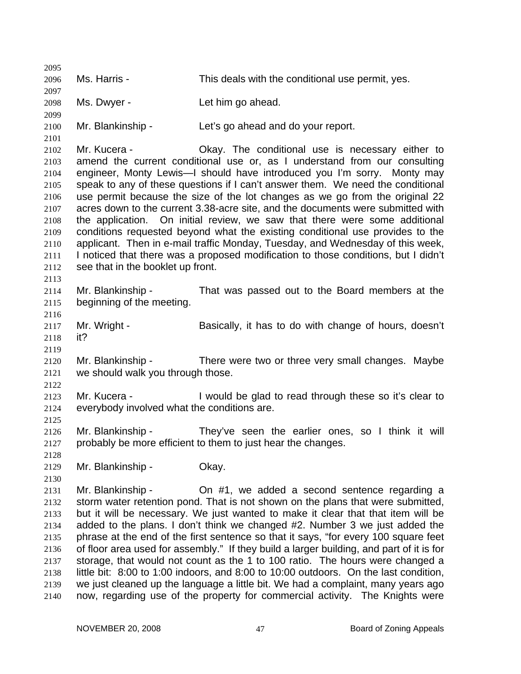2095 2096 2097 2098 2099 2100 2101 2102 2103 2104 2105 2106 2107 2108 2109 2110 2111 2112 2113 2114 2115 2116 2117 2118 2119 2120 2121 2122 2123 2124 2125 2126 2127 2128 2129 2130 2131 2132 2133 2134 2135 2136 2137 2138 2139 2140 Ms. Harris - This deals with the conditional use permit, yes. Ms. Dwyer - The Let him go ahead. Mr. Blankinship - Let's go ahead and do your report. Mr. Kucera - Chay. The conditional use is necessary either to amend the current conditional use or, as I understand from our consulting engineer, Monty Lewis—I should have introduced you I'm sorry. Monty may speak to any of these questions if I can't answer them. We need the conditional use permit because the size of the lot changes as we go from the original 22 acres down to the current 3.38-acre site, and the documents were submitted with the application. On initial review, we saw that there were some additional conditions requested beyond what the existing conditional use provides to the applicant. Then in e-mail traffic Monday, Tuesday, and Wednesday of this week, I noticed that there was a proposed modification to those conditions, but I didn't see that in the booklet up front. Mr. Blankinship - That was passed out to the Board members at the beginning of the meeting. Mr. Wright - Basically, it has to do with change of hours, doesn't it? Mr. Blankinship - There were two or three very small changes. Maybe we should walk you through those. Mr. Kucera - Twould be glad to read through these so it's clear to everybody involved what the conditions are. Mr. Blankinship - They've seen the earlier ones, so I think it will probably be more efficient to them to just hear the changes. Mr. Blankinship - Okay. Mr. Blankinship - On #1, we added a second sentence regarding a storm water retention pond. That is not shown on the plans that were submitted, but it will be necessary. We just wanted to make it clear that that item will be added to the plans. I don't think we changed #2. Number 3 we just added the phrase at the end of the first sentence so that it says, "for every 100 square feet of floor area used for assembly." If they build a larger building, and part of it is for storage, that would not count as the 1 to 100 ratio. The hours were changed a little bit: 8:00 to 1:00 indoors, and 8:00 to 10:00 outdoors. On the last condition, we just cleaned up the language a little bit. We had a complaint, many years ago now, regarding use of the property for commercial activity. The Knights were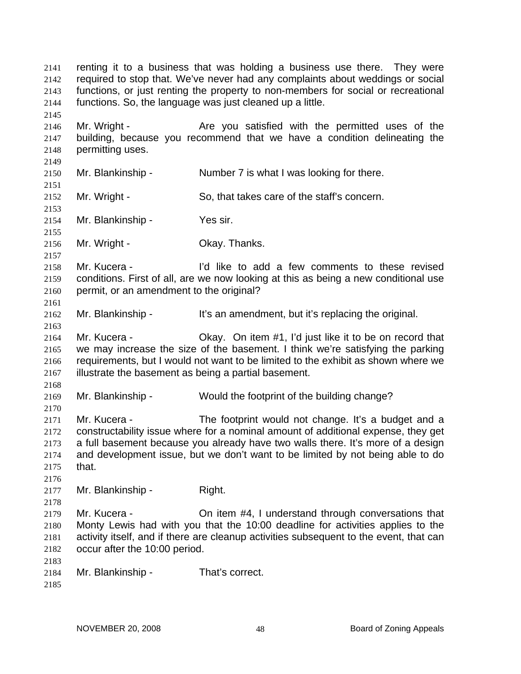renting it to a business that was holding a business use there. They were required to stop that. We've never had any complaints about weddings or social functions, or just renting the property to non-members for social or recreational functions. So, the language was just cleaned up a little. 2141 2142 2143 2144 2145 2146 2147 2148 2149 2150 2151 2152 2153 2154 2155 2156 2157 2158 2159 2160 2161 2162 2163 2164 2165 2166 2167 2168 2169 2170 2171 2172 2173 2174 2175 2176 2177 2178 2179 2180 2181 2182 2183 2184 2185 Mr. Wright - The State you satisfied with the permitted uses of the building, because you recommend that we have a condition delineating the permitting uses. Mr. Blankinship - Number 7 is what I was looking for there. Mr. Wright - So, that takes care of the staff's concern. Mr. Blankinship - Yes sir. Mr. Wright - Chay. Thanks. Mr. Kucera - The Text I'd like to add a few comments to these revised conditions. First of all, are we now looking at this as being a new conditional use permit, or an amendment to the original? Mr. Blankinship - It's an amendment, but it's replacing the original. Mr. Kucera - Okay. On item #1, I'd just like it to be on record that we may increase the size of the basement. I think we're satisfying the parking requirements, but I would not want to be limited to the exhibit as shown where we illustrate the basement as being a partial basement. Mr. Blankinship - Would the footprint of the building change? Mr. Kucera - The footprint would not change. It's a budget and a constructability issue where for a nominal amount of additional expense, they get a full basement because you already have two walls there. It's more of a design and development issue, but we don't want to be limited by not being able to do that. Mr. Blankinship - Right. Mr. Kucera - On item #4, I understand through conversations that Monty Lewis had with you that the 10:00 deadline for activities applies to the activity itself, and if there are cleanup activities subsequent to the event, that can occur after the 10:00 period. Mr. Blankinship - That's correct.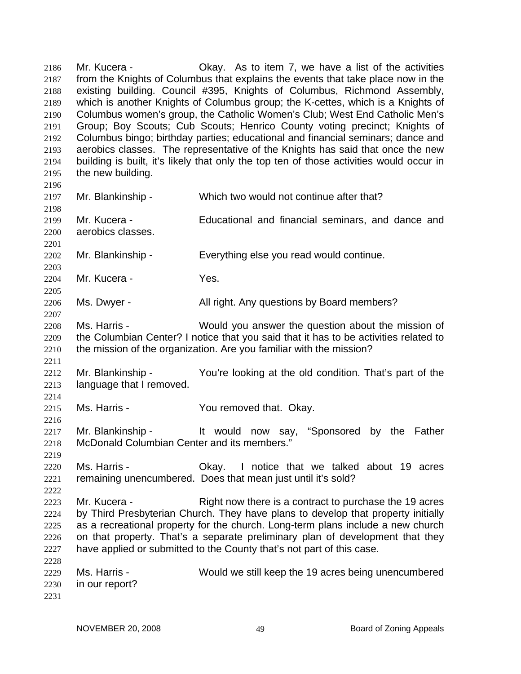Mr. Kucera - Okay. As to item 7, we have a list of the activities from the Knights of Columbus that explains the events that take place now in the existing building. Council #395, Knights of Columbus, Richmond Assembly, which is another Knights of Columbus group; the K-cettes, which is a Knights of Columbus women's group, the Catholic Women's Club; West End Catholic Men's Group; Boy Scouts; Cub Scouts; Henrico County voting precinct; Knights of Columbus bingo; birthday parties; educational and financial seminars; dance and aerobics classes. The representative of the Knights has said that once the new building is built, it's likely that only the top ten of those activities would occur in the new building. 2186 2187 2188 2189 2190 2191 2192 2193 2194 2195 2196 2197 2198 2199 2200 2201 2202 2203 2204 2205 2206 2207 2208 2209 2210 2211 2212 2213 2214 2215 2216 2217 2218 2219 2220 2221 2222 2223 2224 2225 2226 2227 2228 2229 2230 2231 Mr. Blankinship - Which two would not continue after that? Mr. Kucera - The Educational and financial seminars, and dance and aerobics classes. Mr. Blankinship - Everything else you read would continue. Mr. Kucera - Yes. Ms. Dwyer - All right. Any questions by Board members? Ms. Harris - Would you answer the question about the mission of the Columbian Center? I notice that you said that it has to be activities related to the mission of the organization. Are you familiar with the mission? Mr. Blankinship - You're looking at the old condition. That's part of the language that I removed. Ms. Harris - The You removed that. Okay. Mr. Blankinship - It would now say, "Sponsored by the Father McDonald Columbian Center and its members." Ms. Harris - Okay. I notice that we talked about 19 acres remaining unencumbered. Does that mean just until it's sold? Mr. Kucera - Right now there is a contract to purchase the 19 acres by Third Presbyterian Church. They have plans to develop that property initially as a recreational property for the church. Long-term plans include a new church on that property. That's a separate preliminary plan of development that they have applied or submitted to the County that's not part of this case. Ms. Harris - Would we still keep the 19 acres being unencumbered in our report?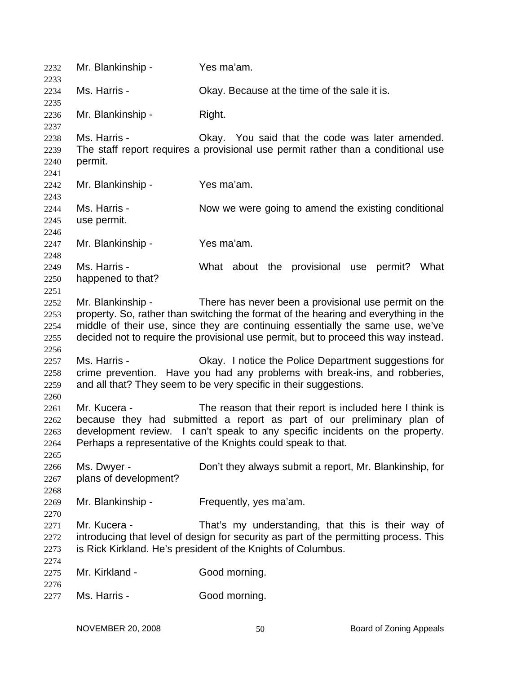| 2232<br>2233                         | Mr. Blankinship -                                                                                                                                                                                                                                                                                  | Yes ma'am.                                                                                                                                                                                                                                                                                                           |
|--------------------------------------|----------------------------------------------------------------------------------------------------------------------------------------------------------------------------------------------------------------------------------------------------------------------------------------------------|----------------------------------------------------------------------------------------------------------------------------------------------------------------------------------------------------------------------------------------------------------------------------------------------------------------------|
| 2234<br>2235                         | Ms. Harris -                                                                                                                                                                                                                                                                                       | Okay. Because at the time of the sale it is.                                                                                                                                                                                                                                                                         |
| 2236<br>2237                         | Mr. Blankinship -                                                                                                                                                                                                                                                                                  | Right.                                                                                                                                                                                                                                                                                                               |
| 2238<br>2239<br>2240<br>2241         | Ms. Harris -<br>permit.                                                                                                                                                                                                                                                                            | Okay. You said that the code was later amended.<br>The staff report requires a provisional use permit rather than a conditional use                                                                                                                                                                                  |
| 2242<br>2243                         | Mr. Blankinship -                                                                                                                                                                                                                                                                                  | Yes ma'am.                                                                                                                                                                                                                                                                                                           |
| 2244<br>2245<br>2246                 | Ms. Harris -<br>use permit.                                                                                                                                                                                                                                                                        | Now we were going to amend the existing conditional                                                                                                                                                                                                                                                                  |
| 2247<br>2248                         | Mr. Blankinship -                                                                                                                                                                                                                                                                                  | Yes ma'am.                                                                                                                                                                                                                                                                                                           |
| 2249<br>2250<br>2251                 | Ms. Harris -<br>happened to that?                                                                                                                                                                                                                                                                  | What about the provisional use<br>What<br>permit?                                                                                                                                                                                                                                                                    |
| 2252<br>2253<br>2254<br>2255<br>2256 | Mr. Blankinship -                                                                                                                                                                                                                                                                                  | There has never been a provisional use permit on the<br>property. So, rather than switching the format of the hearing and everything in the<br>middle of their use, since they are continuing essentially the same use, we've<br>decided not to require the provisional use permit, but to proceed this way instead. |
| 2257<br>2258<br>2259<br>2260         | Ms. Harris -                                                                                                                                                                                                                                                                                       | Okay. I notice the Police Department suggestions for<br>crime prevention. Have you had any problems with break-ins, and robberies,<br>and all that? They seem to be very specific in their suggestions.                                                                                                              |
| 2261<br>2262<br>2263<br>2264<br>2265 | Mr. Kucera -<br>The reason that their report is included here I think is<br>because they had submitted a report as part of our preliminary plan of<br>development review. I can't speak to any specific incidents on the property.<br>Perhaps a representative of the Knights could speak to that. |                                                                                                                                                                                                                                                                                                                      |
| 2266<br>2267<br>2268                 | Ms. Dwyer -<br>plans of development?                                                                                                                                                                                                                                                               | Don't they always submit a report, Mr. Blankinship, for                                                                                                                                                                                                                                                              |
| 2269<br>2270                         | Mr. Blankinship -                                                                                                                                                                                                                                                                                  | Frequently, yes ma'am.                                                                                                                                                                                                                                                                                               |
| 2271<br>2272<br>2273<br>2274         | Mr. Kucera -                                                                                                                                                                                                                                                                                       | That's my understanding, that this is their way of<br>introducing that level of design for security as part of the permitting process. This<br>is Rick Kirkland. He's president of the Knights of Columbus.                                                                                                          |
| 2275                                 | Mr. Kirkland -                                                                                                                                                                                                                                                                                     | Good morning.                                                                                                                                                                                                                                                                                                        |
| 2276<br>2277                         | Ms. Harris -                                                                                                                                                                                                                                                                                       | Good morning.                                                                                                                                                                                                                                                                                                        |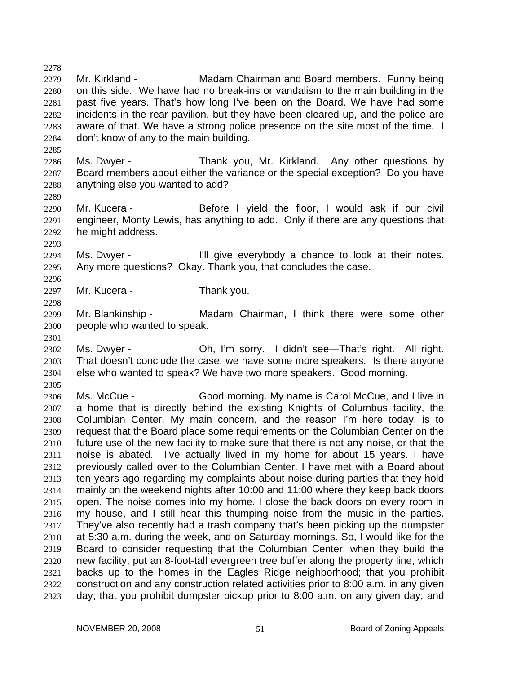2279 2280 2281 2282 2283 2284 Mr. Kirkland - The Madam Chairman and Board members. Funny being on this side. We have had no break-ins or vandalism to the main building in the past five years. That's how long I've been on the Board. We have had some incidents in the rear pavilion, but they have been cleared up, and the police are aware of that. We have a strong police presence on the site most of the time. I don't know of any to the main building.

- 2286 2287 2288 Ms. Dwyer - Thank you, Mr. Kirkland. Any other questions by Board members about either the variance or the special exception? Do you have anything else you wanted to add?
- 2290 2291 2292 Mr. Kucera - Before I yield the floor, I would ask if our civil engineer, Monty Lewis, has anything to add. Only if there are any questions that he might address.

2294 2295 Ms. Dwyer - The lill give everybody a chance to look at their notes. Any more questions? Okay. Thank you, that concludes the case.

- 2297 Mr. Kucera - Thank you.
- 2299 2300 Mr. Blankinship - The Madam Chairman, I think there were some other people who wanted to speak.
- 2302 2303 2304 Ms. Dwyer - **Oh, I'm sorry.** I didn't see—That's right. All right. That doesn't conclude the case; we have some more speakers. Is there anyone else who wanted to speak? We have two more speakers. Good morning.
- 2305

2278

2285

2289

2293

2296

2298

2301

2306 2307 2308 2309 2310 2311 2312 2313 2314 2315 2316 2317 2318 2319 2320 2321 2322 2323 Ms. McCue - Good morning. My name is Carol McCue, and I live in a home that is directly behind the existing Knights of Columbus facility, the Columbian Center. My main concern, and the reason I'm here today, is to request that the Board place some requirements on the Columbian Center on the future use of the new facility to make sure that there is not any noise, or that the noise is abated. I've actually lived in my home for about 15 years. I have previously called over to the Columbian Center. I have met with a Board about ten years ago regarding my complaints about noise during parties that they hold mainly on the weekend nights after 10:00 and 11:00 where they keep back doors open. The noise comes into my home. I close the back doors on every room in my house, and I still hear this thumping noise from the music in the parties. They've also recently had a trash company that's been picking up the dumpster at 5:30 a.m. during the week, and on Saturday mornings. So, I would like for the Board to consider requesting that the Columbian Center, when they build the new facility, put an 8-foot-tall evergreen tree buffer along the property line, which backs up to the homes in the Eagles Ridge neighborhood; that you prohibit construction and any construction related activities prior to 8:00 a.m. in any given day; that you prohibit dumpster pickup prior to 8:00 a.m. on any given day; and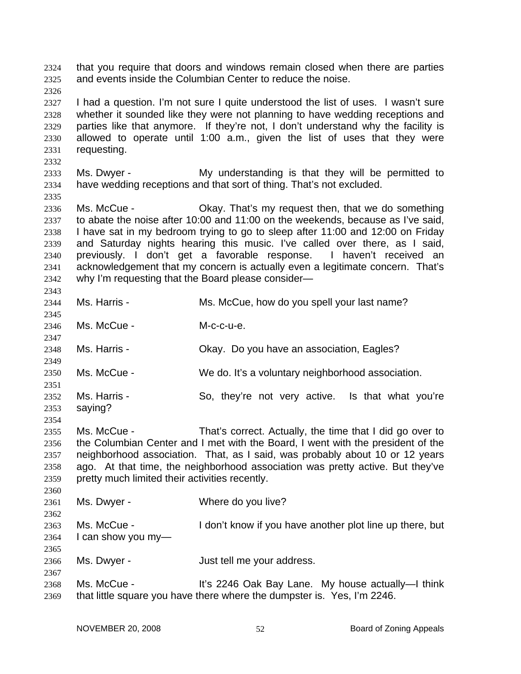that you require that doors and windows remain closed when there are parties and events inside the Columbian Center to reduce the noise. 2324 2325

2326

2332

2335

2343

2347

2349

2354

2360

2367

2327 2328 2329 2330 2331 I had a question. I'm not sure I quite understood the list of uses. I wasn't sure whether it sounded like they were not planning to have wedding receptions and parties like that anymore. If they're not, I don't understand why the facility is allowed to operate until 1:00 a.m., given the list of uses that they were requesting.

2333 2334 Ms. Dwyer - My understanding is that they will be permitted to have wedding receptions and that sort of thing. That's not excluded.

2336 2337 2338 2339 2340 2341 2342 Ms. McCue - Chay. That's my request then, that we do something to abate the noise after 10:00 and 11:00 on the weekends, because as I've said, I have sat in my bedroom trying to go to sleep after 11:00 and 12:00 on Friday and Saturday nights hearing this music. I've called over there, as I said, previously. I don't get a favorable response. I haven't received an acknowledgement that my concern is actually even a legitimate concern. That's why I'm requesting that the Board please consider—

- 2344 2345 Ms. Harris - Ms. McCue, how do you spell your last name?
- 2346 Ms. McCue - M-c-c-u-e.

2348 Ms. Harris - Okay. Do you have an association, Eagles?

2350 Ms. McCue - We do. It's a voluntary neighborhood association.

2351 2352 2353 Ms. Harris - So, they're not very active. Is that what you're saying?

2355 2356 2357 2358 2359 Ms. McCue - That's correct. Actually, the time that I did go over to the Columbian Center and I met with the Board, I went with the president of the neighborhood association. That, as I said, was probably about 10 or 12 years ago. At that time, the neighborhood association was pretty active. But they've pretty much limited their activities recently.

2361 2362 2363 2364 2365 Ms. Dwyer - Where do you live? Ms. McCue - I don't know if you have another plot line up there, but I can show you my—

2366 Ms. Dwyer - The South Hust tell me your address.

2368 2369 Ms. McCue - It's 2246 Oak Bay Lane. My house actually—I think that little square you have there where the dumpster is. Yes, I'm 2246.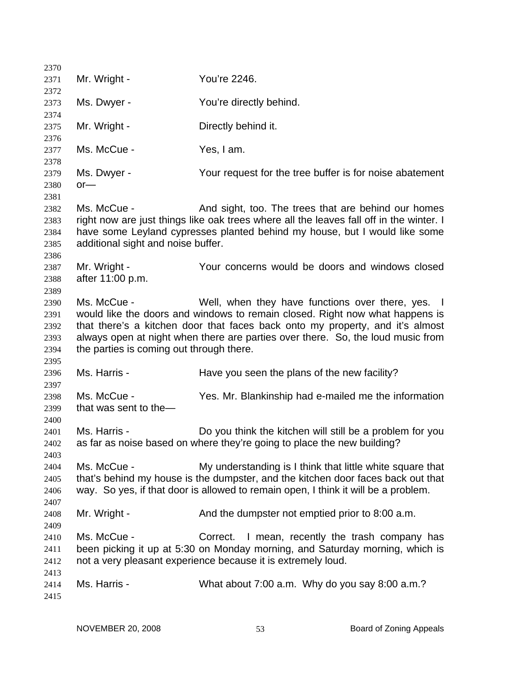2370 2371 2372 2373 2374 2375 2376 2377 2378 2379 2380 2381 2382 2383 2384 2385 2386 2387 2388 2389 2390 2391 2392 2393 2394 2395 2396 2397 2398 2399 2400 2401 2402 2403 2404 2405 2406 2407 2408 2409 2410 2411 2412 2413 2414 2415 Mr. Wright - You're 2246. Ms. Dwyer - You're directly behind. Mr. Wright - **Directly behind it.** Ms. McCue - Yes, I am. Ms. Dwyer - The Your request for the tree buffer is for noise abatement or— Ms. McCue - And sight, too. The trees that are behind our homes right now are just things like oak trees where all the leaves fall off in the winter. I have some Leyland cypresses planted behind my house, but I would like some additional sight and noise buffer. Mr. Wright - The Your concerns would be doors and windows closed after 11:00 p.m. Ms. McCue - The Well, when they have functions over there, yes. I would like the doors and windows to remain closed. Right now what happens is that there's a kitchen door that faces back onto my property, and it's almost always open at night when there are parties over there. So, the loud music from the parties is coming out through there. Ms. Harris - The Have you seen the plans of the new facility? Ms. McCue - Yes. Mr. Blankinship had e-mailed me the information that was sent to the— Ms. Harris - **Do you think the kitchen will still be a problem for you** as far as noise based on where they're going to place the new building? Ms. McCue - My understanding is I think that little white square that that's behind my house is the dumpster, and the kitchen door faces back out that way. So yes, if that door is allowed to remain open, I think it will be a problem. Mr. Wright - And the dumpster not emptied prior to 8:00 a.m. Ms. McCue - Correct. I mean, recently the trash company has been picking it up at 5:30 on Monday morning, and Saturday morning, which is not a very pleasant experience because it is extremely loud. Ms. Harris - What about 7:00 a.m. Why do you say 8:00 a.m.?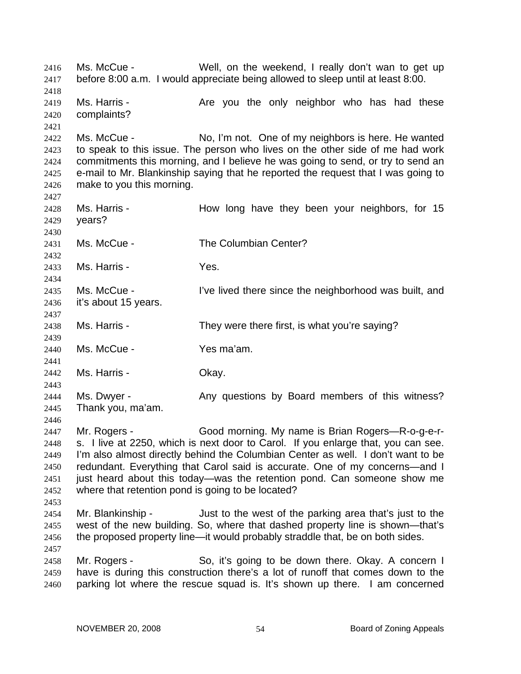Ms. McCue - Well, on the weekend, I really don't wan to get up before 8:00 a.m. I would appreciate being allowed to sleep until at least 8:00. 2416 2417 2418 2419 2420 2421 2422 2423 2424 2425 2426 2427 2428 2429 2430 2431 2432 2433 2434 2435 2436 2437 2438 2439 2440 2441 2442 2443 2444 2445 2446 2447 2448 2449 2450 2451 2452 2453 2454 2455 2456 2457 2458 2459 2460 Ms. Harris - The Are you the only neighbor who has had these complaints? Ms. McCue - No, I'm not. One of my neighbors is here. He wanted to speak to this issue. The person who lives on the other side of me had work commitments this morning, and I believe he was going to send, or try to send an e-mail to Mr. Blankinship saying that he reported the request that I was going to make to you this morning. Ms. Harris - How long have they been your neighbors, for 15 years? Ms. McCue - The Columbian Center? Ms. Harris - The Yes. Ms. McCue - I've lived there since the neighborhood was built, and it's about 15 years. Ms. Harris - They were there first, is what you're saying? Ms. McCue - Yes ma'am. Ms. Harris - Ckay. Ms. Dwyer - The Any questions by Board members of this witness? Thank you, ma'am. Mr. Rogers - Good morning. My name is Brian Rogers—R-o-g-e-rs. I live at 2250, which is next door to Carol. If you enlarge that, you can see. I'm also almost directly behind the Columbian Center as well. I don't want to be redundant. Everything that Carol said is accurate. One of my concerns—and I just heard about this today—was the retention pond. Can someone show me where that retention pond is going to be located? Mr. Blankinship - Just to the west of the parking area that's just to the west of the new building. So, where that dashed property line is shown—that's the proposed property line—it would probably straddle that, be on both sides. Mr. Rogers - So, it's going to be down there. Okay. A concern I have is during this construction there's a lot of runoff that comes down to the parking lot where the rescue squad is. It's shown up there. I am concerned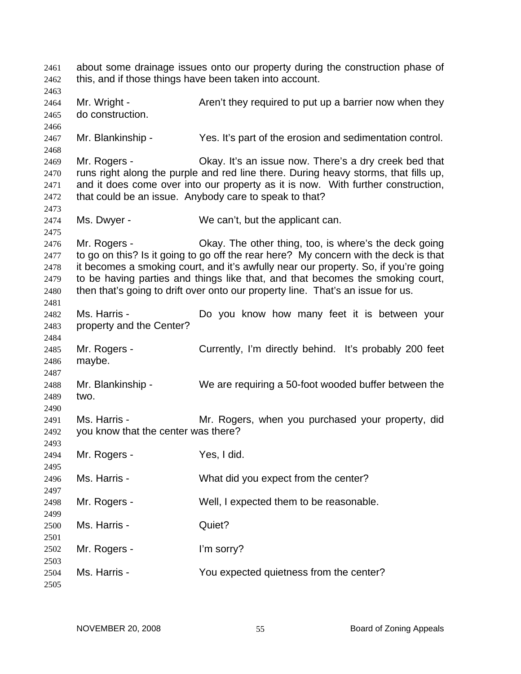about some drainage issues onto our property during the construction phase of this, and if those things have been taken into account. 2461 2462 2463 2464 2465 2466 2467 2468 2469 2470 2471 2472 2473 2474 2475 2476 2477 2478 2479 2480 2481 2482 2483 2484 2485 2486 2487 2488 2489 2490 2491 2492 2493 2494 2495 2496 2497 2498 2499 2500 2501 2502 2503 2504 2505 Mr. Wright - Aren't they required to put up a barrier now when they do construction. Mr. Blankinship - Yes. It's part of the erosion and sedimentation control. Mr. Rogers - Ckay. It's an issue now. There's a dry creek bed that runs right along the purple and red line there. During heavy storms, that fills up, and it does come over into our property as it is now. With further construction, that could be an issue. Anybody care to speak to that? Ms. Dwyer - We can't, but the applicant can. Mr. Rogers - Ckay. The other thing, too, is where's the deck going to go on this? Is it going to go off the rear here? My concern with the deck is that it becomes a smoking court, and it's awfully near our property. So, if you're going to be having parties and things like that, and that becomes the smoking court, then that's going to drift over onto our property line. That's an issue for us. Ms. Harris - The Motow know how many feet it is between your property and the Center? Mr. Rogers - Currently, I'm directly behind. It's probably 200 feet maybe. Mr. Blankinship - We are requiring a 50-foot wooded buffer between the two. Ms. Harris - Mr. Rogers, when you purchased your property, did you know that the center was there? Mr. Rogers - Yes, I did. Ms. Harris - What did you expect from the center? Mr. Rogers - Well, I expected them to be reasonable. Ms. Harris - **Quiet?** Mr. Rogers - I'm sorry? Ms. Harris - The You expected quietness from the center?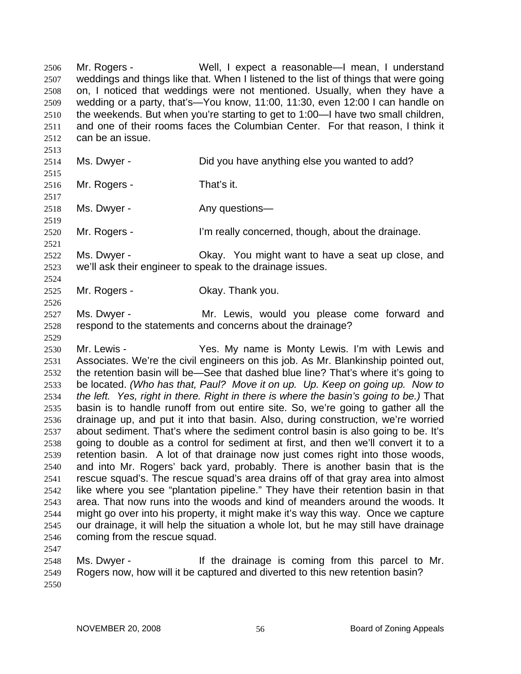Mr. Rogers - Well, I expect a reasonable—I mean, I understand weddings and things like that. When I listened to the list of things that were going on, I noticed that weddings were not mentioned. Usually, when they have a wedding or a party, that's—You know, 11:00, 11:30, even 12:00 I can handle on the weekends. But when you're starting to get to 1:00—I have two small children, and one of their rooms faces the Columbian Center. For that reason, I think it can be an issue. 2506 2507 2508 2509 2510 2511 2512 2513 2514 2515 2516 2517 Ms. Dwyer - The Did you have anything else you wanted to add? Mr. Rogers - That's it.

2518 Ms. Dwyer - Any questions—

2520 Mr. Rogers - I'm really concerned, though, about the drainage.

2522 2523 Ms. Dwyer - Okay. You might want to have a seat up close, and we'll ask their engineer to speak to the drainage issues.

2525 Mr. Rogers - Ckay. Thank you.

2527 2528 Ms. Dwyer - The Mr. Lewis, would you please come forward and respond to the statements and concerns about the drainage?

2530 2531 2532 2533 2534 2535 2536 2537 2538 2539 2540 2541 2542 2543 2544 2545 2546 Mr. Lewis - The My name is Monty Lewis. I'm with Lewis and Associates. We're the civil engineers on this job. As Mr. Blankinship pointed out, the retention basin will be—See that dashed blue line? That's where it's going to be located. *(Who has that, Paul? Move it on up. Up. Keep on going up. Now to the left. Yes, right in there. Right in there is where the basin's going to be.)* That basin is to handle runoff from out entire site. So, we're going to gather all the drainage up, and put it into that basin. Also, during construction, we're worried about sediment. That's where the sediment control basin is also going to be. It's going to double as a control for sediment at first, and then we'll convert it to a retention basin. A lot of that drainage now just comes right into those woods, and into Mr. Rogers' back yard, probably. There is another basin that is the rescue squad's. The rescue squad's area drains off of that gray area into almost like where you see "plantation pipeline." They have their retention basin in that area. That now runs into the woods and kind of meanders around the woods. It might go over into his property, it might make it's way this way. Once we capture our drainage, it will help the situation a whole lot, but he may still have drainage coming from the rescue squad.

2547

2519

2521

2524

2526

2529

2548 2549 2550 Ms. Dwyer - The drainage is coming from this parcel to Mr. Rogers now, how will it be captured and diverted to this new retention basin?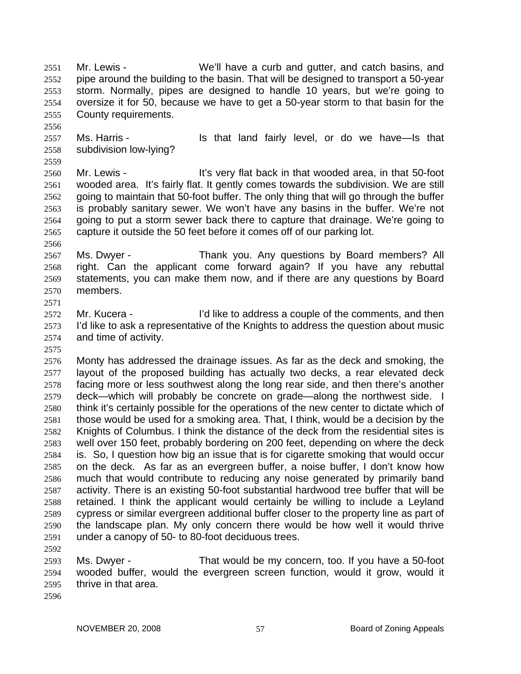Mr. Lewis - We'll have a curb and gutter, and catch basins, and pipe around the building to the basin. That will be designed to transport a 50-year storm. Normally, pipes are designed to handle 10 years, but we're going to oversize it for 50, because we have to get a 50-year storm to that basin for the County requirements. 2551 2552 2553 2554 2555

- 2557 2558 Ms. Harris - The Music Harris Is that land fairly level, or do we have—Is that subdivision low-lying?
- 2560 2561 2562 2563 2564 2565 Mr. Lewis - It's very flat back in that wooded area, in that 50-foot wooded area. It's fairly flat. It gently comes towards the subdivision. We are still going to maintain that 50-foot buffer. The only thing that will go through the buffer is probably sanitary sewer. We won't have any basins in the buffer. We're not going to put a storm sewer back there to capture that drainage. We're going to capture it outside the 50 feet before it comes off of our parking lot.
- 2567 2568 2569 2570 Ms. Dwyer - Thank you. Any questions by Board members? All right. Can the applicant come forward again? If you have any rebuttal statements, you can make them now, and if there are any questions by Board members.
- 2572 2573 2574 Mr. Kucera - I'd like to address a couple of the comments, and then I'd like to ask a representative of the Knights to address the question about music and time of activity.
- 2575

2571

2556

2559

2566

2576 2577 2578 2579 2580 2581 2582 2583 2584 2585 2586 2587 2588 2589 2590 2591 Monty has addressed the drainage issues. As far as the deck and smoking, the layout of the proposed building has actually two decks, a rear elevated deck facing more or less southwest along the long rear side, and then there's another deck—which will probably be concrete on grade—along the northwest side. I think it's certainly possible for the operations of the new center to dictate which of those would be used for a smoking area. That, I think, would be a decision by the Knights of Columbus. I think the distance of the deck from the residential sites is well over 150 feet, probably bordering on 200 feet, depending on where the deck is. So, I question how big an issue that is for cigarette smoking that would occur on the deck. As far as an evergreen buffer, a noise buffer, I don't know how much that would contribute to reducing any noise generated by primarily band activity. There is an existing 50-foot substantial hardwood tree buffer that will be retained. I think the applicant would certainly be willing to include a Leyland cypress or similar evergreen additional buffer closer to the property line as part of the landscape plan. My only concern there would be how well it would thrive under a canopy of 50- to 80-foot deciduous trees.

2592

2593 2594 2595 Ms. Dwyer - That would be my concern, too. If you have a 50-foot wooded buffer, would the evergreen screen function, would it grow, would it thrive in that area.

2596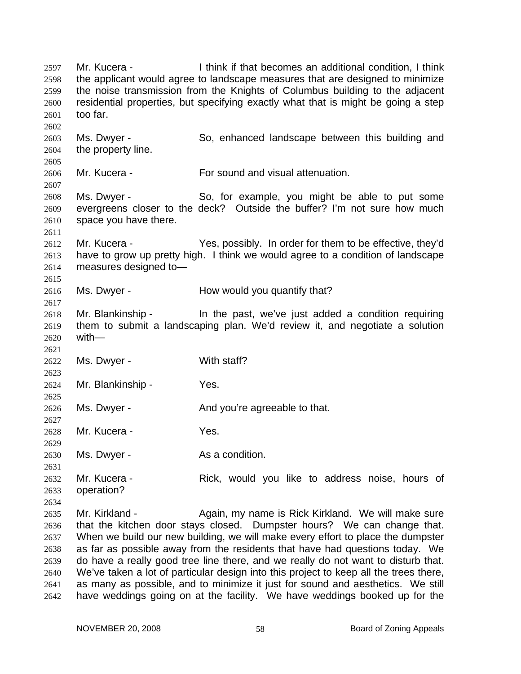Mr. Kucera - I think if that becomes an additional condition, I think the applicant would agree to landscape measures that are designed to minimize the noise transmission from the Knights of Columbus building to the adjacent residential properties, but specifying exactly what that is might be going a step too far. 2597 2598 2599 2600 2601 2602 2603 2604 2605 2606 2607 2608 2609 2610 2611 2612 2613 2614 2615 2616 2617 2618 2619 2620 2621 2622 2623 2624 2625 2626 2627 2628 2629 2630 2631 2632 2633 2634 2635 2636 2637 2638 2639 2640 2641 2642 Ms. Dwyer - So, enhanced landscape between this building and the property line. Mr. Kucera - For sound and visual attenuation. Ms. Dwyer - So, for example, you might be able to put some evergreens closer to the deck? Outside the buffer? I'm not sure how much space you have there. Mr. Kucera - Yes, possibly. In order for them to be effective, they'd have to grow up pretty high. I think we would agree to a condition of landscape measures designed to— Ms. Dwyer - How would you quantify that? Mr. Blankinship - The past, we've just added a condition requiring them to submit a landscaping plan. We'd review it, and negotiate a solution with— Ms. Dwyer - With staff? Mr. Blankinship - Yes. Ms. Dwyer - The And you're agreeable to that. Mr. Kucera - Yes. Ms. Dwyer - As a condition. Mr. Kucera - Rick, would you like to address noise, hours of operation? Mr. Kirkland - The Again, my name is Rick Kirkland. We will make sure that the kitchen door stays closed. Dumpster hours? We can change that. When we build our new building, we will make every effort to place the dumpster as far as possible away from the residents that have had questions today. We do have a really good tree line there, and we really do not want to disturb that. We've taken a lot of particular design into this project to keep all the trees there, as many as possible, and to minimize it just for sound and aesthetics. We still have weddings going on at the facility. We have weddings booked up for the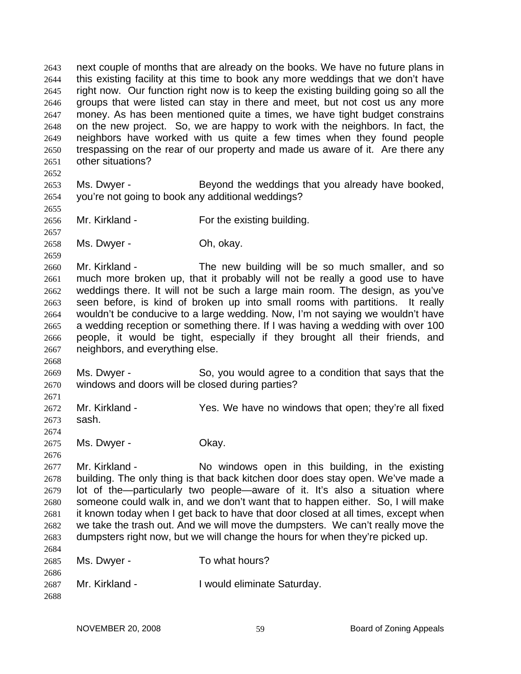next couple of months that are already on the books. We have no future plans in this existing facility at this time to book any more weddings that we don't have right now. Our function right now is to keep the existing building going so all the groups that were listed can stay in there and meet, but not cost us any more money. As has been mentioned quite a times, we have tight budget constrains on the new project. So, we are happy to work with the neighbors. In fact, the neighbors have worked with us quite a few times when they found people trespassing on the rear of our property and made us aware of it. Are there any other situations? 2643 2644 2645 2646 2647 2648 2649 2650 2651 2652

2653 2654 Ms. Dwyer - Beyond the weddings that you already have booked, you're not going to book any additional weddings?

2655 2656

2659

2668

2671

2676

2657 Mr. Kirkland - For the existing building.

2658 Ms. Dwyer - Ch, okay.

2660 2661 2662 2663 2664 2665 2666 2667 Mr. Kirkland - The new building will be so much smaller, and so much more broken up, that it probably will not be really a good use to have weddings there. It will not be such a large main room. The design, as you've seen before, is kind of broken up into small rooms with partitions. It really wouldn't be conducive to a large wedding. Now, I'm not saying we wouldn't have a wedding reception or something there. If I was having a wedding with over 100 people, it would be tight, especially if they brought all their friends, and neighbors, and everything else.

2669 2670 Ms. Dwyer - So, you would agree to a condition that says that the windows and doors will be closed during parties?

2672 2673 2674 Mr. Kirkland - The Yes. We have no windows that open; they're all fixed sash.

2675 Ms. Dwyer - Chay.

2677 2678 2679 2680 2681 2682 2683 Mr. Kirkland - No windows open in this building, in the existing building. The only thing is that back kitchen door does stay open. We've made a lot of the—particularly two people—aware of it. It's also a situation where someone could walk in, and we don't want that to happen either. So, I will make it known today when I get back to have that door closed at all times, except when we take the trash out. And we will move the dumpsters. We can't really move the dumpsters right now, but we will change the hours for when they're picked up.

2684 2685 2686 2687 2688 Ms. Dwyer - To what hours? Mr. Kirkland - **I** would eliminate Saturday.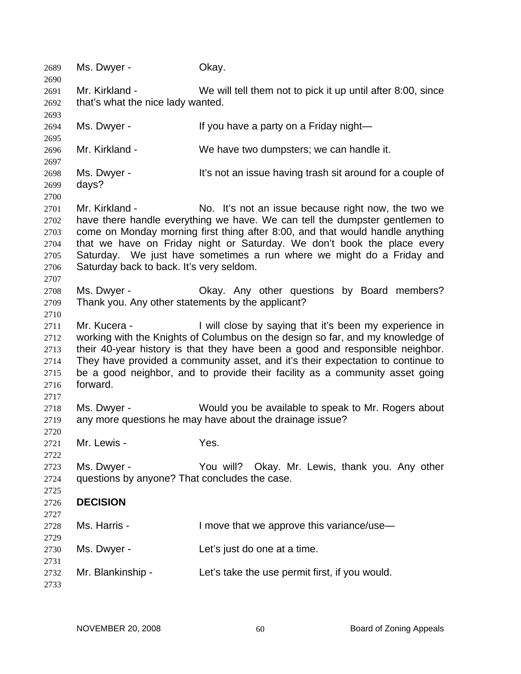2689 Ms. Dwyer - Okay. 2690 2691 2692 2693 2694 2695 2696 2697 2698 2699 2700 2701 2702 2703 2704 2705 2706 2707 2708 2709 2710 2711 2712 2713 2714 2715 2716 2717 2718 2719 2720 2721 2722 2723 2724 2725 2726 2727 2728 2729 2730 2731 2732 2733 Mr. Kirkland - We will tell them not to pick it up until after 8:00, since that's what the nice lady wanted. Ms. Dwyer - If you have a party on a Friday night— Mr. Kirkland - We have two dumpsters; we can handle it. Ms. Dwyer - It's not an issue having trash sit around for a couple of days? Mr. Kirkland - No. It's not an issue because right now, the two we have there handle everything we have. We can tell the dumpster gentlemen to come on Monday morning first thing after 8:00, and that would handle anything that we have on Friday night or Saturday. We don't book the place every Saturday. We just have sometimes a run where we might do a Friday and Saturday back to back. It's very seldom. Ms. Dwyer - Ckay. Any other questions by Board members? Thank you. Any other statements by the applicant? Mr. Kucera - The I will close by saying that it's been my experience in working with the Knights of Columbus on the design so far, and my knowledge of their 40-year history is that they have been a good and responsible neighbor. They have provided a community asset, and it's their expectation to continue to be a good neighbor, and to provide their facility as a community asset going forward. Ms. Dwyer - Would you be available to speak to Mr. Rogers about any more questions he may have about the drainage issue? Mr. Lewis - The Yes. Ms. Dwyer - The You will? Okay. Mr. Lewis, thank you. Any other questions by anyone? That concludes the case. **DECISION**  Ms. Harris - I move that we approve this variance/use— Ms. Dwyer - Let's just do one at a time. Mr. Blankinship - Let's take the use permit first, if you would.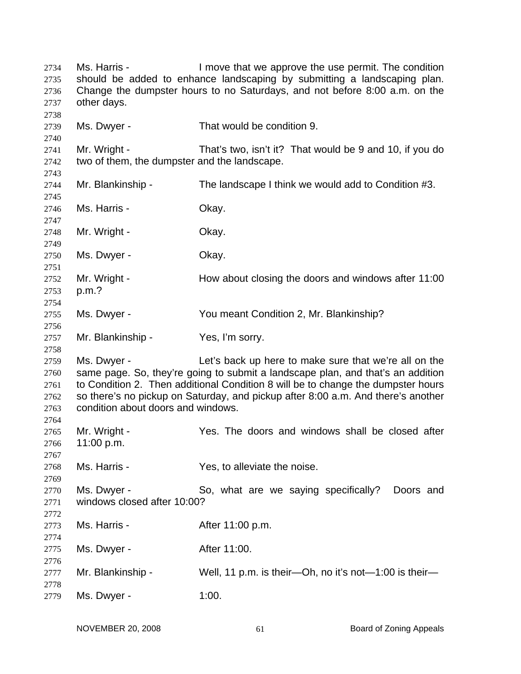| 2734<br>2735<br>2736<br>2737         | Ms. Harris -<br>I move that we approve the use permit. The condition<br>should be added to enhance landscaping by submitting a landscaping plan.<br>Change the dumpster hours to no Saturdays, and not before 8:00 a.m. on the<br>other days.                                                                                                                         |                                                         |  |
|--------------------------------------|-----------------------------------------------------------------------------------------------------------------------------------------------------------------------------------------------------------------------------------------------------------------------------------------------------------------------------------------------------------------------|---------------------------------------------------------|--|
| 2738<br>2739                         | Ms. Dwyer -                                                                                                                                                                                                                                                                                                                                                           | That would be condition 9.                              |  |
| 2740<br>2741<br>2742                 | Mr. Wright -<br>two of them, the dumpster and the landscape.                                                                                                                                                                                                                                                                                                          | That's two, isn't it? That would be 9 and 10, if you do |  |
| 2743<br>2744                         | Mr. Blankinship -                                                                                                                                                                                                                                                                                                                                                     | The landscape I think we would add to Condition #3.     |  |
| 2745<br>2746                         | Ms. Harris -                                                                                                                                                                                                                                                                                                                                                          | Okay.                                                   |  |
| 2747<br>2748                         | Mr. Wright -                                                                                                                                                                                                                                                                                                                                                          | Okay.                                                   |  |
| 2749<br>2750                         | Ms. Dwyer -                                                                                                                                                                                                                                                                                                                                                           | Okay.                                                   |  |
| 2751<br>2752<br>2753<br>2754         | Mr. Wright -<br>p.m.?                                                                                                                                                                                                                                                                                                                                                 | How about closing the doors and windows after 11:00     |  |
| 2755<br>2756                         | Ms. Dwyer -                                                                                                                                                                                                                                                                                                                                                           | You meant Condition 2, Mr. Blankinship?                 |  |
| 2757<br>2758                         | Mr. Blankinship -                                                                                                                                                                                                                                                                                                                                                     | Yes, I'm sorry.                                         |  |
| 2759<br>2760<br>2761<br>2762<br>2763 | Ms. Dwyer -<br>Let's back up here to make sure that we're all on the<br>same page. So, they're going to submit a landscape plan, and that's an addition<br>to Condition 2. Then additional Condition 8 will be to change the dumpster hours<br>so there's no pickup on Saturday, and pickup after 8:00 a.m. And there's another<br>condition about doors and windows. |                                                         |  |
| 2764<br>2765<br>2766                 | Mr. Wright -<br>11:00 p.m.                                                                                                                                                                                                                                                                                                                                            | Yes. The doors and windows shall be closed after        |  |
| 2767<br>2768<br>2769                 | Ms. Harris -                                                                                                                                                                                                                                                                                                                                                          | Yes, to alleviate the noise.                            |  |
| 2770<br>2771<br>2772                 | Ms. Dwyer -<br>windows closed after 10:00?                                                                                                                                                                                                                                                                                                                            | So, what are we saying specifically?<br>Doors and       |  |
| 2773<br>2774                         | Ms. Harris -                                                                                                                                                                                                                                                                                                                                                          | After 11:00 p.m.                                        |  |
| 2775                                 | Ms. Dwyer -                                                                                                                                                                                                                                                                                                                                                           | After 11:00.                                            |  |
| 2776<br>2777                         | Mr. Blankinship -                                                                                                                                                                                                                                                                                                                                                     | Well, 11 p.m. is their—Oh, no it's not—1:00 is their—   |  |
| 2778<br>2779                         | Ms. Dwyer -                                                                                                                                                                                                                                                                                                                                                           | 1:00.                                                   |  |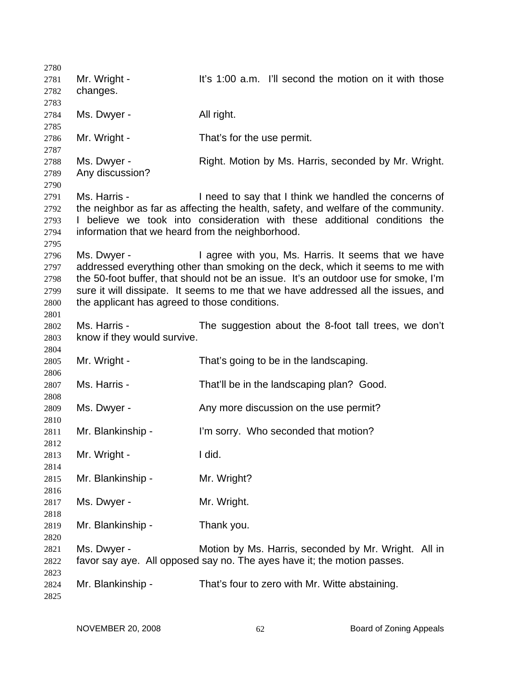| 2780 |                                                  |                                                                                     |
|------|--------------------------------------------------|-------------------------------------------------------------------------------------|
| 2781 | Mr. Wright -                                     | It's 1:00 a.m. I'll second the motion on it with those                              |
| 2782 | changes.                                         |                                                                                     |
| 2783 |                                                  |                                                                                     |
| 2784 | Ms. Dwyer -                                      | All right.                                                                          |
| 2785 |                                                  |                                                                                     |
| 2786 | Mr. Wright -                                     | That's for the use permit.                                                          |
| 2787 |                                                  |                                                                                     |
| 2788 | Ms. Dwyer -                                      | Right. Motion by Ms. Harris, seconded by Mr. Wright.                                |
| 2789 | Any discussion?                                  |                                                                                     |
| 2790 |                                                  |                                                                                     |
| 2791 | Ms. Harris -                                     | I need to say that I think we handled the concerns of                               |
|      |                                                  |                                                                                     |
| 2792 |                                                  | the neighbor as far as affecting the health, safety, and welfare of the community.  |
| 2793 |                                                  | I believe we took into consideration with these additional conditions the           |
| 2794 | information that we heard from the neighborhood. |                                                                                     |
| 2795 |                                                  |                                                                                     |
| 2796 | Ms. Dwyer -                                      | I agree with you, Ms. Harris. It seems that we have                                 |
| 2797 |                                                  | addressed everything other than smoking on the deck, which it seems to me with      |
| 2798 |                                                  | the 50-foot buffer, that should not be an issue. It's an outdoor use for smoke, I'm |
| 2799 |                                                  | sure it will dissipate. It seems to me that we have addressed all the issues, and   |
| 2800 | the applicant has agreed to those conditions.    |                                                                                     |
| 2801 |                                                  |                                                                                     |
| 2802 | Ms. Harris -                                     | The suggestion about the 8-foot tall trees, we don't                                |
| 2803 | know if they would survive.                      |                                                                                     |
| 2804 |                                                  |                                                                                     |
| 2805 | Mr. Wright -                                     | That's going to be in the landscaping.                                              |
| 2806 |                                                  |                                                                                     |
| 2807 | Ms. Harris -                                     | That'll be in the landscaping plan? Good.                                           |
| 2808 |                                                  |                                                                                     |
| 2809 | Ms. Dwyer -                                      | Any more discussion on the use permit?                                              |
| 2810 |                                                  |                                                                                     |
| 2811 | Mr. Blankinship -                                | I'm sorry. Who seconded that motion?                                                |
| 2812 |                                                  |                                                                                     |
| 2813 | Mr. Wright -                                     | I did.                                                                              |
| 2814 |                                                  |                                                                                     |
| 2815 | Mr. Blankinship -                                | Mr. Wright?                                                                         |
| 2816 |                                                  |                                                                                     |
| 2817 | Ms. Dwyer -                                      | Mr. Wright.                                                                         |
| 2818 |                                                  |                                                                                     |
| 2819 | Mr. Blankinship -                                | Thank you.                                                                          |
| 2820 |                                                  |                                                                                     |
| 2821 | Ms. Dwyer -                                      | Motion by Ms. Harris, seconded by Mr. Wright. All in                                |
| 2822 |                                                  | favor say aye. All opposed say no. The ayes have it; the motion passes.             |
| 2823 |                                                  |                                                                                     |
| 2824 | Mr. Blankinship -                                | That's four to zero with Mr. Witte abstaining.                                      |
| 2825 |                                                  |                                                                                     |
|      |                                                  |                                                                                     |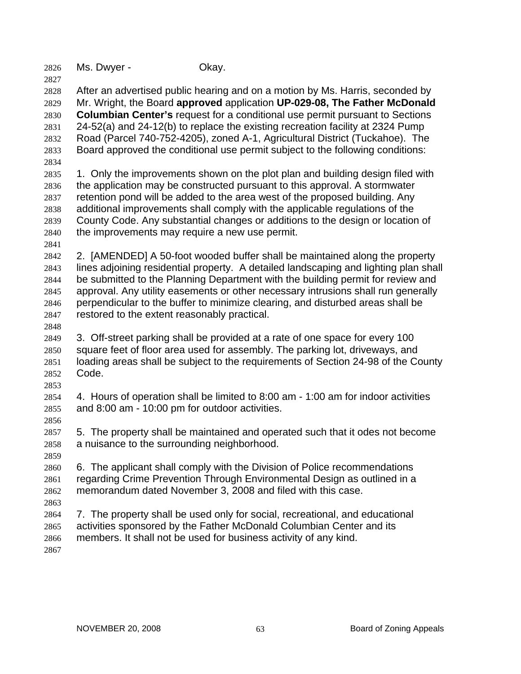| 2826 | Ms. Dwyer - | Okay. |
|------|-------------|-------|
|------|-------------|-------|

2828 2829 2830 2831 2832 2833 2834 After an advertised public hearing and on a motion by Ms. Harris, seconded by Mr. Wright, the Board **approved** application **UP-029-08, The Father McDonald Columbian Center's** request for a conditional use permit pursuant to Sections 24-52(a) and 24-12(b) to replace the existing recreation facility at 2324 Pump Road (Parcel 740-752-4205), zoned A-1, Agricultural District (Tuckahoe). The Board approved the conditional use permit subject to the following conditions:

2835 2836 2837 2838 2839 2840 1. Only the improvements shown on the plot plan and building design filed with the application may be constructed pursuant to this approval. A stormwater retention pond will be added to the area west of the proposed building. Any additional improvements shall comply with the applicable regulations of the County Code. Any substantial changes or additions to the design or location of the improvements may require a new use permit.

2842 2843 2844 2845 2846 2847 2. [AMENDED] A 50-foot wooded buffer shall be maintained along the property lines adjoining residential property. A detailed landscaping and lighting plan shall be submitted to the Planning Department with the building permit for review and approval. Any utility easements or other necessary intrusions shall run generally perpendicular to the buffer to minimize clearing, and disturbed areas shall be restored to the extent reasonably practical.

2848

2841

2827

2849 2850 2851 2852 2853 3. Off-street parking shall be provided at a rate of one space for every 100 square feet of floor area used for assembly. The parking lot, driveways, and loading areas shall be subject to the requirements of Section 24-98 of the County Code.

2854 2855 4. Hours of operation shall be limited to 8:00 am - 1:00 am for indoor activities and 8:00 am - 10:00 pm for outdoor activities.

2857 2858 5. The property shall be maintained and operated such that it odes not become a nuisance to the surrounding neighborhood.

2859

2863

2856

2860 2861 2862 6. The applicant shall comply with the Division of Police recommendations regarding Crime Prevention Through Environmental Design as outlined in a memorandum dated November 3, 2008 and filed with this case.

2864 2865 2866 2867 7. The property shall be used only for social, recreational, and educational activities sponsored by the Father McDonald Columbian Center and its members. It shall not be used for business activity of any kind.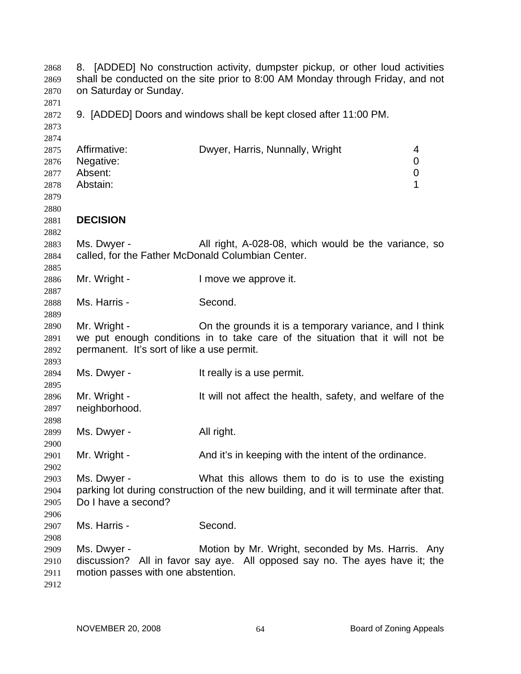| 2868<br>2869<br>2870                         | 8. [ADDED] No construction activity, dumpster pickup, or other loud activities<br>shall be conducted on the site prior to 8:00 AM Monday through Friday, and not<br>on Saturday or Sunday. |                                                                                                                                              |                                 |
|----------------------------------------------|--------------------------------------------------------------------------------------------------------------------------------------------------------------------------------------------|----------------------------------------------------------------------------------------------------------------------------------------------|---------------------------------|
| 2871<br>2872<br>2873<br>2874                 |                                                                                                                                                                                            | 9. [ADDED] Doors and windows shall be kept closed after 11:00 PM.                                                                            |                                 |
| 2875<br>2876<br>2877<br>2878<br>2879<br>2880 | Affirmative:<br>Negative:<br>Absent:<br>Abstain:                                                                                                                                           | Dwyer, Harris, Nunnally, Wright                                                                                                              | 4<br>0<br>$\boldsymbol{0}$<br>1 |
| 2881<br>2882                                 | <b>DECISION</b>                                                                                                                                                                            |                                                                                                                                              |                                 |
| 2883<br>2884<br>2885                         | Ms. Dwyer -<br>called, for the Father McDonald Columbian Center.                                                                                                                           | All right, A-028-08, which would be the variance, so                                                                                         |                                 |
| 2886<br>2887                                 | Mr. Wright -                                                                                                                                                                               | I move we approve it.                                                                                                                        |                                 |
| 2888<br>2889                                 | Ms. Harris -                                                                                                                                                                               | Second.                                                                                                                                      |                                 |
| 2890<br>2891<br>2892                         | Mr. Wright -<br>permanent. It's sort of like a use permit.                                                                                                                                 | On the grounds it is a temporary variance, and I think<br>we put enough conditions in to take care of the situation that it will not be      |                                 |
| 2893<br>2894<br>2895                         | Ms. Dwyer -                                                                                                                                                                                | It really is a use permit.                                                                                                                   |                                 |
| 2896<br>2897<br>2898                         | Mr. Wright -<br>neighborhood.                                                                                                                                                              | It will not affect the health, safety, and welfare of the                                                                                    |                                 |
| 2899<br>2900                                 | Ms. Dwyer -                                                                                                                                                                                | All right.                                                                                                                                   |                                 |
| 2901<br>2902                                 | Mr. Wright -                                                                                                                                                                               | And it's in keeping with the intent of the ordinance.                                                                                        |                                 |
| 2903<br>2904<br>2905<br>2906                 | Ms. Dwyer -<br>Do I have a second?                                                                                                                                                         | What this allows them to do is to use the existing<br>parking lot during construction of the new building, and it will terminate after that. |                                 |
| 2907<br>2908                                 | Ms. Harris -                                                                                                                                                                               | Second.                                                                                                                                      |                                 |
| 2909<br>2910<br>2911<br>2912                 | Ms. Dwyer -<br>motion passes with one abstention.                                                                                                                                          | Motion by Mr. Wright, seconded by Ms. Harris. Any<br>discussion? All in favor say aye. All opposed say no. The ayes have it; the             |                                 |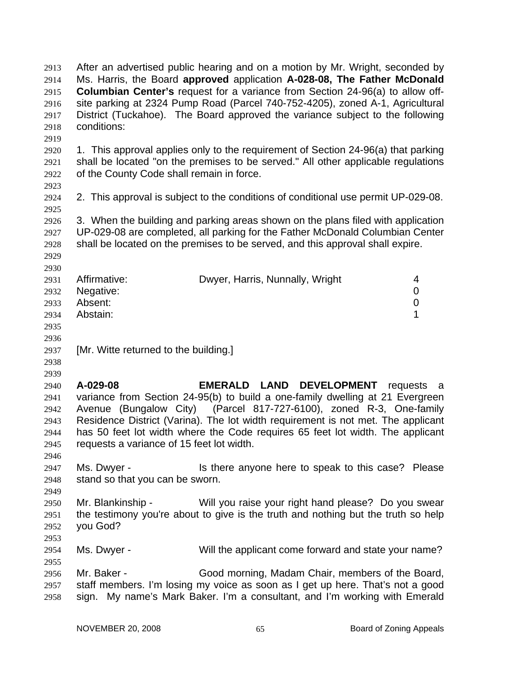| 2913<br>2914 | After an advertised public hearing and on a motion by Mr. Wright, seconded by<br>Ms. Harris, the Board approved application A-028-08, The Father McDonald |                                                                                      |                  |
|--------------|-----------------------------------------------------------------------------------------------------------------------------------------------------------|--------------------------------------------------------------------------------------|------------------|
| 2915         |                                                                                                                                                           | <b>Columbian Center's request for a variance from Section 24-96(a) to allow off-</b> |                  |
| 2916         |                                                                                                                                                           | site parking at 2324 Pump Road (Parcel 740-752-4205), zoned A-1, Agricultural        |                  |
| 2917         |                                                                                                                                                           | District (Tuckahoe). The Board approved the variance subject to the following        |                  |
| 2918         | conditions:                                                                                                                                               |                                                                                      |                  |
| 2919         |                                                                                                                                                           |                                                                                      |                  |
| 2920         |                                                                                                                                                           | 1. This approval applies only to the requirement of Section 24-96(a) that parking    |                  |
| 2921         |                                                                                                                                                           | shall be located "on the premises to be served." All other applicable regulations    |                  |
| 2922         | of the County Code shall remain in force.                                                                                                                 |                                                                                      |                  |
| 2923<br>2924 |                                                                                                                                                           | 2. This approval is subject to the conditions of conditional use permit UP-029-08.   |                  |
| 2925         |                                                                                                                                                           |                                                                                      |                  |
| 2926         |                                                                                                                                                           | 3. When the building and parking areas shown on the plans filed with application     |                  |
| 2927         |                                                                                                                                                           | UP-029-08 are completed, all parking for the Father McDonald Columbian Center        |                  |
| 2928         |                                                                                                                                                           | shall be located on the premises to be served, and this approval shall expire.       |                  |
| 2929         |                                                                                                                                                           |                                                                                      |                  |
| 2930         |                                                                                                                                                           |                                                                                      |                  |
| 2931         | Affirmative:                                                                                                                                              | Dwyer, Harris, Nunnally, Wright                                                      | 4                |
| 2932         | Negative:                                                                                                                                                 |                                                                                      | 0                |
| 2933         | Absent:                                                                                                                                                   |                                                                                      | $\boldsymbol{0}$ |
| 2934         | Abstain:                                                                                                                                                  |                                                                                      | 1                |
| 2935         |                                                                                                                                                           |                                                                                      |                  |
| 2936         |                                                                                                                                                           |                                                                                      |                  |
| 2937         | [Mr. Witte returned to the building.]                                                                                                                     |                                                                                      |                  |
| 2938         |                                                                                                                                                           |                                                                                      |                  |
| 2939         |                                                                                                                                                           |                                                                                      |                  |
| 2940         | A-029-08                                                                                                                                                  | <b>EMERALD LAND</b><br><b>DEVELOPMENT</b>                                            | requests a       |
| 2941         |                                                                                                                                                           | variance from Section 24-95(b) to build a one-family dwelling at 21 Evergreen        |                  |
| 2942         |                                                                                                                                                           | Avenue (Bungalow City) (Parcel 817-727-6100), zoned R-3, One-family                  |                  |
| 2943         |                                                                                                                                                           | Residence District (Varina). The lot width requirement is not met. The applicant     |                  |
| 2944         |                                                                                                                                                           | has 50 feet lot width where the Code requires 65 feet lot width. The applicant       |                  |
| 2945         | requests a variance of 15 feet lot width.                                                                                                                 |                                                                                      |                  |
| 2946         |                                                                                                                                                           |                                                                                      |                  |
| 2947         | Ms. Dwyer -                                                                                                                                               | Is there anyone here to speak to this case? Please                                   |                  |
| 2948         | stand so that you can be sworn.                                                                                                                           |                                                                                      |                  |
|              |                                                                                                                                                           |                                                                                      |                  |
| 2949         | Mr. Blankinship -                                                                                                                                         | Will you raise your right hand please? Do you swear                                  |                  |
| 2950         |                                                                                                                                                           | the testimony you're about to give is the truth and nothing but the truth so help    |                  |
| 2951         |                                                                                                                                                           |                                                                                      |                  |
| 2952         | you God?                                                                                                                                                  |                                                                                      |                  |
| 2953         |                                                                                                                                                           |                                                                                      |                  |
| 2954         | Ms. Dwyer -                                                                                                                                               | Will the applicant come forward and state your name?                                 |                  |
| 2955         |                                                                                                                                                           |                                                                                      |                  |
| 2956         | Mr. Baker -                                                                                                                                               | Good morning, Madam Chair, members of the Board,                                     |                  |
| 2957         |                                                                                                                                                           | staff members. I'm losing my voice as soon as I get up here. That's not a good       |                  |
| 2958         |                                                                                                                                                           | sign. My name's Mark Baker. I'm a consultant, and I'm working with Emerald           |                  |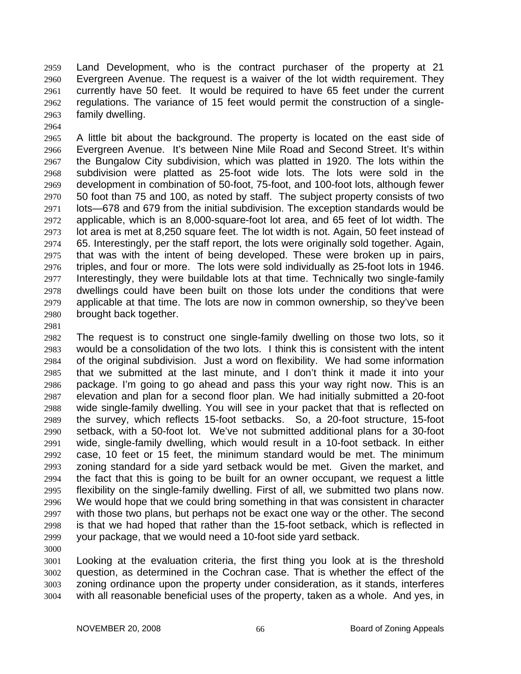Land Development, who is the contract purchaser of the property at 21 Evergreen Avenue. The request is a waiver of the lot width requirement. They currently have 50 feet. It would be required to have 65 feet under the current regulations. The variance of 15 feet would permit the construction of a singlefamily dwelling. 2959 2960 2961 2962 2963

2965 2966 2967 2968 2969 2970 2971 2972 2973 2974 2975 2976 2977 2978 2979 2980 A little bit about the background. The property is located on the east side of Evergreen Avenue. It's between Nine Mile Road and Second Street. It's within the Bungalow City subdivision, which was platted in 1920. The lots within the subdivision were platted as 25-foot wide lots. The lots were sold in the development in combination of 50-foot, 75-foot, and 100-foot lots, although fewer 50 foot than 75 and 100, as noted by staff. The subject property consists of two lots—678 and 679 from the initial subdivision. The exception standards would be applicable, which is an 8,000-square-foot lot area, and 65 feet of lot width. The lot area is met at 8,250 square feet. The lot width is not. Again, 50 feet instead of 65. Interestingly, per the staff report, the lots were originally sold together. Again, that was with the intent of being developed. These were broken up in pairs, triples, and four or more. The lots were sold individually as 25-foot lots in 1946. Interestingly, they were buildable lots at that time. Technically two single-family dwellings could have been built on those lots under the conditions that were applicable at that time. The lots are now in common ownership, so they've been brought back together.

2981

2964

2982 2983 2984 2985 2986 2987 2988 2989 2990 2991 2992 2993 2994 2995 2996 2997 2998 2999 The request is to construct one single-family dwelling on those two lots, so it would be a consolidation of the two lots. I think this is consistent with the intent of the original subdivision. Just a word on flexibility. We had some information that we submitted at the last minute, and I don't think it made it into your package. I'm going to go ahead and pass this your way right now. This is an elevation and plan for a second floor plan. We had initially submitted a 20-foot wide single-family dwelling. You will see in your packet that that is reflected on the survey, which reflects 15-foot setbacks. So, a 20-foot structure, 15-foot setback, with a 50-foot lot. We've not submitted additional plans for a 30-foot wide, single-family dwelling, which would result in a 10-foot setback. In either case, 10 feet or 15 feet, the minimum standard would be met. The minimum zoning standard for a side yard setback would be met. Given the market, and the fact that this is going to be built for an owner occupant, we request a little flexibility on the single-family dwelling. First of all, we submitted two plans now. We would hope that we could bring something in that was consistent in character with those two plans, but perhaps not be exact one way or the other. The second is that we had hoped that rather than the 15-foot setback, which is reflected in your package, that we would need a 10-foot side yard setback.

3000

3001 3002 3003 3004 Looking at the evaluation criteria, the first thing you look at is the threshold question, as determined in the Cochran case. That is whether the effect of the zoning ordinance upon the property under consideration, as it stands, interferes with all reasonable beneficial uses of the property, taken as a whole. And yes, in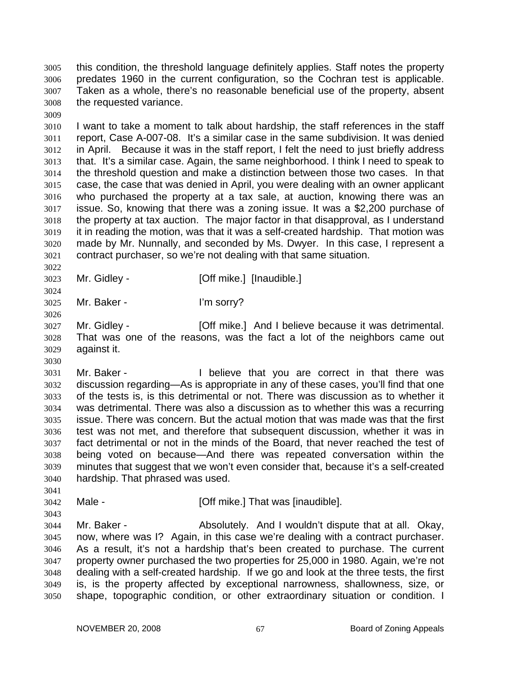this condition, the threshold language definitely applies. Staff notes the property predates 1960 in the current configuration, so the Cochran test is applicable. Taken as a whole, there's no reasonable beneficial use of the property, absent the requested variance. 3005 3006 3007 3008

3010 3011 3012 3013 3014 3015 3016 3017 3018 3019 3020 3021 I want to take a moment to talk about hardship, the staff references in the staff report, Case A-007-08. It's a similar case in the same subdivision. It was denied in April. Because it was in the staff report, I felt the need to just briefly address that. It's a similar case. Again, the same neighborhood. I think I need to speak to the threshold question and make a distinction between those two cases. In that case, the case that was denied in April, you were dealing with an owner applicant who purchased the property at a tax sale, at auction, knowing there was an issue. So, knowing that there was a zoning issue. It was a \$2,200 purchase of the property at tax auction. The major factor in that disapproval, as I understand it in reading the motion, was that it was a self-created hardship. That motion was made by Mr. Nunnally, and seconded by Ms. Dwyer. In this case, I represent a contract purchaser, so we're not dealing with that same situation.

3023 Mr. Gidley - **[Off mike.]** [Inaudible.]

3025 Mr. Baker - I'm sorry?

3009

3022

3024

3026

3030

3041

3043

3027 3028 3029 Mr. Gidley - **[Off mike.]** And I believe because it was detrimental. That was one of the reasons, was the fact a lot of the neighbors came out against it.

3031 3032 3033 3034 3035 3036 3037 3038 3039 3040 Mr. Baker - The Believe that you are correct in that there was discussion regarding—As is appropriate in any of these cases, you'll find that one of the tests is, is this detrimental or not. There was discussion as to whether it was detrimental. There was also a discussion as to whether this was a recurring issue. There was concern. But the actual motion that was made was that the first test was not met, and therefore that subsequent discussion, whether it was in fact detrimental or not in the minds of the Board, that never reached the test of being voted on because—And there was repeated conversation within the minutes that suggest that we won't even consider that, because it's a self-created hardship. That phrased was used.

3042 Male - **[Off mike.]** That was [inaudible].

3044 3045 3046 3047 3048 3049 3050 Mr. Baker - Absolutely. And I wouldn't dispute that at all. Okay, now, where was I? Again, in this case we're dealing with a contract purchaser. As a result, it's not a hardship that's been created to purchase. The current property owner purchased the two properties for 25,000 in 1980. Again, we're not dealing with a self-created hardship. If we go and look at the three tests, the first is, is the property affected by exceptional narrowness, shallowness, size, or shape, topographic condition, or other extraordinary situation or condition. I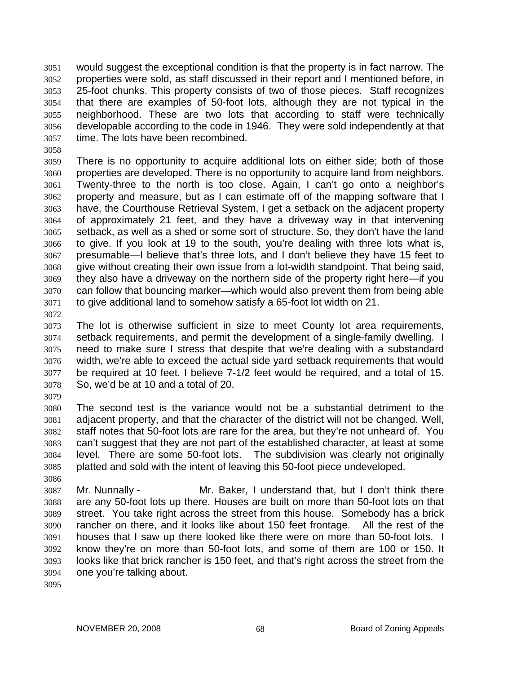would suggest the exceptional condition is that the property is in fact narrow. The properties were sold, as staff discussed in their report and I mentioned before, in 25-foot chunks. This property consists of two of those pieces. Staff recognizes that there are examples of 50-foot lots, although they are not typical in the neighborhood. These are two lots that according to staff were technically developable according to the code in 1946. They were sold independently at that time. The lots have been recombined. 3051 3052 3053 3054 3055 3056 3057

3058

3059 3060 3061 3062 3063 3064 3065 3066 3067 3068 3069 3070 3071 There is no opportunity to acquire additional lots on either side; both of those properties are developed. There is no opportunity to acquire land from neighbors. Twenty-three to the north is too close. Again, I can't go onto a neighbor's property and measure, but as I can estimate off of the mapping software that I have, the Courthouse Retrieval System, I get a setback on the adjacent property of approximately 21 feet, and they have a driveway way in that intervening setback, as well as a shed or some sort of structure. So, they don't have the land to give. If you look at 19 to the south, you're dealing with three lots what is, presumable—I believe that's three lots, and I don't believe they have 15 feet to give without creating their own issue from a lot-width standpoint. That being said, they also have a driveway on the northern side of the property right here—if you can follow that bouncing marker—which would also prevent them from being able to give additional land to somehow satisfy a 65-foot lot width on 21.

3072

3073 3074 3075 3076 3077 3078 The lot is otherwise sufficient in size to meet County lot area requirements, setback requirements, and permit the development of a single-family dwelling. I need to make sure I stress that despite that we're dealing with a substandard width, we're able to exceed the actual side yard setback requirements that would be required at 10 feet. I believe 7-1/2 feet would be required, and a total of 15. So, we'd be at 10 and a total of 20.

3079

3086

3080 3081 3082 3083 3084 3085 The second test is the variance would not be a substantial detriment to the adjacent property, and that the character of the district will not be changed. Well, staff notes that 50-foot lots are rare for the area, but they're not unheard of. You can't suggest that they are not part of the established character, at least at some level. There are some 50-foot lots. The subdivision was clearly not originally platted and sold with the intent of leaving this 50-foot piece undeveloped.

3087 3088 3089 3090 3091 3092 3093 3094 Mr. Nunnally - Mr. Baker, I understand that, but I don't think there are any 50-foot lots up there. Houses are built on more than 50-foot lots on that street. You take right across the street from this house. Somebody has a brick rancher on there, and it looks like about 150 feet frontage. All the rest of the houses that I saw up there looked like there were on more than 50-foot lots. I know they're on more than 50-foot lots, and some of them are 100 or 150. It looks like that brick rancher is 150 feet, and that's right across the street from the one you're talking about.

3095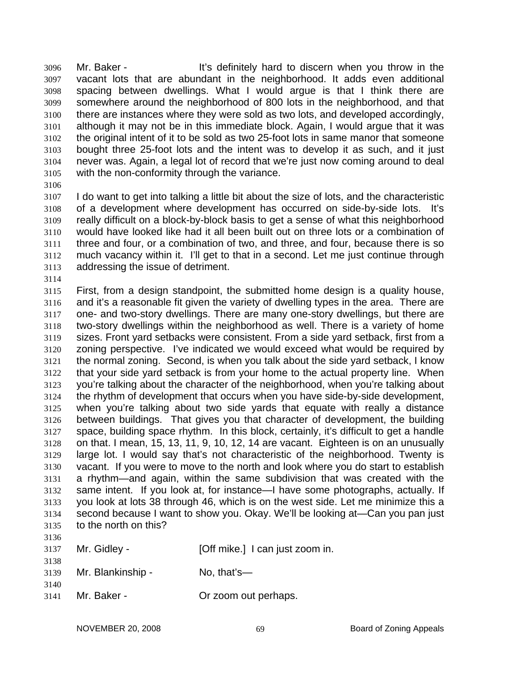Mr. Baker - The State of the state of the little state of the Mr. Baker - The State of the State of the State of the State of the State of the State of the State of the State of the State of the State of the State of the S vacant lots that are abundant in the neighborhood. It adds even additional spacing between dwellings. What I would argue is that I think there are somewhere around the neighborhood of 800 lots in the neighborhood, and that there are instances where they were sold as two lots, and developed accordingly, although it may not be in this immediate block. Again, I would argue that it was the original intent of it to be sold as two 25-foot lots in same manor that someone bought three 25-foot lots and the intent was to develop it as such, and it just never was. Again, a legal lot of record that we're just now coming around to deal with the non-conformity through the variance. 3096 3097 3098 3099 3100 3101 3102 3103 3104 3105

3106

3107 3108 3109 3110 3111 3112 3113 I do want to get into talking a little bit about the size of lots, and the characteristic of a development where development has occurred on side-by-side lots. It's really difficult on a block-by-block basis to get a sense of what this neighborhood would have looked like had it all been built out on three lots or a combination of three and four, or a combination of two, and three, and four, because there is so much vacancy within it. I'll get to that in a second. Let me just continue through addressing the issue of detriment.

3114

3115 3116 3117 3118 3119 3120 3121 3122 3123 3124 3125 3126 3127 3128 3129 3130 3131 3132 3133 3134 3135 3136 First, from a design standpoint, the submitted home design is a quality house, and it's a reasonable fit given the variety of dwelling types in the area. There are one- and two-story dwellings. There are many one-story dwellings, but there are two-story dwellings within the neighborhood as well. There is a variety of home sizes. Front yard setbacks were consistent. From a side yard setback, first from a zoning perspective. I've indicated we would exceed what would be required by the normal zoning. Second, is when you talk about the side yard setback, I know that your side yard setback is from your home to the actual property line. When you're talking about the character of the neighborhood, when you're talking about the rhythm of development that occurs when you have side-by-side development, when you're talking about two side yards that equate with really a distance between buildings. That gives you that character of development, the building space, building space rhythm. In this block, certainly, it's difficult to get a handle on that. I mean, 15, 13, 11, 9, 10, 12, 14 are vacant. Eighteen is on an unusually large lot. I would say that's not characteristic of the neighborhood. Twenty is vacant. If you were to move to the north and look where you do start to establish a rhythm—and again, within the same subdivision that was created with the same intent. If you look at, for instance—I have some photographs, actually. If you look at lots 38 through 46, which is on the west side. Let me minimize this a second because I want to show you. Okay. We'll be looking at—Can you pan just to the north on this?

|              | 3137 Mr. Gidley - | [Off mike.] I can just zoom in. |
|--------------|-------------------|---------------------------------|
| 3138<br>3139 | Mr. Blankinship - | No. that's—                     |
| 3140<br>3141 | Mr. Baker -       | Or zoom out perhaps.            |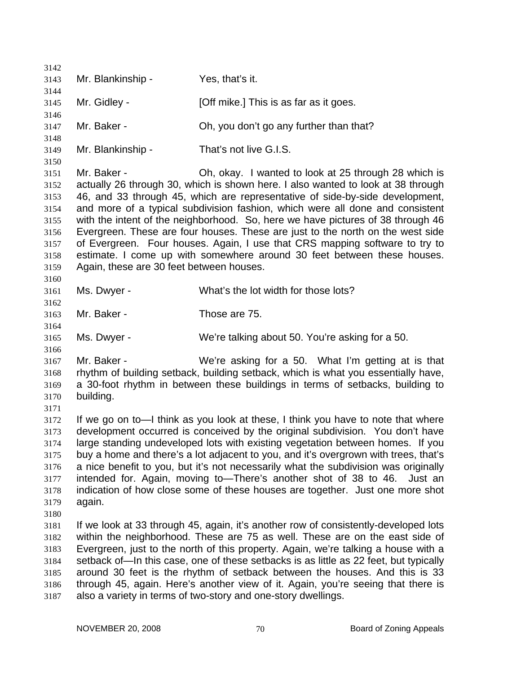3142 3143 3144 3145 3146 3147 3148 3149 3150 3151 3152 3153 3154 3155 3156 3157 3158 3159 3160 3161 3162 3163 3164 3165 3166 3167 3168 3169 3170 3171 3172 3173 3174 3175 3176 3177 3178 3179 3180 3181 3182 3183 3184 3185 3186 3187 Mr. Blankinship - Yes, that's it. Mr. Gidley - [Off mike.] This is as far as it goes. Mr. Baker - Ch, you don't go any further than that? Mr. Blankinship - That's not live G.I.S. Mr. Baker - Ch, okay. I wanted to look at 25 through 28 which is actually 26 through 30, which is shown here. I also wanted to look at 38 through 46, and 33 through 45, which are representative of side-by-side development, and more of a typical subdivision fashion, which were all done and consistent with the intent of the neighborhood. So, here we have pictures of 38 through 46 Evergreen. These are four houses. These are just to the north on the west side of Evergreen. Four houses. Again, I use that CRS mapping software to try to estimate. I come up with somewhere around 30 feet between these houses. Again, these are 30 feet between houses. Ms. Dwyer - What's the lot width for those lots? Mr. Baker - Those are 75. Ms. Dwyer - We're talking about 50. You're asking for a 50. Mr. Baker - We're asking for a 50. What I'm getting at is that rhythm of building setback, building setback, which is what you essentially have, a 30-foot rhythm in between these buildings in terms of setbacks, building to building. If we go on to—I think as you look at these, I think you have to note that where development occurred is conceived by the original subdivision. You don't have large standing undeveloped lots with existing vegetation between homes. If you buy a home and there's a lot adjacent to you, and it's overgrown with trees, that's a nice benefit to you, but it's not necessarily what the subdivision was originally intended for. Again, moving to—There's another shot of 38 to 46. Just an indication of how close some of these houses are together. Just one more shot again. If we look at 33 through 45, again, it's another row of consistently-developed lots within the neighborhood. These are 75 as well. These are on the east side of Evergreen, just to the north of this property. Again, we're talking a house with a setback of—In this case, one of these setbacks is as little as 22 feet, but typically around 30 feet is the rhythm of setback between the houses. And this is 33 through 45, again. Here's another view of it. Again, you're seeing that there is also a variety in terms of two-story and one-story dwellings.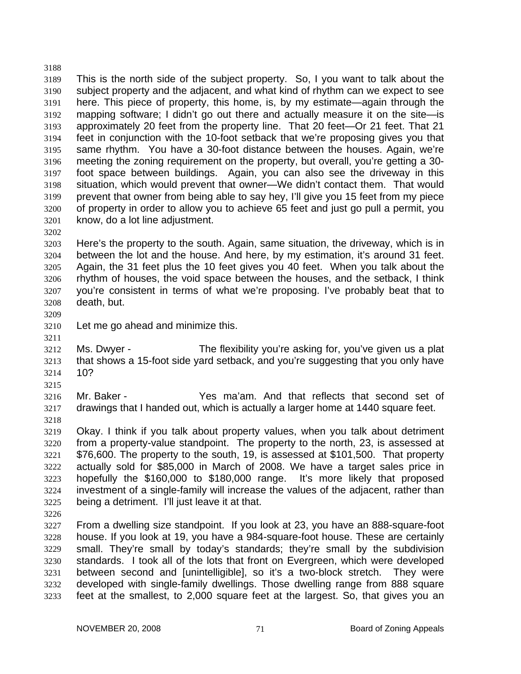3188 3189 3190 3191 3192 3193 3194 3195 3196 3197 3198 3199 3200 3201 This is the north side of the subject property. So, I you want to talk about the subject property and the adjacent, and what kind of rhythm can we expect to see here. This piece of property, this home, is, by my estimate—again through the mapping software; I didn't go out there and actually measure it on the site—is approximately 20 feet from the property line. That 20 feet—Or 21 feet. That 21 feet in conjunction with the 10-foot setback that we're proposing gives you that same rhythm. You have a 30-foot distance between the houses. Again, we're meeting the zoning requirement on the property, but overall, you're getting a 30 foot space between buildings. Again, you can also see the driveway in this situation, which would prevent that owner—We didn't contact them. That would prevent that owner from being able to say hey, I'll give you 15 feet from my piece of property in order to allow you to achieve 65 feet and just go pull a permit, you know, do a lot line adjustment.

3203 3204 3205 3206 3207 3208 Here's the property to the south. Again, same situation, the driveway, which is in between the lot and the house. And here, by my estimation, it's around 31 feet. Again, the 31 feet plus the 10 feet gives you 40 feet. When you talk about the rhythm of houses, the void space between the houses, and the setback, I think you're consistent in terms of what we're proposing. I've probably beat that to death, but.

3209

3211

3202

3210 Let me go ahead and minimize this.

3212 3213 3214 Ms. Dwyer - The flexibility you're asking for, you've given us a plat that shows a 15-foot side yard setback, and you're suggesting that you only have 10?

3215

3216 3217 Mr. Baker - Yes ma'am. And that reflects that second set of drawings that I handed out, which is actually a larger home at 1440 square feet.

3218 3219

3220 3221 3222 3223 3224 3225 Okay. I think if you talk about property values, when you talk about detriment from a property-value standpoint. The property to the north, 23, is assessed at \$76,600. The property to the south, 19, is assessed at \$101,500. That property actually sold for \$85,000 in March of 2008. We have a target sales price in hopefully the \$160,000 to \$180,000 range. It's more likely that proposed investment of a single-family will increase the values of the adjacent, rather than being a detriment. I'll just leave it at that.

3226

3227 3228 3229 3230 3231 3232 3233 From a dwelling size standpoint. If you look at 23, you have an 888-square-foot house. If you look at 19, you have a 984-square-foot house. These are certainly small. They're small by today's standards; they're small by the subdivision standards. I took all of the lots that front on Evergreen, which were developed between second and [unintelligible], so it's a two-block stretch. They were developed with single-family dwellings. Those dwelling range from 888 square feet at the smallest, to 2,000 square feet at the largest. So, that gives you an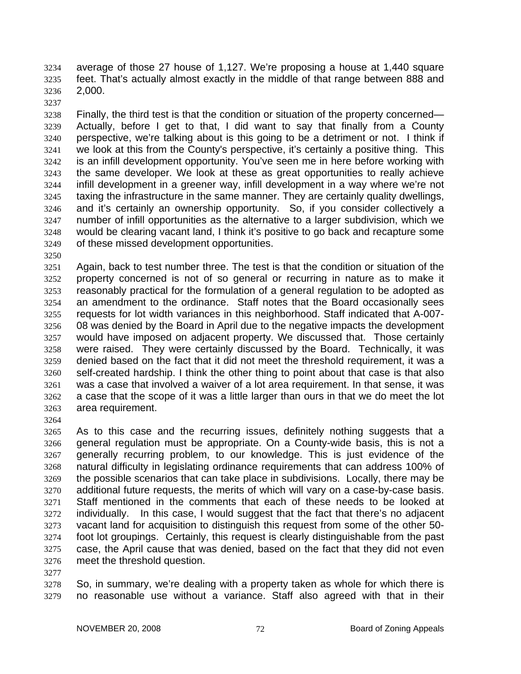average of those 27 house of 1,127. We're proposing a house at 1,440 square feet. That's actually almost exactly in the middle of that range between 888 and 2,000. 3234 3235 3236

3237

3238 3239 3240 3241 3242 3243 3244 3245 3246 3247 3248 3249 Finally, the third test is that the condition or situation of the property concerned— Actually, before I get to that, I did want to say that finally from a County perspective, we're talking about is this going to be a detriment or not. I think if we look at this from the County's perspective, it's certainly a positive thing. This is an infill development opportunity. You've seen me in here before working with the same developer. We look at these as great opportunities to really achieve infill development in a greener way, infill development in a way where we're not taxing the infrastructure in the same manner. They are certainly quality dwellings, and it's certainly an ownership opportunity. So, if you consider collectively a number of infill opportunities as the alternative to a larger subdivision, which we would be clearing vacant land, I think it's positive to go back and recapture some of these missed development opportunities.

3250

3251 3252 3253 3254 3255 3256 3257 3258 3259 3260 3261 3262 3263 Again, back to test number three. The test is that the condition or situation of the property concerned is not of so general or recurring in nature as to make it reasonably practical for the formulation of a general regulation to be adopted as an amendment to the ordinance. Staff notes that the Board occasionally sees requests for lot width variances in this neighborhood. Staff indicated that A-007- 08 was denied by the Board in April due to the negative impacts the development would have imposed on adjacent property. We discussed that. Those certainly were raised. They were certainly discussed by the Board. Technically, it was denied based on the fact that it did not meet the threshold requirement, it was a self-created hardship. I think the other thing to point about that case is that also was a case that involved a waiver of a lot area requirement. In that sense, it was a case that the scope of it was a little larger than ours in that we do meet the lot area requirement.

3264

3265 3266 3267 3268 3269 3270 3271 3272 3273 3274 3275 3276 As to this case and the recurring issues, definitely nothing suggests that a general regulation must be appropriate. On a County-wide basis, this is not a generally recurring problem, to our knowledge. This is just evidence of the natural difficulty in legislating ordinance requirements that can address 100% of the possible scenarios that can take place in subdivisions. Locally, there may be additional future requests, the merits of which will vary on a case-by-case basis. Staff mentioned in the comments that each of these needs to be looked at individually. In this case, I would suggest that the fact that there's no adjacent vacant land for acquisition to distinguish this request from some of the other 50 foot lot groupings. Certainly, this request is clearly distinguishable from the past case, the April cause that was denied, based on the fact that they did not even meet the threshold question.

3277

3278 3279 So, in summary, we're dealing with a property taken as whole for which there is no reasonable use without a variance. Staff also agreed with that in their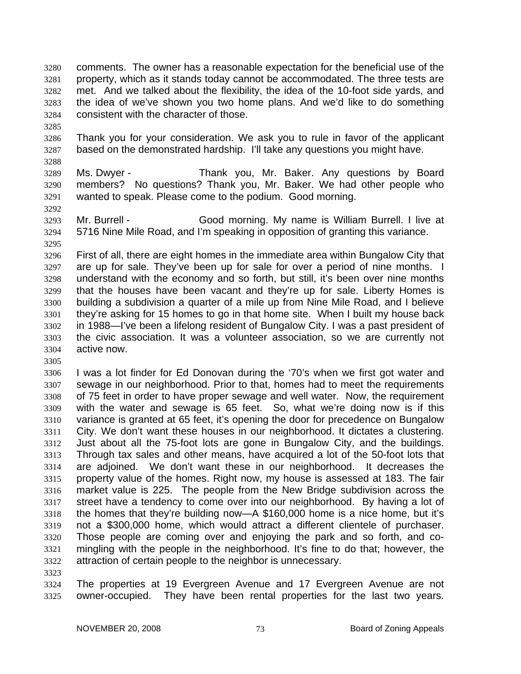comments. The owner has a reasonable expectation for the beneficial use of the property, which as it stands today cannot be accommodated. The three tests are met. And we talked about the flexibility, the idea of the 10-foot side yards, and the idea of we've shown you two home plans. And we'd like to do something consistent with the character of those. 3280 3281 3282 3283 3284

3285

3288

3292

3295

3305

3286 3287 Thank you for your consideration. We ask you to rule in favor of the applicant based on the demonstrated hardship. I'll take any questions you might have.

3289 3290 3291 Ms. Dwyer - Thank you, Mr. Baker. Any questions by Board members? No questions? Thank you, Mr. Baker. We had other people who wanted to speak. Please come to the podium. Good morning.

3293 3294 Mr. Burrell - Good morning. My name is William Burrell. I live at 5716 Nine Mile Road, and I'm speaking in opposition of granting this variance.

3296 3297 3298 3299 3300 3301 3302 3303 3304 First of all, there are eight homes in the immediate area within Bungalow City that are up for sale. They've been up for sale for over a period of nine months. I understand with the economy and so forth, but still, it's been over nine months that the houses have been vacant and they're up for sale. Liberty Homes is building a subdivision a quarter of a mile up from Nine Mile Road, and I believe they're asking for 15 homes to go in that home site. When I built my house back in 1988—I've been a lifelong resident of Bungalow City. I was a past president of the civic association. It was a volunteer association, so we are currently not active now.

3306 3307 3308 3309 3310 3311 3312 3313 3314 3315 3316 3317 3318 3319 3320 3321 3322 I was a lot finder for Ed Donovan during the '70's when we first got water and sewage in our neighborhood. Prior to that, homes had to meet the requirements of 75 feet in order to have proper sewage and well water. Now, the requirement with the water and sewage is 65 feet. So, what we're doing now is if this variance is granted at 65 feet, it's opening the door for precedence on Bungalow City. We don't want these houses in our neighborhood. It dictates a clustering. Just about all the 75-foot lots are gone in Bungalow City, and the buildings. Through tax sales and other means, have acquired a lot of the 50-foot lots that are adjoined. We don't want these in our neighborhood. It decreases the property value of the homes. Right now, my house is assessed at 183. The fair market value is 225. The people from the New Bridge subdivision across the street have a tendency to come over into our neighborhood. By having a lot of the homes that they're building now—A \$160,000 home is a nice home, but it's not a \$300,000 home, which would attract a different clientele of purchaser. Those people are coming over and enjoying the park and so forth, and comingling with the people in the neighborhood. It's fine to do that; however, the attraction of certain people to the neighbor is unnecessary.

3323

3324 3325 The properties at 19 Evergreen Avenue and 17 Evergreen Avenue are not owner-occupied. They have been rental properties for the last two years.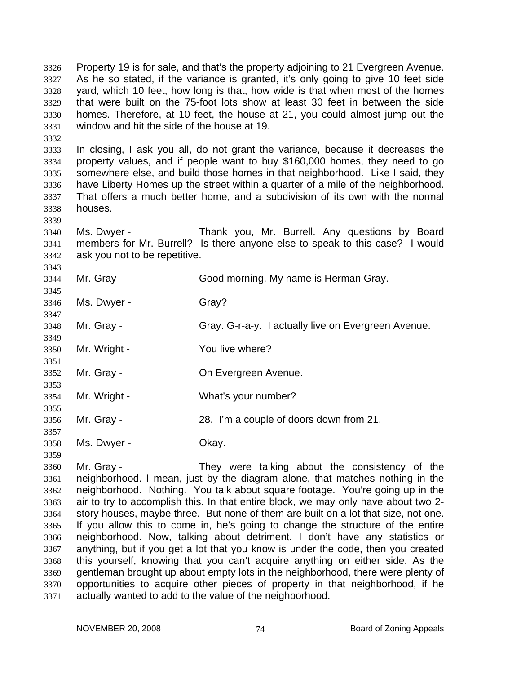Property 19 is for sale, and that's the property adjoining to 21 Evergreen Avenue. As he so stated, if the variance is granted, it's only going to give 10 feet side yard, which 10 feet, how long is that, how wide is that when most of the homes that were built on the 75-foot lots show at least 30 feet in between the side homes. Therefore, at 10 feet, the house at 21, you could almost jump out the window and hit the side of the house at 19. 3326 3327 3328 3329 3330 3331

3333 3334 3335 3336 3337 3338 In closing, I ask you all, do not grant the variance, because it decreases the property values, and if people want to buy \$160,000 homes, they need to go somewhere else, and build those homes in that neighborhood. Like I said, they have Liberty Homes up the street within a quarter of a mile of the neighborhood. That offers a much better home, and a subdivision of its own with the normal houses.

3340 3341 3342 Ms. Dwyer - Thank you, Mr. Burrell. Any questions by Board members for Mr. Burrell? Is there anyone else to speak to this case? I would ask you not to be repetitive.

3343 3344 3345 3346 3347 3348 3349 3350 3351 3352 3353 3354 3355 3356 3357 3358 Mr. Gray - Good morning. My name is Herman Gray. Ms. Dwyer - Gray? Mr. Gray - Gray. G-r-a-y. I actually live on Evergreen Avenue. Mr. Wright - You live where? Mr. Gray - **Come Come Evergreen Avenue.** Mr. Wright - What's your number? Mr. Gray - 28. I'm a couple of doors down from 21. Ms. Dwyer - Chay.

3359

3332

3339

3360 3361 3362 3363 3364 3365 3366 3367 3368 3369 3370 3371 Mr. Gray - They were talking about the consistency of the neighborhood. I mean, just by the diagram alone, that matches nothing in the neighborhood. Nothing. You talk about square footage. You're going up in the air to try to accomplish this. In that entire block, we may only have about two 2 story houses, maybe three. But none of them are built on a lot that size, not one. If you allow this to come in, he's going to change the structure of the entire neighborhood. Now, talking about detriment, I don't have any statistics or anything, but if you get a lot that you know is under the code, then you created this yourself, knowing that you can't acquire anything on either side. As the gentleman brought up about empty lots in the neighborhood, there were plenty of opportunities to acquire other pieces of property in that neighborhood, if he actually wanted to add to the value of the neighborhood.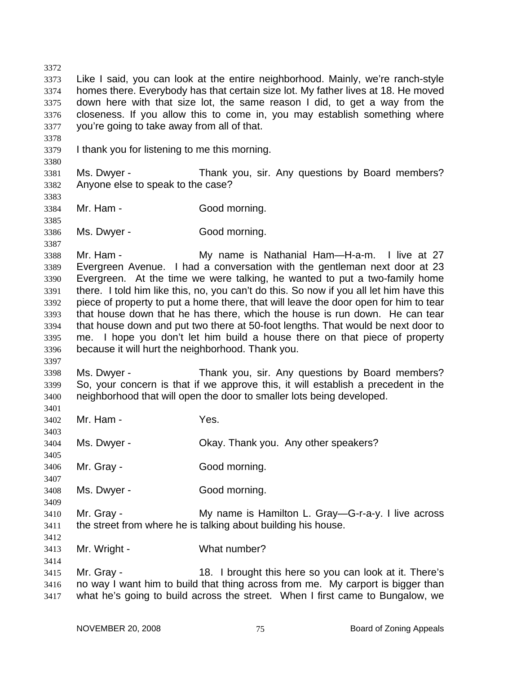3372 3373 3374 3375 3376 3377 3378 3379 3380 3381 3382 3383 3384 3385 3386 3387 3388 3389 3390 3391 3392 3393 3394 3395 3396 3397 3398 3399 3400 3401 3402 3403 3404 3405 3406 3407 3408 3409 3410 3411 3412 3413 3414 3415 3416 3417 Like I said, you can look at the entire neighborhood. Mainly, we're ranch-style homes there. Everybody has that certain size lot. My father lives at 18. He moved down here with that size lot, the same reason I did, to get a way from the closeness. If you allow this to come in, you may establish something where you're going to take away from all of that. I thank you for listening to me this morning. Ms. Dwyer - Thank you, sir. Any questions by Board members? Anyone else to speak to the case? Mr. Ham - Good morning. Ms. Dwyer - Good morning. Mr. Ham - My name is Nathanial Ham—H-a-m. I live at 27 Evergreen Avenue. I had a conversation with the gentleman next door at 23 Evergreen. At the time we were talking, he wanted to put a two-family home there. I told him like this, no, you can't do this. So now if you all let him have this piece of property to put a home there, that will leave the door open for him to tear that house down that he has there, which the house is run down. He can tear that house down and put two there at 50-foot lengths. That would be next door to me. I hope you don't let him build a house there on that piece of property because it will hurt the neighborhood. Thank you. Ms. Dwyer - Thank you, sir. Any questions by Board members? So, your concern is that if we approve this, it will establish a precedent in the neighborhood that will open the door to smaller lots being developed. Mr. Ham - The Mes. Ms. Dwyer - Chay. Thank you. Any other speakers? Mr. Gray - Good morning. Ms. Dwyer - Good morning. Mr. Gray - **My name is Hamilton L. Gray—G-r-a-y.** I live across the street from where he is talking about building his house. Mr. Wright - What number? Mr. Gray - 18. I brought this here so you can look at it. There's no way I want him to build that thing across from me. My carport is bigger than what he's going to build across the street. When I first came to Bungalow, we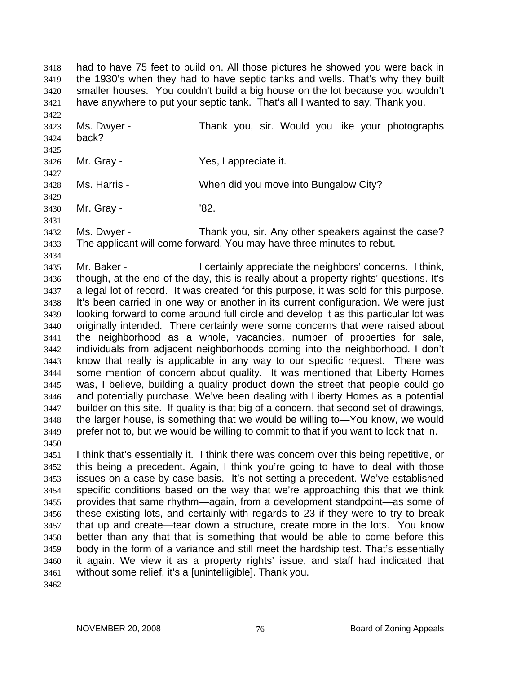had to have 75 feet to build on. All those pictures he showed you were back in the 1930's when they had to have septic tanks and wells. That's why they built smaller houses. You couldn't build a big house on the lot because you wouldn't have anywhere to put your septic tank. That's all I wanted to say. Thank you. 3418 3419 3420 3421

3422 3423 3424 3425 3426 3427 3428 Ms. Dwyer - Thank you, sir. Would you like your photographs back? Mr. Gray - The Yes, I appreciate it. Ms. Harris - When did you move into Bungalow City?

3429

3430 Mr. Gray - '82.

3431

3432 3433 Ms. Dwyer - Thank you, sir. Any other speakers against the case? The applicant will come forward. You may have three minutes to rebut.

3434

3435 3436 3437 3438 3439 3440 3441 3442 3443 3444 3445 3446 3447 3448 3449 3450 Mr. Baker - **I** certainly appreciate the neighbors' concerns. I think, though, at the end of the day, this is really about a property rights' questions. It's a legal lot of record. It was created for this purpose, it was sold for this purpose. It's been carried in one way or another in its current configuration. We were just looking forward to come around full circle and develop it as this particular lot was originally intended. There certainly were some concerns that were raised about the neighborhood as a whole, vacancies, number of properties for sale, individuals from adjacent neighborhoods coming into the neighborhood. I don't know that really is applicable in any way to our specific request. There was some mention of concern about quality. It was mentioned that Liberty Homes was, I believe, building a quality product down the street that people could go and potentially purchase. We've been dealing with Liberty Homes as a potential builder on this site. If quality is that big of a concern, that second set of drawings, the larger house, is something that we would be willing to—You know, we would prefer not to, but we would be willing to commit to that if you want to lock that in.

3451 3452 3453 3454 3455 3456 3457 3458 3459 3460 3461 I think that's essentially it. I think there was concern over this being repetitive, or this being a precedent. Again, I think you're going to have to deal with those issues on a case-by-case basis. It's not setting a precedent. We've established specific conditions based on the way that we're approaching this that we think provides that same rhythm—again, from a development standpoint—as some of these existing lots, and certainly with regards to 23 if they were to try to break that up and create—tear down a structure, create more in the lots. You know better than any that that is something that would be able to come before this body in the form of a variance and still meet the hardship test. That's essentially it again. We view it as a property rights' issue, and staff had indicated that without some relief, it's a [unintelligible]. Thank you.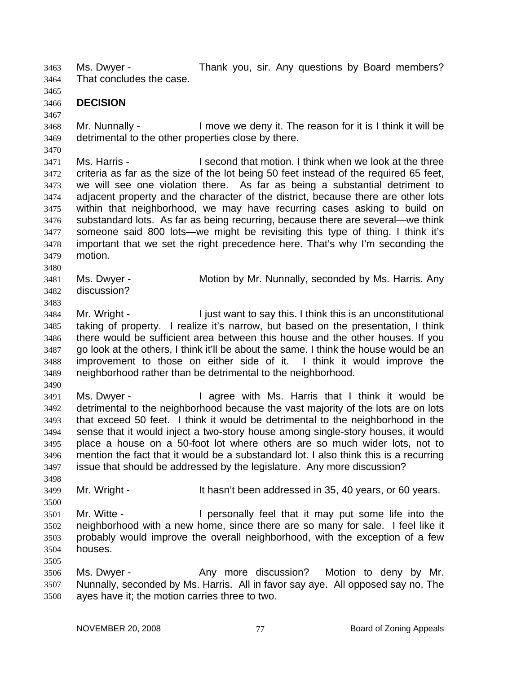Ms. Dwyer - Thank you, sir. Any questions by Board members? That concludes the case. 3463 3464

3465

3467

3470

- 3466 **DECISION**
- 3468 3469 Mr. Nunnally - I move we deny it. The reason for it is I think it will be detrimental to the other properties close by there.
- 3471 3472 3473 3474 3475 3476 3477 3478 3479 Ms. Harris - I second that motion. I think when we look at the three criteria as far as the size of the lot being 50 feet instead of the required 65 feet, we will see one violation there. As far as being a substantial detriment to adjacent property and the character of the district, because there are other lots within that neighborhood, we may have recurring cases asking to build on substandard lots. As far as being recurring, because there are several—we think someone said 800 lots—we might be revisiting this type of thing. I think it's important that we set the right precedence here. That's why I'm seconding the motion.
- 3480 3481 3482 Ms. Dwyer - Motion by Mr. Nunnally, seconded by Ms. Harris. Any discussion?
- 3483
- 3484 3485 3486 3487 3488 3489 Mr. Wright - I just want to say this. I think this is an unconstitutional taking of property. I realize it's narrow, but based on the presentation, I think there would be sufficient area between this house and the other houses. If you go look at the others, I think it'll be about the same. I think the house would be an improvement to those on either side of it. I think it would improve the neighborhood rather than be detrimental to the neighborhood.
- 3490

3498

3500

- 3491 3492 3493 3494 3495 3496 3497 Ms. Dwyer - The agree with Ms. Harris that I think it would be detrimental to the neighborhood because the vast majority of the lots are on lots that exceed 50 feet. I think it would be detrimental to the neighborhood in the sense that it would inject a two-story house among single-story houses, it would place a house on a 50-foot lot where others are so much wider lots, not to mention the fact that it would be a substandard lot. I also think this is a recurring issue that should be addressed by the legislature. Any more discussion?
- 3499 Mr. Wright - It hasn't been addressed in 35, 40 years, or 60 years.
- 3501 3502 3503 3504 Mr. Witte - I personally feel that it may put some life into the neighborhood with a new home, since there are so many for sale. I feel like it probably would improve the overall neighborhood, with the exception of a few houses.
- 3506 3507 3508 Ms. Dwyer - The Any more discussion? Motion to deny by Mr. Nunnally, seconded by Ms. Harris. All in favor say aye. All opposed say no. The ayes have it; the motion carries three to two.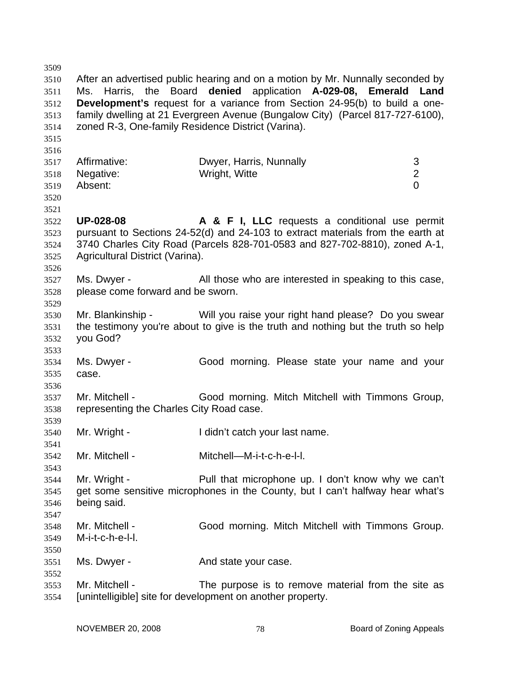3509 3510 3511 3512 3513 3514 3515 3516 3517 3518 3519 3520 3521 3522 3523 3524 3525 3526 3527 3528 3529 3530 3531 3532 3533 3534 3535 3536 3537 3538 3539 3540 3541 3542 3543 3544 3545 3546 3547 3548 3549 3550 3551 3552 3553 3554 After an advertised public hearing and on a motion by Mr. Nunnally seconded by Ms. Harris, the Board **denied** application **A-029-08, Emerald Land Development's** request for a variance from Section 24-95(b) to build a onefamily dwelling at 21 Evergreen Avenue (Bungalow City) (Parcel 817-727-6100), zoned R-3, One-family Residence District (Varina). Affirmative: Dwyer, Harris, Nunnally 3 Negative: Wright, Witte 2 Absent: 0 **UP-028-08 A & F I, LLC** requests a conditional use permit pursuant to Sections 24-52(d) and 24-103 to extract materials from the earth at 3740 Charles City Road (Parcels 828-701-0583 and 827-702-8810), zoned A-1, Agricultural District (Varina). Ms. Dwyer - The All those who are interested in speaking to this case, please come forward and be sworn. Mr. Blankinship - Will you raise your right hand please? Do you swear the testimony you're about to give is the truth and nothing but the truth so help you God? Ms. Dwyer - Good morning. Please state your name and your case. Mr. Mitchell - Good morning. Mitch Mitchell with Timmons Group, representing the Charles City Road case. Mr. Wright - The I didn't catch your last name. Mr. Mitchell - Mitchell—M-i-t-c-h-e-l-l. Mr. Wright - Pull that microphone up. I don't know why we can't get some sensitive microphones in the County, but I can't halfway hear what's being said. Mr. Mitchell - Good morning. Mitch Mitchell with Timmons Group. M-i-t-c-h-e-l-l. Ms. Dwyer - The And state your case. Mr. Mitchell - The purpose is to remove material from the site as [unintelligible] site for development on another property.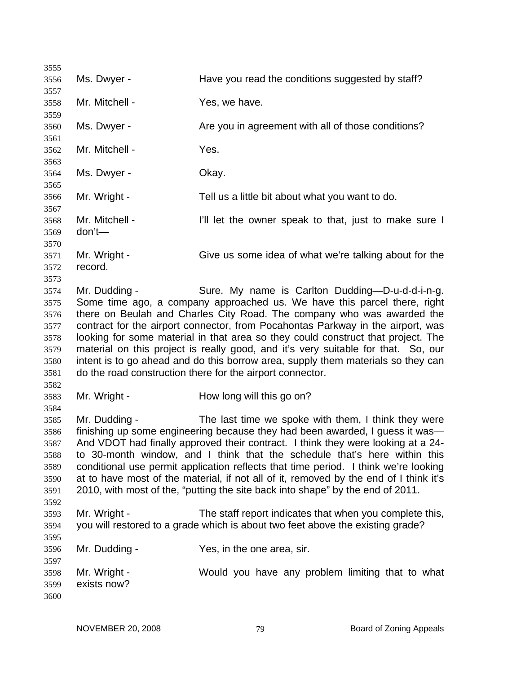3555 3556 3557 3558 3559 3560 3561 3562 3563 3564 3565 3566 3567 3568 3569 3570 3571 3572 3573 3574 3575 3576 3577 3578 3579 3580 3581 3582 3583 3584 3585 3586 3587 3588 3589 3590 3591 3592 3593 3594 3595 3596 3597 3598 3599 3600 Ms. Dwyer - The Have you read the conditions suggested by staff? Mr. Mitchell - Yes, we have. Ms. Dwyer - Are you in agreement with all of those conditions? Mr. Mitchell - Yes. Ms. Dwyer - Chay. Mr. Wright - Tell us a little bit about what you want to do. Mr. Mitchell - I'll let the owner speak to that, just to make sure I don't— Mr. Wright - Give us some idea of what we're talking about for the record. Mr. Dudding - Sure. My name is Carlton Dudding—D-u-d-d-i-n-g. Some time ago, a company approached us. We have this parcel there, right there on Beulah and Charles City Road. The company who was awarded the contract for the airport connector, from Pocahontas Parkway in the airport, was looking for some material in that area so they could construct that project. The material on this project is really good, and it's very suitable for that. So, our intent is to go ahead and do this borrow area, supply them materials so they can do the road construction there for the airport connector. Mr. Wright - **How long will this go on?** Mr. Dudding - The last time we spoke with them, I think they were finishing up some engineering because they had been awarded, I guess it was— And VDOT had finally approved their contract. I think they were looking at a 24 to 30-month window, and I think that the schedule that's here within this conditional use permit application reflects that time period. I think we're looking at to have most of the material, if not all of it, removed by the end of I think it's 2010, with most of the, "putting the site back into shape" by the end of 2011. Mr. Wright - The staff report indicates that when you complete this, you will restored to a grade which is about two feet above the existing grade? Mr. Dudding - The Yes, in the one area, sir. Mr. Wright - Would you have any problem limiting that to what exists now?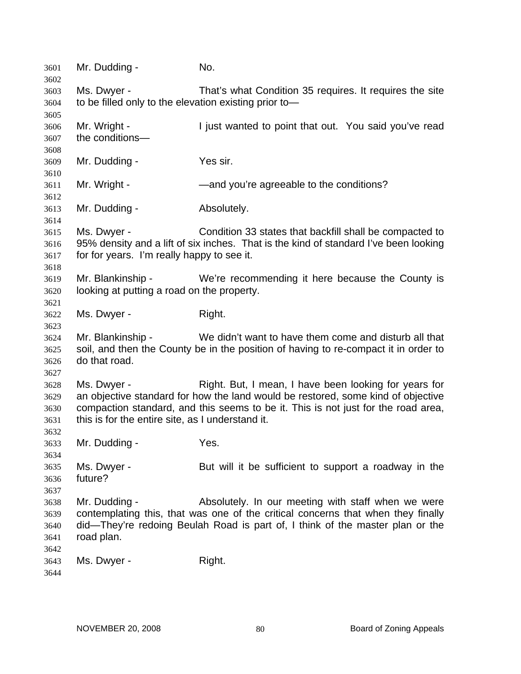| 3601<br>3602 | Mr. Dudding -                                         | No.                                                                                  |
|--------------|-------------------------------------------------------|--------------------------------------------------------------------------------------|
| 3603         | Ms. Dwyer -                                           | That's what Condition 35 requires. It requires the site                              |
| 3604         | to be filled only to the elevation existing prior to- |                                                                                      |
| 3605         |                                                       |                                                                                      |
| 3606         | Mr. Wright -                                          | I just wanted to point that out. You said you've read                                |
| 3607         | the conditions-                                       |                                                                                      |
| 3608         |                                                       |                                                                                      |
| 3609         | Mr. Dudding -                                         | Yes sir.                                                                             |
| 3610         |                                                       |                                                                                      |
| 3611         | Mr. Wright -                                          | -and you're agreeable to the conditions?                                             |
| 3612         |                                                       |                                                                                      |
| 3613         | Mr. Dudding -                                         | Absolutely.                                                                          |
| 3614         |                                                       |                                                                                      |
| 3615         | Ms. Dwyer -                                           | Condition 33 states that backfill shall be compacted to                              |
| 3616         |                                                       | 95% density and a lift of six inches. That is the kind of standard I've been looking |
| 3617         | for for years. I'm really happy to see it.            |                                                                                      |
| 3618         |                                                       |                                                                                      |
| 3619         | Mr. Blankinship -                                     | We're recommending it here because the County is                                     |
| 3620         | looking at putting a road on the property.            |                                                                                      |
| 3621         |                                                       |                                                                                      |
| 3622         | Ms. Dwyer -                                           | Right.                                                                               |
| 3623         |                                                       |                                                                                      |
| 3624         | Mr. Blankinship -                                     | We didn't want to have them come and disturb all that                                |
| 3625         |                                                       | soil, and then the County be in the position of having to re-compact it in order to  |
| 3626         | do that road.                                         |                                                                                      |
| 3627         |                                                       |                                                                                      |
| 3628         | Ms. Dwyer -                                           | Right. But, I mean, I have been looking for years for                                |
| 3629         |                                                       | an objective standard for how the land would be restored, some kind of objective     |
| 3630         |                                                       | compaction standard, and this seems to be it. This is not just for the road area,    |
| 3631         | this is for the entire site, as I understand it.      |                                                                                      |
| 3632         |                                                       |                                                                                      |
| 3633         | Mr. Dudding -                                         | Yes.                                                                                 |
| 3634         |                                                       |                                                                                      |
| 3635         | Ms. Dwyer -                                           | But will it be sufficient to support a roadway in the                                |
| 3636         | future?                                               |                                                                                      |
| 3637         |                                                       |                                                                                      |
| 3638         | Mr. Dudding -                                         | Absolutely. In our meeting with staff when we were                                   |
| 3639         |                                                       | contemplating this, that was one of the critical concerns that when they finally     |
| 3640         |                                                       | did-They're redoing Beulah Road is part of, I think of the master plan or the        |
| 3641         | road plan.                                            |                                                                                      |
| 3642         |                                                       |                                                                                      |
| 3643         | Ms. Dwyer -                                           | Right.                                                                               |
| 3644         |                                                       |                                                                                      |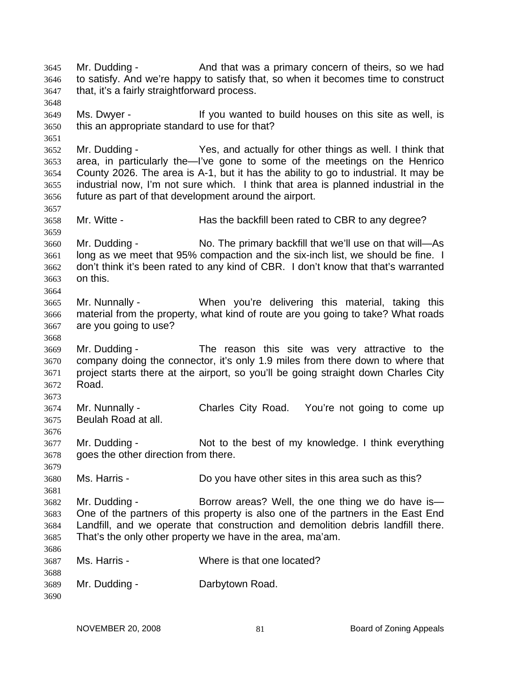Mr. Dudding - And that was a primary concern of theirs, so we had to satisfy. And we're happy to satisfy that, so when it becomes time to construct that, it's a fairly straightforward process. 3645 3646 3647 3648 3649 3650 3651 3652 3653 3654 3655 3656 3657 3658 3659 3660 3661 3662 3663 3664 3665 3666 3667 3668 3669 3670 3671 3672 3673 3674 3675 3676 3677 3678 3679 3680 3681 3682 3683 3684 3685 3686 3687 3688 3689 3690 Ms. Dwyer - The Music of the Vou wanted to build houses on this site as well, is this an appropriate standard to use for that? Mr. Dudding - Yes, and actually for other things as well. I think that area, in particularly the—I've gone to some of the meetings on the Henrico County 2026. The area is A-1, but it has the ability to go to industrial. It may be industrial now, I'm not sure which. I think that area is planned industrial in the future as part of that development around the airport. Mr. Witte - **Has the backfill been rated to CBR to any degree?** Mr. Dudding - No. The primary backfill that we'll use on that will—As long as we meet that 95% compaction and the six-inch list, we should be fine. I don't think it's been rated to any kind of CBR. I don't know that that's warranted on this. Mr. Nunnally - When you're delivering this material, taking this material from the property, what kind of route are you going to take? What roads are you going to use? Mr. Dudding - The reason this site was very attractive to the company doing the connector, it's only 1.9 miles from there down to where that project starts there at the airport, so you'll be going straight down Charles City Road. Mr. Nunnally - Charles City Road. You're not going to come up Beulah Road at all. Mr. Dudding - Not to the best of my knowledge. I think everything goes the other direction from there. Ms. Harris - **Do you have other sites in this area such as this?** Mr. Dudding - Borrow areas? Well, the one thing we do have is One of the partners of this property is also one of the partners in the East End Landfill, and we operate that construction and demolition debris landfill there. That's the only other property we have in the area, ma'am. Ms. Harris - Where is that one located? Mr. Dudding - **Darbytown Road.**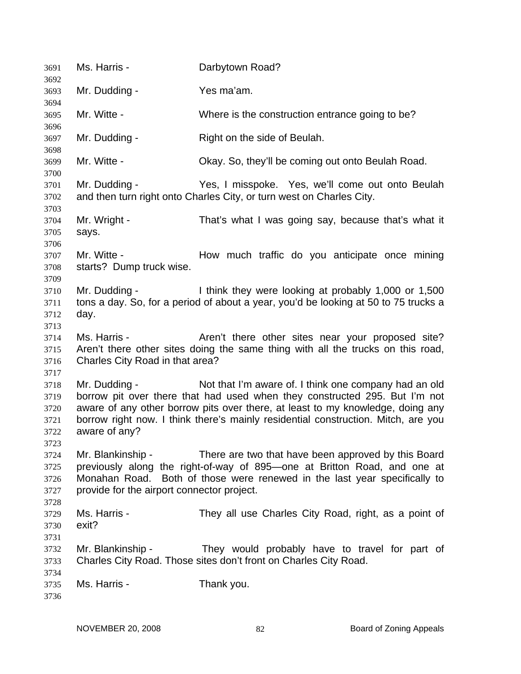| 3691                                         | Ms. Harris -                                                                                                                                                                                                                                                                    | Darbytown Road?                                                                                                                                                                                                                                                                                            |
|----------------------------------------------|---------------------------------------------------------------------------------------------------------------------------------------------------------------------------------------------------------------------------------------------------------------------------------|------------------------------------------------------------------------------------------------------------------------------------------------------------------------------------------------------------------------------------------------------------------------------------------------------------|
| 3692<br>3693                                 | Mr. Dudding -                                                                                                                                                                                                                                                                   | Yes ma'am.                                                                                                                                                                                                                                                                                                 |
| 3694                                         |                                                                                                                                                                                                                                                                                 |                                                                                                                                                                                                                                                                                                            |
| 3695<br>3696                                 | Mr. Witte -                                                                                                                                                                                                                                                                     | Where is the construction entrance going to be?                                                                                                                                                                                                                                                            |
| 3697<br>3698                                 | Mr. Dudding -                                                                                                                                                                                                                                                                   | Right on the side of Beulah.                                                                                                                                                                                                                                                                               |
| 3699<br>3700                                 | Mr. Witte -                                                                                                                                                                                                                                                                     | Okay. So, they'll be coming out onto Beulah Road.                                                                                                                                                                                                                                                          |
| 3701<br>3702<br>3703                         | Mr. Dudding -                                                                                                                                                                                                                                                                   | Yes, I misspoke. Yes, we'll come out onto Beulah<br>and then turn right onto Charles City, or turn west on Charles City.                                                                                                                                                                                   |
| 3704<br>3705                                 | Mr. Wright -<br>says.                                                                                                                                                                                                                                                           | That's what I was going say, because that's what it                                                                                                                                                                                                                                                        |
| 3706<br>3707<br>3708<br>3709                 | Mr. Witte -<br>starts? Dump truck wise.                                                                                                                                                                                                                                         | How much traffic do you anticipate once mining                                                                                                                                                                                                                                                             |
| 3710<br>3711<br>3712<br>3713                 | Mr. Dudding -<br>day.                                                                                                                                                                                                                                                           | I think they were looking at probably 1,000 or 1,500<br>tons a day. So, for a period of about a year, you'd be looking at 50 to 75 trucks a                                                                                                                                                                |
| 3714<br>3715<br>3716<br>3717                 | Ms. Harris -<br>Charles City Road in that area?                                                                                                                                                                                                                                 | Aren't there other sites near your proposed site?<br>Aren't there other sites doing the same thing with all the trucks on this road,                                                                                                                                                                       |
| 3718<br>3719<br>3720<br>3721<br>3722<br>3723 | Mr. Dudding -<br>aware of any?                                                                                                                                                                                                                                                  | Not that I'm aware of. I think one company had an old<br>borrow pit over there that had used when they constructed 295. But I'm not<br>aware of any other borrow pits over there, at least to my knowledge, doing any<br>borrow right now. I think there's mainly residential construction. Mitch, are you |
| 3724<br>3725<br>3726<br>3727                 | Mr. Blankinship -<br>There are two that have been approved by this Board<br>previously along the right-of-way of 895-one at Britton Road, and one at<br>Monahan Road. Both of those were renewed in the last year specifically to<br>provide for the airport connector project. |                                                                                                                                                                                                                                                                                                            |
| 3728<br>3729<br>3730<br>3731                 | Ms. Harris -<br>exit?                                                                                                                                                                                                                                                           | They all use Charles City Road, right, as a point of                                                                                                                                                                                                                                                       |
| 3732<br>3733                                 | Mr. Blankinship -                                                                                                                                                                                                                                                               | They would probably have to travel for part of<br>Charles City Road. Those sites don't front on Charles City Road.                                                                                                                                                                                         |
| 3734<br>3735<br>3736                         | Ms. Harris -                                                                                                                                                                                                                                                                    | Thank you.                                                                                                                                                                                                                                                                                                 |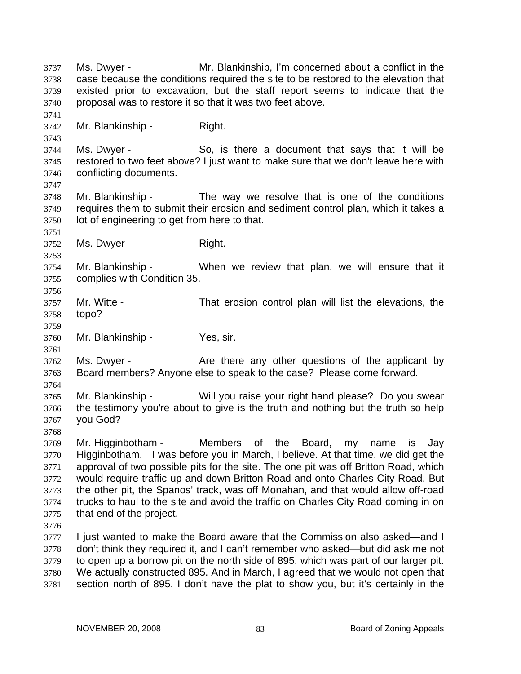Ms. Dwyer - Mr. Blankinship, I'm concerned about a conflict in the case because the conditions required the site to be restored to the elevation that existed prior to excavation, but the staff report seems to indicate that the proposal was to restore it so that it was two feet above. 3737 3738 3739 3740 3741 3742 3743 3744 3745 3746 3747 3748 3749 3750 3751 3752 3753 3754 3755 3756 3757 3758 3759 3760 3761 3762 3763 3764 3765 3766 3767 3768 3769 3770 3771 3772 3773 3774 3775 3776 3777 3778 3779 3780 3781 Mr. Blankinship - Right. Ms. Dwyer - So, is there a document that says that it will be restored to two feet above? I just want to make sure that we don't leave here with conflicting documents. Mr. Blankinship - The way we resolve that is one of the conditions requires them to submit their erosion and sediment control plan, which it takes a lot of engineering to get from here to that. Ms. Dwyer - Right. Mr. Blankinship - When we review that plan, we will ensure that it complies with Condition 35. Mr. Witte - That erosion control plan will list the elevations, the topo? Mr. Blankinship - Yes, sir. Ms. Dwyer - The Are there any other questions of the applicant by Board members? Anyone else to speak to the case? Please come forward. Mr. Blankinship - Will you raise your right hand please? Do you swear the testimony you're about to give is the truth and nothing but the truth so help you God? Mr. Higginbotham - Members of the Board, my name is Jay Higginbotham. I was before you in March, I believe. At that time, we did get the approval of two possible pits for the site. The one pit was off Britton Road, which would require traffic up and down Britton Road and onto Charles City Road. But the other pit, the Spanos' track, was off Monahan, and that would allow off-road trucks to haul to the site and avoid the traffic on Charles City Road coming in on that end of the project. I just wanted to make the Board aware that the Commission also asked—and I don't think they required it, and I can't remember who asked—but did ask me not to open up a borrow pit on the north side of 895, which was part of our larger pit. We actually constructed 895. And in March, I agreed that we would not open that section north of 895. I don't have the plat to show you, but it's certainly in the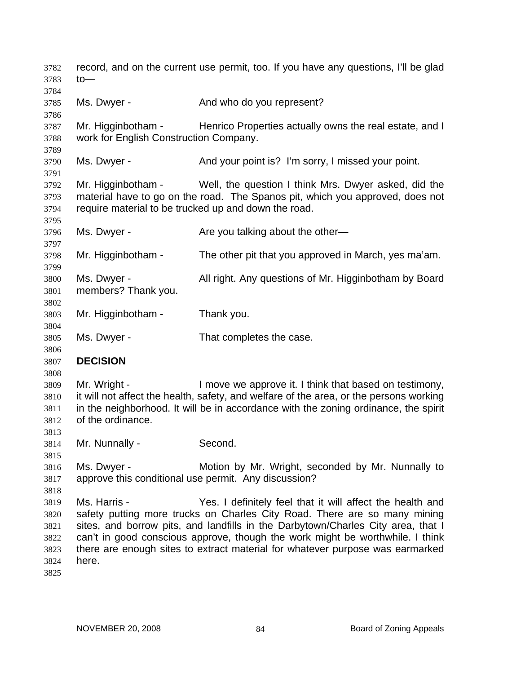record, and on the current use permit, too. If you have any questions, I'll be glad to— 3782 3783 3784 3785 3786 3787 3788 3789 3790 3791 3792 3793 3794 3795 3796 3797 3798 3799 3800 3801 3802 3803 3804 3805 3806 3807 3808 3809 3810 3811 3812 3813 3814 3815 3816 3817 3818 3819 3820 3821 3822 3823 3824 3825 Ms. Dwyer - The And who do you represent? Mr. Higginbotham - Henrico Properties actually owns the real estate, and I work for English Construction Company. Ms. Dwyer - And your point is? I'm sorry, I missed your point. Mr. Higginbotham - Well, the question I think Mrs. Dwyer asked, did the material have to go on the road. The Spanos pit, which you approved, does not require material to be trucked up and down the road. Ms. Dwyer - Are you talking about the other— Mr. Higginbotham - The other pit that you approved in March, yes ma'am. Ms. Dwyer - All right. Any questions of Mr. Higginbotham by Board members? Thank you. Mr. Higginbotham - Thank you. Ms. Dwyer - That completes the case. **DECISION**  Mr. Wright - I move we approve it. I think that based on testimony, it will not affect the health, safety, and welfare of the area, or the persons working in the neighborhood. It will be in accordance with the zoning ordinance, the spirit of the ordinance. Mr. Nunnally - Second. Ms. Dwyer - **Motion by Mr. Wright, seconded by Mr. Nunnally to** approve this conditional use permit. Any discussion? Ms. Harris - The Yes. I definitely feel that it will affect the health and safety putting more trucks on Charles City Road. There are so many mining sites, and borrow pits, and landfills in the Darbytown/Charles City area, that I can't in good conscious approve, though the work might be worthwhile. I think there are enough sites to extract material for whatever purpose was earmarked here.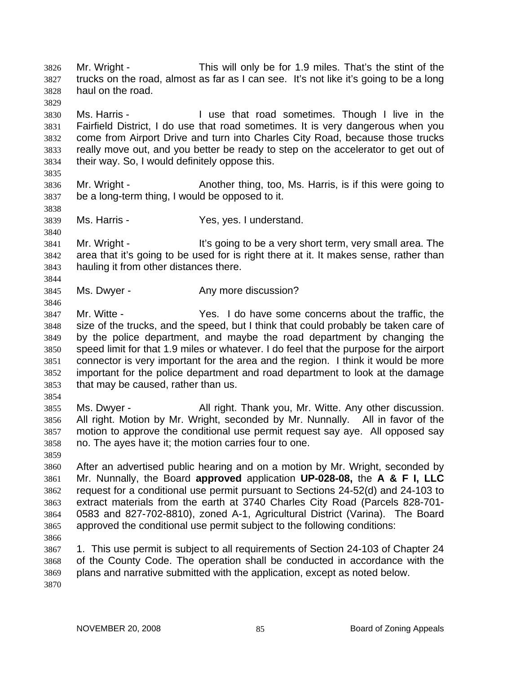Mr. Wright - This will only be for 1.9 miles. That's the stint of the trucks on the road, almost as far as I can see. It's not like it's going to be a long haul on the road. 3826 3827 3828 3829

3830 3831 3832 3833 3834 Ms. Harris - The Muse that road sometimes. Though I live in the Fairfield District, I do use that road sometimes. It is very dangerous when you come from Airport Drive and turn into Charles City Road, because those trucks really move out, and you better be ready to step on the accelerator to get out of their way. So, I would definitely oppose this.

3835

3838

3840

3844

3846

3836 3837 Mr. Wright - Another thing, too, Ms. Harris, is if this were going to be a long-term thing, I would be opposed to it.

3839 Ms. Harris - Yes, yes. I understand.

3841 3842 3843 Mr. Wright - It's going to be a very short term, very small area. The area that it's going to be used for is right there at it. It makes sense, rather than hauling it from other distances there.

3845 Ms. Dwyer - The Any more discussion?

3847 3848 3849 3850 3851 3852 3853 Mr. Witte - The Yes. I do have some concerns about the traffic, the size of the trucks, and the speed, but I think that could probably be taken care of by the police department, and maybe the road department by changing the speed limit for that 1.9 miles or whatever. I do feel that the purpose for the airport connector is very important for the area and the region. I think it would be more important for the police department and road department to look at the damage that may be caused, rather than us.

3854

3859

3855 3856 3857 3858 Ms. Dwyer - **All right. Thank you, Mr. Witte. Any other discussion.** All right. Motion by Mr. Wright, seconded by Mr. Nunnally. All in favor of the motion to approve the conditional use permit request say aye. All opposed say no. The ayes have it; the motion carries four to one.

3860 3861 3862 3863 3864 3865 After an advertised public hearing and on a motion by Mr. Wright, seconded by Mr. Nunnally, the Board **approved** application **UP-028-08,** the **A & F I, LLC** request for a conditional use permit pursuant to Sections 24-52(d) and 24-103 to extract materials from the earth at 3740 Charles City Road (Parcels 828-701- 0583 and 827-702-8810), zoned A-1, Agricultural District (Varina). The Board approved the conditional use permit subject to the following conditions:

3866

3867 3868 3869 1. This use permit is subject to all requirements of Section 24-103 of Chapter 24 of the County Code. The operation shall be conducted in accordance with the plans and narrative submitted with the application, except as noted below.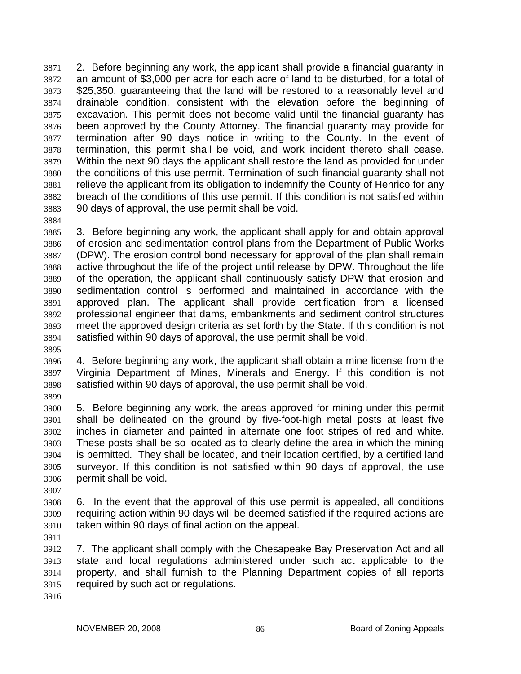2. Before beginning any work, the applicant shall provide a financial guaranty in an amount of \$3,000 per acre for each acre of land to be disturbed, for a total of \$25,350, guaranteeing that the land will be restored to a reasonably level and drainable condition, consistent with the elevation before the beginning of excavation. This permit does not become valid until the financial guaranty has been approved by the County Attorney. The financial guaranty may provide for termination after 90 days notice in writing to the County. In the event of termination, this permit shall be void, and work incident thereto shall cease. Within the next 90 days the applicant shall restore the land as provided for under the conditions of this use permit. Termination of such financial guaranty shall not relieve the applicant from its obligation to indemnify the County of Henrico for any breach of the conditions of this use permit. If this condition is not satisfied within 90 days of approval, the use permit shall be void. 3871 3872 3873 3874 3875 3876 3877 3878 3879 3880 3881 3882 3883

3884

3885 3886 3887 3888 3889 3890 3891 3892 3893 3894 3. Before beginning any work, the applicant shall apply for and obtain approval of erosion and sedimentation control plans from the Department of Public Works (DPW). The erosion control bond necessary for approval of the plan shall remain active throughout the life of the project until release by DPW. Throughout the life of the operation, the applicant shall continuously satisfy DPW that erosion and sedimentation control is performed and maintained in accordance with the approved plan. The applicant shall provide certification from a licensed professional engineer that dams, embankments and sediment control structures meet the approved design criteria as set forth by the State. If this condition is not satisfied within 90 days of approval, the use permit shall be void.

3895

3896 3897 3898 4. Before beginning any work, the applicant shall obtain a mine license from the Virginia Department of Mines, Minerals and Energy. If this condition is not satisfied within 90 days of approval, the use permit shall be void.

3899

3900 3901 3902 3903 3904 3905 3906 5. Before beginning any work, the areas approved for mining under this permit shall be delineated on the ground by five-foot-high metal posts at least five inches in diameter and painted in alternate one foot stripes of red and white. These posts shall be so located as to clearly define the area in which the mining is permitted. They shall be located, and their location certified, by a certified land surveyor. If this condition is not satisfied within 90 days of approval, the use permit shall be void.

3907

3908 3909 3910 6. In the event that the approval of this use permit is appealed, all conditions requiring action within 90 days will be deemed satisfied if the required actions are taken within 90 days of final action on the appeal.

3911

3912 3913 3914 3915 7. The applicant shall comply with the Chesapeake Bay Preservation Act and all state and local regulations administered under such act applicable to the property, and shall furnish to the Planning Department copies of all reports required by such act or regulations.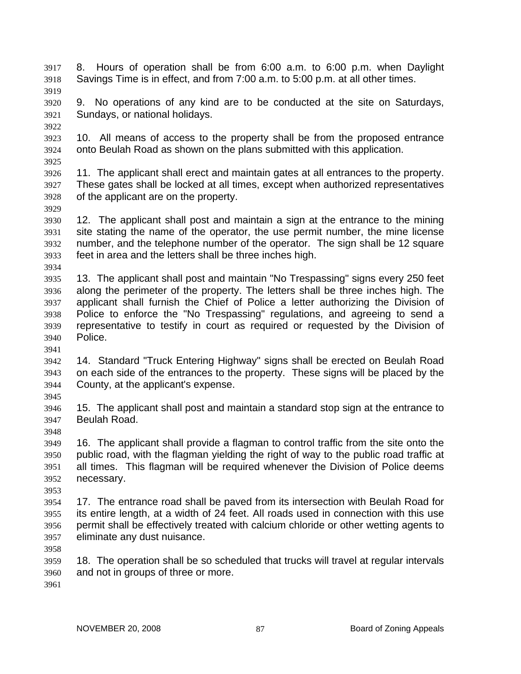- 8. Hours of operation shall be from 6:00 a.m. to 6:00 p.m. when Daylight Savings Time is in effect, and from 7:00 a.m. to 5:00 p.m. at all other times. 3917 3918 3919
- 3920 3921 9. No operations of any kind are to be conducted at the site on Saturdays, Sundays, or national holidays.
- 3922
- 3923 3924 3925 10. All means of access to the property shall be from the proposed entrance onto Beulah Road as shown on the plans submitted with this application.
- 3926 3927 3928 11. The applicant shall erect and maintain gates at all entrances to the property. These gates shall be locked at all times, except when authorized representatives of the applicant are on the property.
- 3930 3931 3932 3933 12. The applicant shall post and maintain a sign at the entrance to the mining site stating the name of the operator, the use permit number, the mine license number, and the telephone number of the operator. The sign shall be 12 square feet in area and the letters shall be three inches high.
- 3934

3929

- 3935 3936 3937 3938 3939 3940 13. The applicant shall post and maintain "No Trespassing" signs every 250 feet along the perimeter of the property. The letters shall be three inches high. The applicant shall furnish the Chief of Police a letter authorizing the Division of Police to enforce the "No Trespassing" regulations, and agreeing to send a representative to testify in court as required or requested by the Division of Police.
- 3941
- 3942 3943 3944 14. Standard "Truck Entering Highway" signs shall be erected on Beulah Road on each side of the entrances to the property. These signs will be placed by the County, at the applicant's expense.
- 3945

3948

- 3946 3947 15. The applicant shall post and maintain a standard stop sign at the entrance to Beulah Road.
- 3949 3950 3951 3952 16. The applicant shall provide a flagman to control traffic from the site onto the public road, with the flagman yielding the right of way to the public road traffic at all times. This flagman will be required whenever the Division of Police deems necessary.
- 3953
- 3954 3955 3956 3957 17. The entrance road shall be paved from its intersection with Beulah Road for its entire length, at a width of 24 feet. All roads used in connection with this use permit shall be effectively treated with calcium chloride or other wetting agents to eliminate any dust nuisance.

3958

3959 3960 18. The operation shall be so scheduled that trucks will travel at regular intervals and not in groups of three or more.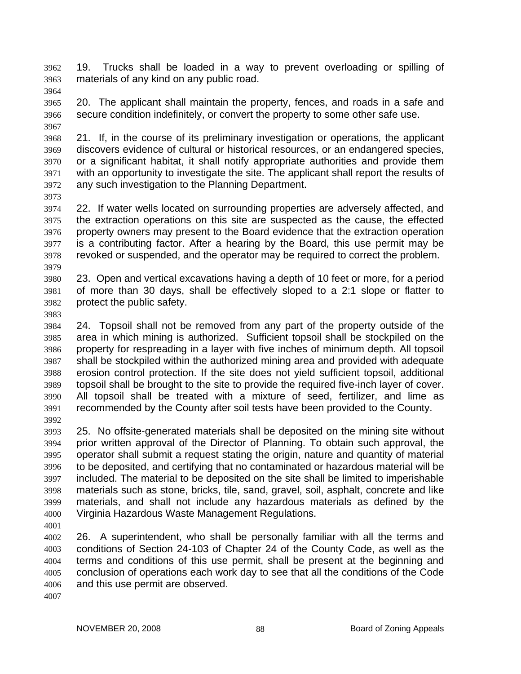19. Trucks shall be loaded in a way to prevent overloading or spilling of materials of any kind on any public road. 3962 3963

3964

3965 3966 3967 20. The applicant shall maintain the property, fences, and roads in a safe and secure condition indefinitely, or convert the property to some other safe use.

3968 3969 3970 3971 3972 21. If, in the course of its preliminary investigation or operations, the applicant discovers evidence of cultural or historical resources, or an endangered species, or a significant habitat, it shall notify appropriate authorities and provide them with an opportunity to investigate the site. The applicant shall report the results of any such investigation to the Planning Department.

3973

3974 3975 3976 3977 3978 3979 22. If water wells located on surrounding properties are adversely affected, and the extraction operations on this site are suspected as the cause, the effected property owners may present to the Board evidence that the extraction operation is a contributing factor. After a hearing by the Board, this use permit may be revoked or suspended, and the operator may be required to correct the problem.

3980 3981 3982 23. Open and vertical excavations having a depth of 10 feet or more, for a period of more than 30 days, shall be effectively sloped to a 2:1 slope or flatter to protect the public safety.

3983

3984 3985 3986 3987 3988 3989 3990 3991 3992 24. Topsoil shall not be removed from any part of the property outside of the area in which mining is authorized. Sufficient topsoil shall be stockpiled on the property for respreading in a layer with five inches of minimum depth. All topsoil shall be stockpiled within the authorized mining area and provided with adequate erosion control protection. If the site does not yield sufficient topsoil, additional topsoil shall be brought to the site to provide the required five-inch layer of cover. All topsoil shall be treated with a mixture of seed, fertilizer, and lime as recommended by the County after soil tests have been provided to the County.

3993 3994 3995 3996 3997 3998 3999 4000 25. No offsite-generated materials shall be deposited on the mining site without prior written approval of the Director of Planning. To obtain such approval, the operator shall submit a request stating the origin, nature and quantity of material to be deposited, and certifying that no contaminated or hazardous material will be included. The material to be deposited on the site shall be limited to imperishable materials such as stone, bricks, tile, sand, gravel, soil, asphalt, concrete and like materials, and shall not include any hazardous materials as defined by the Virginia Hazardous Waste Management Regulations.

4001

4002 4003 4004 4005 4006 26. A superintendent, who shall be personally familiar with all the terms and conditions of Section 24-103 of Chapter 24 of the County Code, as well as the terms and conditions of this use permit, shall be present at the beginning and conclusion of operations each work day to see that all the conditions of the Code and this use permit are observed.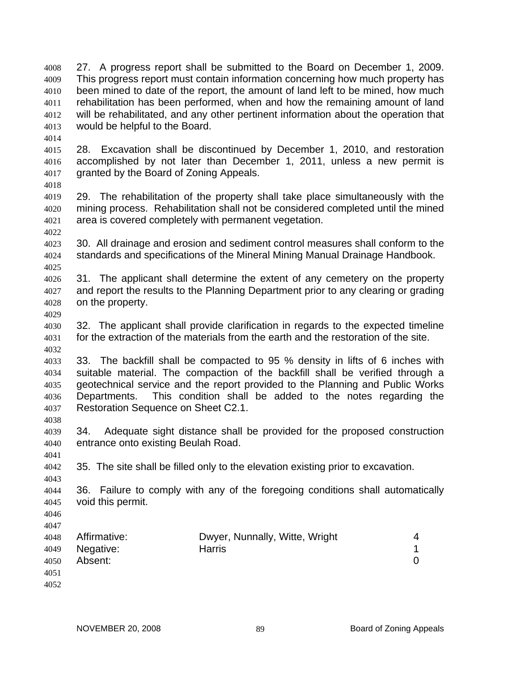27. A progress report shall be submitted to the Board on December 1, 2009. This progress report must contain information concerning how much property has been mined to date of the report, the amount of land left to be mined, how much rehabilitation has been performed, when and how the remaining amount of land will be rehabilitated, and any other pertinent information about the operation that would be helpful to the Board. 4008 4009 4010 4011 4012 4013

4014

4015 4016 4017 28. Excavation shall be discontinued by December 1, 2010, and restoration accomplished by not later than December 1, 2011, unless a new permit is granted by the Board of Zoning Appeals.

4018

4019 4020 4021 4022 29. The rehabilitation of the property shall take place simultaneously with the mining process. Rehabilitation shall not be considered completed until the mined area is covered completely with permanent vegetation.

4023 4024 4025 30. All drainage and erosion and sediment control measures shall conform to the standards and specifications of the Mineral Mining Manual Drainage Handbook.

4026 4027 4028 31. The applicant shall determine the extent of any cemetery on the property and report the results to the Planning Department prior to any clearing or grading on the property.

4029

4030 4031 4032 32. The applicant shall provide clarification in regards to the expected timeline for the extraction of the materials from the earth and the restoration of the site.

4033 4034 4035 4036 4037 33. The backfill shall be compacted to 95 % density in lifts of 6 inches with suitable material. The compaction of the backfill shall be verified through a geotechnical service and the report provided to the Planning and Public Works Departments. This condition shall be added to the notes regarding the Restoration Sequence on Sheet C2.1.

4039 4040 34. Adequate sight distance shall be provided for the proposed construction entrance onto existing Beulah Road.

4042 35. The site shall be filled only to the elevation existing prior to excavation.

4043 4044 4045 36. Failure to comply with any of the foregoing conditions shall automatically void this permit.

4046 4047

4038

4041

| 4051 | 4048<br>4050 | Affirmative:<br>4049 Negative:<br>Absent: | Dwyer, Nunnally, Witte, Wright<br><b>Harris</b> | 4 |
|------|--------------|-------------------------------------------|-------------------------------------------------|---|
|------|--------------|-------------------------------------------|-------------------------------------------------|---|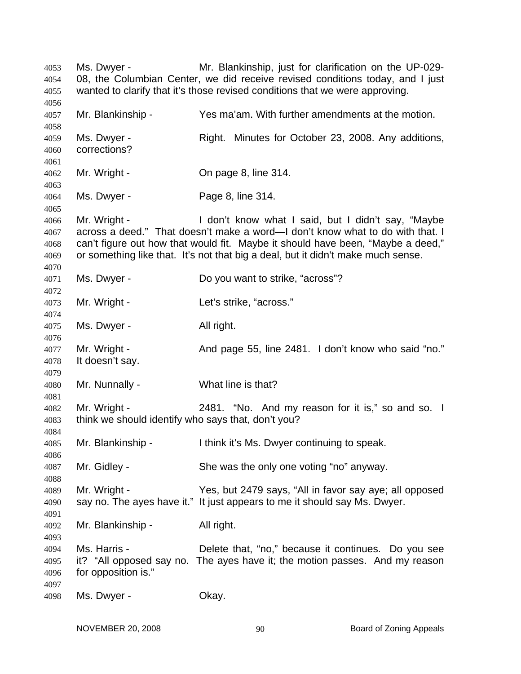Ms. Dwyer - Mr. Blankinship, just for clarification on the UP-029- 08, the Columbian Center, we did receive revised conditions today, and I just wanted to clarify that it's those revised conditions that we were approving. Mr. Blankinship - Yes ma'am. With further amendments at the motion. Ms. Dwyer - Right. Minutes for October 23, 2008. Any additions, corrections? Mr. Wright - Chinage 8, line 314. Ms. Dwyer - Page 8, line 314. Mr. Wright - I don't know what I said, but I didn't say, "Maybe across a deed." That doesn't make a word—I don't know what to do with that. I can't figure out how that would fit. Maybe it should have been, "Maybe a deed," or something like that. It's not that big a deal, but it didn't make much sense. Ms. Dwyer - Do you want to strike, "across"? Mr. Wright - The Let's strike, "across." Ms. Dwyer - All right. Mr. Wright - And page 55, line 2481. I don't know who said "no." It doesn't say. Mr. Nunnally - What line is that? Mr. Wright - 2481. "No. And my reason for it is," so and so. I think we should identify who says that, don't you? Mr. Blankinship - Ithink it's Ms. Dwyer continuing to speak. Mr. Gidley - She was the only one voting "no" anyway. Mr. Wright - Yes, but 2479 says, "All in favor say aye; all opposed say no. The ayes have it." It just appears to me it should say Ms. Dwyer. Mr. Blankinship - All right. Ms. Harris - **Delete that, "no," because it continues.** Do you see it? "All opposed say no. The ayes have it; the motion passes. And my reason for opposition is." Ms. Dwyer - Chay.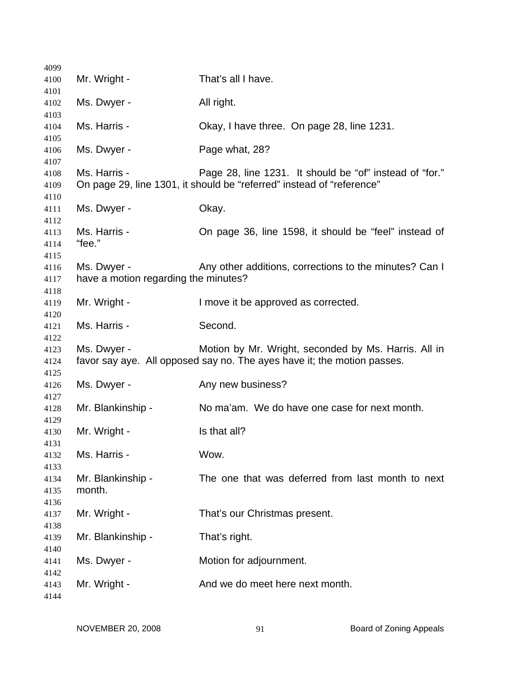| 4099                         |                                                     |                                                                                                                                  |
|------------------------------|-----------------------------------------------------|----------------------------------------------------------------------------------------------------------------------------------|
| 4100                         | Mr. Wright -                                        | That's all I have.                                                                                                               |
| 4101<br>4102                 | Ms. Dwyer -                                         | All right.                                                                                                                       |
| 4103                         |                                                     |                                                                                                                                  |
| 4104                         | Ms. Harris -                                        | Okay, I have three. On page 28, line 1231.                                                                                       |
| 4105<br>4106                 | Ms. Dwyer -                                         | Page what, 28?                                                                                                                   |
| 4107                         |                                                     |                                                                                                                                  |
| 4108<br>4109                 | Ms. Harris -                                        | Page 28, line 1231. It should be "of" instead of "for."<br>On page 29, line 1301, it should be "referred" instead of "reference" |
| 4110<br>4111<br>4112         | Ms. Dwyer -                                         | Okay.                                                                                                                            |
| 4113<br>4114                 | Ms. Harris -<br>"fee."                              | On page 36, line 1598, it should be "feel" instead of                                                                            |
| 4115<br>4116<br>4117         | Ms. Dwyer -<br>have a motion regarding the minutes? | Any other additions, corrections to the minutes? Can I                                                                           |
| 4118<br>4119<br>4120         | Mr. Wright -                                        | I move it be approved as corrected.                                                                                              |
| 4121<br>4122                 | Ms. Harris -                                        | Second.                                                                                                                          |
| 4123<br>4124                 | Ms. Dwyer -                                         | Motion by Mr. Wright, seconded by Ms. Harris. All in<br>favor say aye. All opposed say no. The ayes have it; the motion passes.  |
| 4125<br>4126<br>4127         | Ms. Dwyer -                                         | Any new business?                                                                                                                |
| 4128                         | Mr. Blankinship -                                   | No ma'am. We do have one case for next month.                                                                                    |
| 4129<br>4130                 | Mr. Wright -                                        | Is that all?                                                                                                                     |
| 4131<br>4132                 | Ms. Harris -                                        | Wow.                                                                                                                             |
| 4133<br>4134<br>4135<br>4136 | Mr. Blankinship -<br>month.                         | The one that was deferred from last month to next                                                                                |
| 4137<br>4138                 | Mr. Wright -                                        | That's our Christmas present.                                                                                                    |
| 4139<br>4140                 | Mr. Blankinship -                                   | That's right.                                                                                                                    |
| 4141<br>4142                 | Ms. Dwyer -                                         | Motion for adjournment.                                                                                                          |
| 4143<br>4144                 | Mr. Wright -                                        | And we do meet here next month.                                                                                                  |